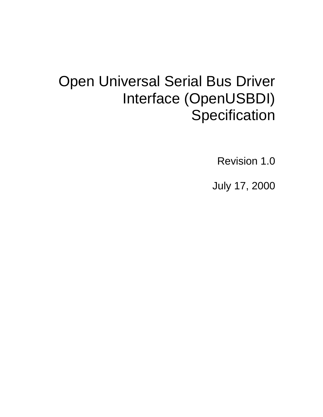Revision 1.0

July 17, 2000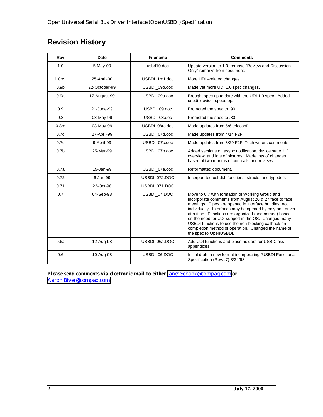## **Revision History**

| Rev                | <b>Date</b>   | <b>Filename</b> | <b>Comments</b>                                                                                                                                                                                                                                                                                                                                                                                                                                                                      |
|--------------------|---------------|-----------------|--------------------------------------------------------------------------------------------------------------------------------------------------------------------------------------------------------------------------------------------------------------------------------------------------------------------------------------------------------------------------------------------------------------------------------------------------------------------------------------|
| 1.0                | 5-May-00      | usbd10.doc      | Update version to 1.0, remove "Review and Discussion<br>Only" remarks from document.                                                                                                                                                                                                                                                                                                                                                                                                 |
| 1.0 <sub>rc1</sub> | 25-April-00   | USBDI_1rc1.doc  | More UDI-related changes                                                                                                                                                                                                                                                                                                                                                                                                                                                             |
| 0.9 <sub>b</sub>   | 22-October-99 | USBDI_09b.doc   | Made yet more UDI 1.0 spec changes.                                                                                                                                                                                                                                                                                                                                                                                                                                                  |
| 0.9a               | 17-August-99  | USBDI 09a.doc   | Brought spec up to date with the UDI 1.0 spec. Added<br>usbdi device speed ops.                                                                                                                                                                                                                                                                                                                                                                                                      |
| 0.9                | 21-June-99    | USBDI 09.doc    | Promoted the spec to .90                                                                                                                                                                                                                                                                                                                                                                                                                                                             |
| 0.8                | 08-May-99     | USBDI 08.doc    | Promoted the spec to .80                                                                                                                                                                                                                                                                                                                                                                                                                                                             |
| 0.8 <sub>rc</sub>  | 03-May-99     | USBDI 08rc.doc  | Made updates from 5/6 teleconf                                                                                                                                                                                                                                                                                                                                                                                                                                                       |
| 0.7d               | 27-April-99   | USBDI_07d.doc   | Made updates from 4/14 F2F                                                                                                                                                                                                                                                                                                                                                                                                                                                           |
| 0.7c               | 9-April-99    | USBDI_07c.doc   | Made updates from 3/29 F2F, Tech writers comments                                                                                                                                                                                                                                                                                                                                                                                                                                    |
| 0.7 <sub>b</sub>   | 25-Mar-99     | USBDI 07b.doc   | Added sections on async notification, device state, UDI<br>overview, and lots of pictures. Made lots of changes<br>based of two months of con-calls and reviews.                                                                                                                                                                                                                                                                                                                     |
| 0.7a               | 15-Jan-99     | USBDI_07a.doc   | Reformatted document.                                                                                                                                                                                                                                                                                                                                                                                                                                                                |
| 0.72               | 6-Jan-99      | USBDI_072.DOC   | Incorporated usbdi.h functions, structs, and typedefs                                                                                                                                                                                                                                                                                                                                                                                                                                |
| 0.71               | 23-Oct-98     | USBDI_071.DOC   |                                                                                                                                                                                                                                                                                                                                                                                                                                                                                      |
| 0.7                | 04-Sep-98     | USBDI_07.DOC    | Move to 0.7 with formation of Working Group and<br>incorporate comments from August 26 & 27 face to face<br>meetings. Pipes are opened in interface bundles, not<br>individually. Interfaces may be opened by only one driver<br>at a time. Functions are organized (and named) based<br>on the need for UDI support in the OS. Changed many<br>USBDI functions to use the non-blocking callback on<br>completion method of operation. Changed the name of<br>the spec to OpenUSBDI. |
| 0.6a               | 12-Aug-98     | USBDI_06a.DOC   | Add UDI functions and place holders for USB Class<br>appendixes                                                                                                                                                                                                                                                                                                                                                                                                                      |
| 0.6                | 10-Aug-98     | USBDI_06.DOC    | Initial draft in new format incorporating "USBDI Functional<br>Specification (Rev. .7) 3/24/98                                                                                                                                                                                                                                                                                                                                                                                       |

*Please send comments via electronic mail to either* [Janet.Schank@compaq.com](mailto:Janet.Schank@compaq.com) or [Aaron.Biver@compaq.com](mailto:Aaron.Biver@compaq.com)*.*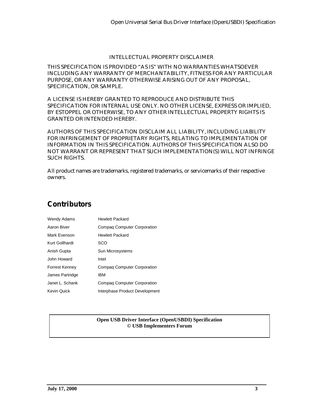#### INTELLECTUAL PROPERTY DISCLAIMER

THIS SPECIFICATION IS PROVIDED "AS IS" WITH NO WARRANTIES WHATSOEVER INCLUDING ANY WARRANTY OF MERCHANTABILITY, FITNESS FOR ANY PARTICULAR PURPOSE, OR ANY WARRANTY OTHERWISE ARISING OUT OF ANY PROPOSAL, SPECIFICATION, OR SAMPLE.

A LICENSE IS HEREBY GRANTED TO REPRODUCE AND DISTRIBUTE THIS SPECIFICATION FOR INTERNAL USE ONLY. NO OTHER LICENSE, EXPRESS OR IMPLIED, BY ESTOPPEL OR OTHERWISE, TO ANY OTHER INTELLECTUAL PROPERTY RIGHTS IS GRANTED OR INTENDED HEREBY.

AUTHORS OF THIS SPECIFICATION DISCLAIM ALL LIABILITY, INCLUDING LIABILITY FOR INFRINGEMENT OF PROPRIETARY RIGHTS, RELATING TO IMPLEMENTATION OF INFORMATION IN THIS SPECIFICATION. AUTHORS OF THIS SPECIFICATION ALSO DO NOT WARRANT OR REPRESENT THAT SUCH IMPLEMENTATION(S) WILL NOT INFRINGE SUCH RIGHTS.

All product names are trademarks, registered trademarks, or servicemarks of their respective owners.

## **Contributors**

| Wendy Adams           | <b>Hewlett Packard</b>             |  |
|-----------------------|------------------------------------|--|
| Aaron Biver           | <b>Compag Computer Corporation</b> |  |
| Mark Evenson          | <b>Hewlett Packard</b>             |  |
| Kurt Gollhardt        | SCO                                |  |
| Anish Gupta           | Sun Microsystems                   |  |
| John Howard           | Intel                              |  |
| <b>Forrest Kenney</b> | <b>Compag Computer Corporation</b> |  |
| James Partridge       | IBM                                |  |
| Janet L. Schank       | <b>Compag Computer Corporation</b> |  |
| <b>Kevin Quick</b>    | Interphase Product Development     |  |

#### **Open USB Driver Interface (OpenUSBDI) Specification © USB Implementers Forum**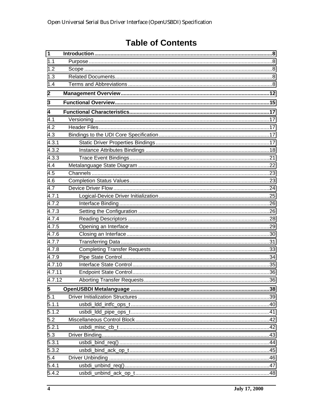# **Table of Contents**

| $\mathbf 1$ |  |
|-------------|--|
| 1.1         |  |
| 1.2         |  |
| 1.3         |  |
| 1.4         |  |
| 2           |  |
| 3           |  |
| 4           |  |
| 4.1         |  |
| 4.2         |  |
| 4.3         |  |
| 4.3.1       |  |
| 4.3.2       |  |
| 4.3.3       |  |
| 4.4         |  |
| 4.5         |  |
| 4.6         |  |
| 4.7         |  |
| 4.7.1       |  |
| 4.7.2       |  |
| 4.7.3       |  |
| 4.7.4       |  |
| 4.7.5       |  |
| 4.7.6       |  |
| 4.7.7       |  |
| 4.7.8       |  |
| 4.7.9       |  |
| 4.7.10      |  |
| 4.7.11      |  |
| 4.7.12      |  |
| 5           |  |
| 5.1         |  |
| 5.1.1       |  |
| 5.1.2       |  |
| 5.2         |  |
| 5.2.1       |  |
| 5.3         |  |
| 5.3.1       |  |
| 5.3.2       |  |
| 5.4         |  |
| 5.4.1       |  |
| 5.4.2       |  |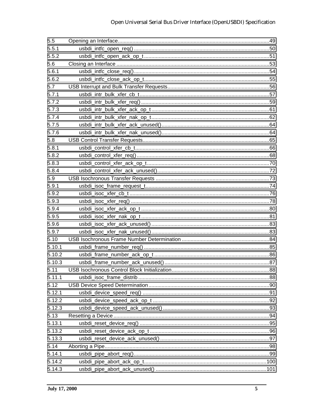| 5.5    |  |
|--------|--|
| 5.5.1  |  |
| 5.5.2  |  |
| 5.6    |  |
| 5.6.1  |  |
| 5.6.2  |  |
| 5.7    |  |
| 5.7.1  |  |
| 5.7.2  |  |
| 5.7.3  |  |
| 5.7.4  |  |
| 5.7.5  |  |
| 5.7.6  |  |
| 5.8    |  |
| 5.8.1  |  |
| 5.8.2  |  |
| 5.8.3  |  |
| 5.8.4  |  |
| 5.9    |  |
| 5.9.1  |  |
| 5.9.2  |  |
| 5.9.3  |  |
| 5.9.4  |  |
| 5.9.5  |  |
| 5.9.6  |  |
| 5.9.7  |  |
| 5.10   |  |
| 5.10.1 |  |
| 5.10.2 |  |
| 5.10.3 |  |
| 5.11   |  |
| 5.11.1 |  |
| 5.12   |  |
| 5.12.1 |  |
| 5.12.2 |  |
| 5.12.3 |  |
| 5.13   |  |
| 5.13.1 |  |
| 5.13.2 |  |
| 5.13.3 |  |
| 5.14   |  |
| 5.14.1 |  |
| 5.14.2 |  |
| 5.14.3 |  |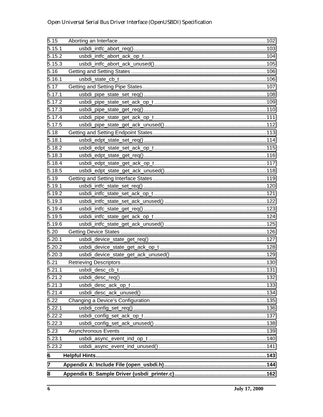| 5.15   |  |
|--------|--|
| 5.15.1 |  |
| 5.15.2 |  |
| 5.15.3 |  |
| 5.16   |  |
| 5.16.1 |  |
| 5.17   |  |
| 5.17.1 |  |
| 5.17.2 |  |
| 5.17.3 |  |
| 5.17.4 |  |
| 5.17.5 |  |
| 5.18   |  |
| 5.18.1 |  |
| 5.18.2 |  |
| 5.18.3 |  |
| 5.18.4 |  |
| 5.18.5 |  |
| 5.19   |  |
| 5.19.1 |  |
| 5.19.2 |  |
| 5.19.3 |  |
| 5.19.4 |  |
| 5.19.5 |  |
| 5.19.6 |  |
| 5.20   |  |
| 5.20.1 |  |
| 5.20.2 |  |
| 5.20.3 |  |
| 5.21   |  |
| 5.21.1 |  |
| 5.21.2 |  |
| 5.21.3 |  |
| 5.21.4 |  |
| 5.22   |  |
| 5.22.1 |  |
| 5.22.2 |  |
| 5.22.3 |  |
| 5.23   |  |
| 5.23.1 |  |
| 5.23.2 |  |
| 6      |  |
| 7      |  |
| 8      |  |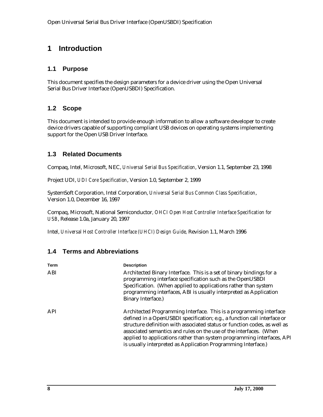## <span id="page-7-0"></span>**1 Introduction**

#### **1.1 Purpose**

This document specifies the design parameters for a device driver using the Open Universal Serial Bus Driver Interface (OpenUSBDI) Specification.

#### **1.2 Scope**

This document is intended to provide enough information to allow a software developer to create device drivers capable of supporting compliant USB devices on operating systems implementing support for the Open USB Driver Interface.

#### **1.3 Related Documents**

Compaq, Intel, Microsoft, NEC, *Universal Serial Bus Specification*, Version 1.1, September 23, 1998

Project UDI, *UDI Core Specification*, Version 1.0, September 2, 1999

SystemSoft Corporation, Intel Corporation, *Universal Serial Bus Common Class Specification*, Version 1.0, December 16, 1997

Compaq, Microsoft, National Semiconductor*, OHCI Open Host Controller Interface Specification for USB*, Release 1.0a, January 20, 1997

Intel, *Universal Host Controller Interface (UHCI) Design Guide,* Revision 1.1, March 1996

#### **1.4 Terms and Abbreviations**

| <b>Term</b> | <b>Description</b>                                                                                                                                                                                                                                                                                                                                                                                                                           |
|-------------|----------------------------------------------------------------------------------------------------------------------------------------------------------------------------------------------------------------------------------------------------------------------------------------------------------------------------------------------------------------------------------------------------------------------------------------------|
| ABI         | Architected Binary Interface. This is a set of binary bindings for a<br>programming interface specification such as the OpenUSBDI<br>Specification. (When applied to applications rather than system<br>programming interfaces, ABI is usually interpreted as Application<br>Binary Interface.)                                                                                                                                              |
| <b>API</b>  | Architected Programming Interface. This is a programming interface<br>defined in a OpenUSBDI specification; e.g., a function call interface or<br>structure definition with associated status or function codes, as well as<br>associated semantics and rules on the use of the interfaces. (When<br>applied to applications rather than system programming interfaces, API<br>is usually interpreted as Application Programming Interface.) |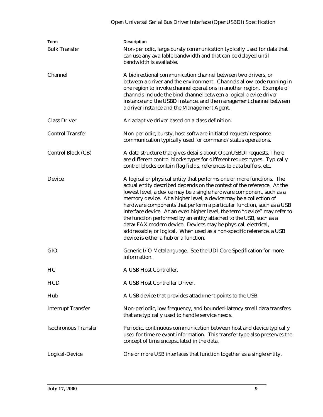| Term                        | <b>Description</b>                                                                                                                                                                                                                                                                                                                                                                                                                                                                                                                                                                                                                                                                                         |  |
|-----------------------------|------------------------------------------------------------------------------------------------------------------------------------------------------------------------------------------------------------------------------------------------------------------------------------------------------------------------------------------------------------------------------------------------------------------------------------------------------------------------------------------------------------------------------------------------------------------------------------------------------------------------------------------------------------------------------------------------------------|--|
| <b>Bulk Transfer</b>        | Non-periodic, large bursty communication typically used for data that<br>can use any available bandwidth and that can be delayed until<br>bandwidth is available.                                                                                                                                                                                                                                                                                                                                                                                                                                                                                                                                          |  |
| Channel                     | A bidirectional communication channel between two drivers, or<br>between a driver and the environment. Channels allow code running in<br>one region to invoke channel operations in another region. Example of<br>channels include the bind channel between a logical-device driver<br>instance and the USBD instance, and the management channel between<br>a driver instance and the Management Agent.                                                                                                                                                                                                                                                                                                   |  |
| <b>Class Driver</b>         | An adaptive driver based on a class definition.                                                                                                                                                                                                                                                                                                                                                                                                                                                                                                                                                                                                                                                            |  |
| <b>Control Transfer</b>     | Non-periodic, bursty, host-software-initiated request/response<br>communication typically used for command/status operations.                                                                                                                                                                                                                                                                                                                                                                                                                                                                                                                                                                              |  |
| Control Block (CB)          | A data structure that gives details about OpenUSBDI requests. There<br>are different control blocks types for different request types. Typically<br>control blocks contain flag fields, references to data buffers, etc.                                                                                                                                                                                                                                                                                                                                                                                                                                                                                   |  |
| Device                      | A logical or physical entity that performs one or more functions. The<br>actual entity described depends on the context of the reference. At the<br>lowest level, a device may be a single hardware component, such as a<br>memory device. At a higher level, a device may be a collection of<br>hardware components that perform a particular function, such as a USB<br>interface device. At an even higher level, the term "device" may refer to<br>the function performed by an entity attached to the USB, such as a<br>data/FAX modem device. Devices may be physical, electrical,<br>addressable, or logical. When used as a non-specific reference, a USB<br>device is either a hub or a function. |  |
| <b>GIO</b>                  | Generic I/O Metalanguage. See the UDI Core Specification for more<br>information.                                                                                                                                                                                                                                                                                                                                                                                                                                                                                                                                                                                                                          |  |
| HC                          | A USB Host Controller.                                                                                                                                                                                                                                                                                                                                                                                                                                                                                                                                                                                                                                                                                     |  |
| <b>HCD</b>                  | A USB Host Controller Driver.                                                                                                                                                                                                                                                                                                                                                                                                                                                                                                                                                                                                                                                                              |  |
| Hub                         | A USB device that provides attachment points to the USB.                                                                                                                                                                                                                                                                                                                                                                                                                                                                                                                                                                                                                                                   |  |
| <b>Interrupt Transfer</b>   | Non-periodic, low frequency, and bounded-latency small data transfers<br>that are typically used to handle service needs.                                                                                                                                                                                                                                                                                                                                                                                                                                                                                                                                                                                  |  |
| <b>Isochronous Transfer</b> | Periodic, continuous communication between host and device typically<br>used for time relevant information. This transfer type also preserves the<br>concept of time encapsulated in the data.                                                                                                                                                                                                                                                                                                                                                                                                                                                                                                             |  |
| Logical-Device              | One or more USB interfaces that function together as a single entity.                                                                                                                                                                                                                                                                                                                                                                                                                                                                                                                                                                                                                                      |  |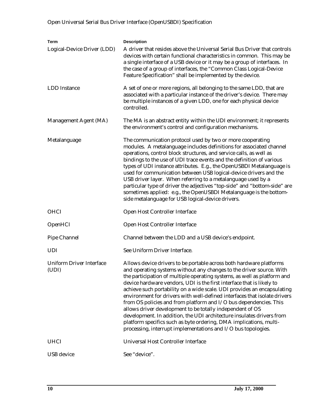| <b>Term</b>                              | <b>Description</b>                                                                                                                                                                                                                                                                                                                                                                                                                                                                                                                                                                                                                                                                                                                                                                                         |
|------------------------------------------|------------------------------------------------------------------------------------------------------------------------------------------------------------------------------------------------------------------------------------------------------------------------------------------------------------------------------------------------------------------------------------------------------------------------------------------------------------------------------------------------------------------------------------------------------------------------------------------------------------------------------------------------------------------------------------------------------------------------------------------------------------------------------------------------------------|
| Logical-Device Driver (LDD)              | A driver that resides above the Universal Serial Bus Driver that controls<br>devices with certain functional characteristics in common. This may be<br>a single interface of a USB device or it may be a group of interfaces. In<br>the case of a group of interfaces, the "Common Class Logical-Device<br>Feature Specification" shall be implemented by the device.                                                                                                                                                                                                                                                                                                                                                                                                                                      |
| LDD Instance                             | A set of one or more regions, all belonging to the same LDD, that are<br>associated with a particular instance of the driver's device. There may<br>be multiple instances of a given LDD, one for each physical device<br>controlled.                                                                                                                                                                                                                                                                                                                                                                                                                                                                                                                                                                      |
| Management Agent (MA)                    | The MA is an abstract entity within the UDI environment; it represents<br>the environment's control and configuration mechanisms.                                                                                                                                                                                                                                                                                                                                                                                                                                                                                                                                                                                                                                                                          |
| Metalanguage                             | The communication protocol used by two or more cooperating<br>modules. A metalanguage includes definitions for associated channel<br>operations, control block structures, and service calls, as well as<br>bindings to the use of UDI trace events and the definition of various<br>types of UDI instance attributes. E.g., the OpenUSBDI Metalanguage is<br>used for communication between USB logical-device drivers and the<br>USB driver layer. When referring to a metalanguage used by a<br>particular type of driver the adjectives "top-side" and "bottom-side" are<br>sometimes applied: e.g., the OpenUSBDI Metalanguage is the bottom-<br>side metalanguage for USB logical-device drivers.                                                                                                    |
| <b>OHCI</b>                              | Open Host Controller Interface                                                                                                                                                                                                                                                                                                                                                                                                                                                                                                                                                                                                                                                                                                                                                                             |
| OpenHCI                                  | Open Host Controller Interface                                                                                                                                                                                                                                                                                                                                                                                                                                                                                                                                                                                                                                                                                                                                                                             |
| Pipe Channel                             | Channel between the LDD and a USB device's endpoint.                                                                                                                                                                                                                                                                                                                                                                                                                                                                                                                                                                                                                                                                                                                                                       |
| <b>UDI</b>                               | See Uniform Driver Interface.                                                                                                                                                                                                                                                                                                                                                                                                                                                                                                                                                                                                                                                                                                                                                                              |
| <b>Uniform Driver Interface</b><br>(UDI) | Allows device drivers to be portable across both hardware platforms<br>and operating systems without any changes to the driver source. With<br>the participation of multiple operating systems, as well as platform and<br>device hardware vendors, UDI is the first interface that is likely to<br>achieve such portability on a wide scale. UDI provides an encapsulating<br>environment for drivers with well-defined interfaces that isolate drivers<br>from OS policies and from platform and I/O bus dependencies. This<br>allows driver development to be totally independent of OS<br>development. In addition, the UDI architecture insulates drivers from<br>platform specifics such as byte ordering, DMA implications, multi-<br>processing, interrupt implementations and I/O bus topologies. |
| <b>UHCI</b>                              | Universal Host Controller Interface                                                                                                                                                                                                                                                                                                                                                                                                                                                                                                                                                                                                                                                                                                                                                                        |
| <b>USB</b> device                        | See "device".                                                                                                                                                                                                                                                                                                                                                                                                                                                                                                                                                                                                                                                                                                                                                                                              |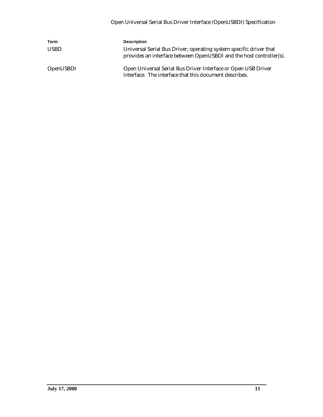| Term        | <b>Description</b>                                                                                                                        |
|-------------|-------------------------------------------------------------------------------------------------------------------------------------------|
| <b>USBD</b> | Universal Serial Bus Driver; operating system specific driver that<br>provides an interface between OpenUSBDI and the host controller(s). |
| OpenUSBDI   | Open Universal Serial Bus Driver Interface or Open USB Driver<br>Interface. The interface that this document describes.                   |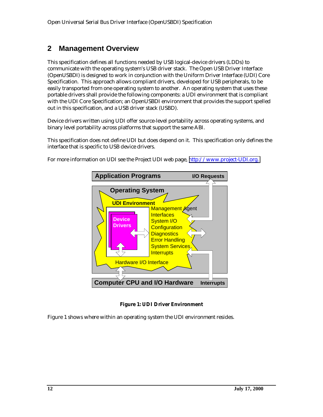## <span id="page-11-0"></span>**2 Management Overview**

This specification defines all functions needed by USB logical-device drivers (LDDs) to communicate with the operating system's USB driver stack. The Open USB Driver Interface (OpenUSBDI) is designed to work in conjunction with the Uniform Driver Interface (UDI) Core Specification. This approach allows compliant drivers, developed for USB peripherals, to be easily transported from one operating system to another. An operating system that uses these portable drivers shall provide the following components: a UDI environment that is compliant with the UDI Core Specification; an OpenUSBDI environment that provides the support spelled out in this specification, and a USB driver stack (USBD).

Device drivers written using UDI offer source-level portability across operating systems, and binary level portability across platforms that support the same ABI.

This specification does not define UDI but does depend on it. This specification only defines the interface that is specific to USB device drivers.



For more information on UDI see the Project UDI web page, [http://www.project-UDI.org.](http://www.project-udi.org/)

**Figure 1: UDI Driver Environment**

Figure 1 shows where within an operating system the UDI environment resides.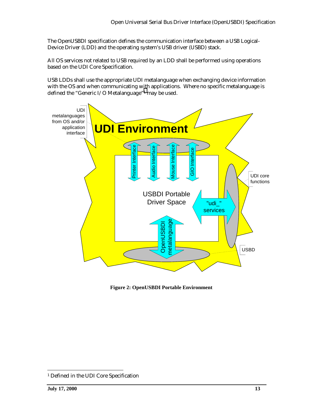The OpenUSBDI specification defines the communication interface between a USB Logical-Device Driver (LDD) and the operating system's USB driver (USBD) stack.

All OS services not related to USB required by an LDD shall be performed using operations based on the UDI Core Specification.

USB LDDs shall use the appropriate UDI metalanguage when exchanging device information with the OS and when communicating with applications. Where no specific metalanguage is defined the "Generic I/O Metalanguage"1 may be used.



**Figure 2: OpenUSBDI Portable Environment**

 $\overline{a}$ 

<sup>1</sup> Defined in the UDI Core Specification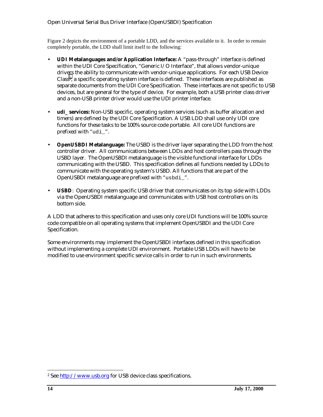Figure 2 depicts the environment of a portable LDD, and the services available to it. In order to remain completely portable, the LDD shall limit itself to the following:

- **UDI Metalanguages and/or Application Interface:** A "pass-through" interface is defined within the UDI Core Specification, "Generic I/O Interface", that allows vendor-unique drivers the ability to communicate with vendor-unique applications.For each USB Device Class<sup>2</sup>, a specific operating system interface is defined. These interfaces are published as separate documents from the UDI Core Specification. These interfaces are not specific to USB devices, but are general for the type of device. For example, both a USB printer class driver and a non-USB printer driver would use the UDI printer interface.
- **udi\_ services:** Non-USB specific, operating system services (such as buffer allocation and timers) are defined by the UDI Core Specification. A USB LDD shall use only UDI core functions for these tasks to be 100% source code portable. All core UDI functions are prefixed with "udi\_".
- **OpenUSBDI Metalanguage:** The USBD is the driver layer separating the LDD from the host controller driver. All communications between LDDs and host controllers pass through the USBD layer. The OpenUSBDI metalanguage is the visible functional interface for LDDs communicating with the USBD. This specification defines all functions needed by LDDs to communicate with the operating system's USBD. All functions that are part of the OpenUSBDI metalanguage are prefixed with "usbdi\_".
- **USBD**: Operating system specific USB driver that communicates on its top side with LDDs via the OpenUSBDI metalanguage and communicates with USB host controllers on its bottom side.

A LDD that adheres to this specification and uses only core UDI functions will be 100% source code compatible on all operating systems that implement OpenUSBDI and the UDI Core Specification.

Some environments may implement the OpenUSBDI interfaces defined in this specification without implementing a complete UDI environment. Portable USB LDDs will have to be modified to use environment specific service calls in order to run in such environments.

-

<sup>&</sup>lt;sup>2</sup> See http://www.usb.org for USB device class specifications.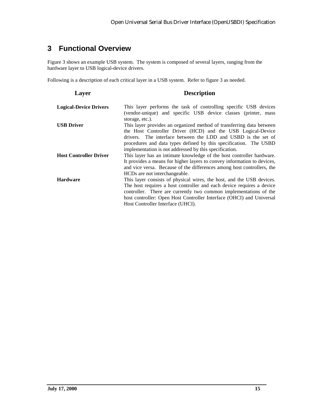## <span id="page-14-0"></span>**3 Functional Overview**

Figure 3 shows an example USB system. The system is composed of several layers, ranging from the hardware layer to USB logical-device drivers.

Following is a description of each critical layer in a USB system. Refer to figure 3 as needed.

| Laver                         | <b>Description</b>                                                                                                                                                                                                                                                                                                                  |  |
|-------------------------------|-------------------------------------------------------------------------------------------------------------------------------------------------------------------------------------------------------------------------------------------------------------------------------------------------------------------------------------|--|
| <b>Logical-Device Drivers</b> | This layer performs the task of controlling specific USB devices<br>(vendor-unique) and specific USB device classes (printer, mass<br>storage, etc.).                                                                                                                                                                               |  |
| <b>USB Driver</b>             | This layer provides an organized method of transferring data between<br>the Host Controller Driver (HCD) and the USB Logical-Device<br>drivers. The interface between the LDD and USBD is the set of<br>procedures and data types defined by this specification. The USBD<br>implementation is not addressed by this specification. |  |
| <b>Host Controller Driver</b> | This layer has an intimate knowledge of the host controller hardware.<br>It provides a means for higher layers to convey information to devices,<br>and vice versa. Because of the differences among host controllers, the<br>HCDs are not interchangeable.                                                                         |  |
| <b>Hardware</b>               | This layer consists of physical wires, the host, and the USB devices.<br>The host requires a host controller and each device requires a device<br>controller. There are currently two common implementations of the<br>host controller: Open Host Controller Interface (OHCI) and Universal<br>Host Controller Interface (UHCI).    |  |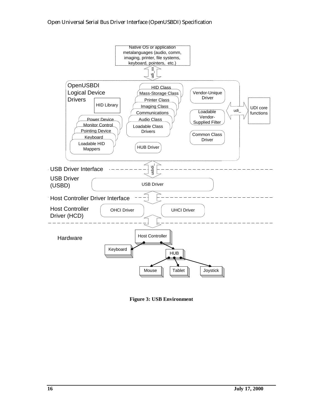

**Figure 3: USB Environment**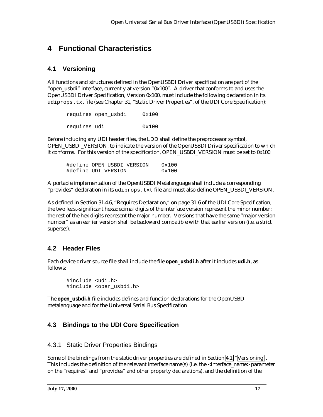## <span id="page-16-0"></span>**4 Functional Characteristics**

## **4.1 Versioning**

All functions and structures defined in the OpenUSBDI Driver specification are part of the "open\_usbdi" interface, currently at version "0x100". A driver that conforms to and uses the OpenUSBDI Driver Specification, Version 0x100, must include the following declaration in its udiprops.txt file (see Chapter 31, "Static Driver Properties", of the UDI Core Specification):

|              | requires open usbdi | 0x100 |
|--------------|---------------------|-------|
| requires udi |                     | 0x100 |

Before including any UDI header files, the LDD shall define the preprocessor symbol, OPEN\_USBDI\_VERSION, to indicate the version of the OpenUSBDI Driver specification to which it conforms. For this version of the specification, OPEN\_USBDI\_VERSION must be set to 0x100:

| #define OPEN USBDI VERSION | 0x100 |
|----------------------------|-------|
| #define UDI VERSION        | 0x100 |

A portable implementation of the OpenUSBDI Metalanguage shall include a corresponding "provides" declaration in its udiprops.txt file and must also define OPEN\_USBDI\_VERSION.

As defined in Section 31.4.6, "Requires Declaration," on page 31-6 of the UDI Core Specification, the two least-significant hexadecimal digits of the interface version represent the minor number; the rest of the hex digits represent the major number. Versions that have the same "major version number" as an earlier version shall be backward compatible with that earlier version (i.e. a strict superset).

## **4.2 Header Files**

Each device driver source file shall include the file **open\_usbdi.h** after it includes **udi.h**, as follows:

```
#include <udi.h>
#include <open_usbdi.h>
```
The **open\_usbdi.h** file includes defines and function declarations for the OpenUSBDI metalanguage and for the Universal Serial Bus Specification

## **4.3 Bindings to the UDI Core Specification**

#### 4.3.1 Static Driver Properties Bindings

Some of the bindings from the static driver properties are defined in Section 4.1, "Versioning". This includes the definition of the relevant interface name(s) (i.e. the <interface\_name> parameter on the "requires" and "provides" and other property declarations), and the definition of the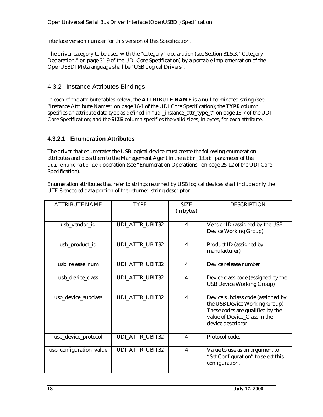<span id="page-17-0"></span>interface version number for this version of this Specification.

The driver category to be used with the "category" declaration (see Section 31.5.3, "Category Declaration," on page 31-9 of the UDI Core Specification) by a portable implementation of the OpenUSBDI Metalanguage shall be "USB Logical Drivers".

#### 4.3.2 Instance Attributes Bindings

In each of the attribute tables below, the **ATTRIBUTE NAME** is a null-terminated string (see "Instance Attribute Names" on page 16-1 of the UDI Core Specification); the **TYPE** column specifies an attribute data type as defined in "udi\_instance\_attr\_type\_t" on page 16-7 of the UDI Core Specification; and the **SIZE** column specifies the valid sizes, in bytes, for each attribute.

#### **4.3.2.1 Enumeration Attributes**

The driver that enumerates the USB logical device must create the following enumeration attributes and pass them to the Management Agent in the attr\_list parameter of the udi\_enumerate\_ack operation (see "Enumeration Operations" on page 25-12 of the UDI Core Specification).

Enumeration attributes that refer to strings returned by USB logical devices shall include only the UTF-8 encoded data portion of the returned string descriptor.

| <b>ATTRIBUTE NAME</b>   | <b>TYPE</b>     | <b>SIZE</b><br>(in bytes) | <b>DESCRIPTION</b>                                                                                                                                           |
|-------------------------|-----------------|---------------------------|--------------------------------------------------------------------------------------------------------------------------------------------------------------|
| usb_vendor_id           | UDI_ATTR_UBIT32 | $\overline{4}$            | Vendor ID (assigned by the USB<br>Device Working Group)                                                                                                      |
| usb_product_id          | UDI_ATTR_UBIT32 | $\overline{4}$            | Product ID (assigned by<br>manufacturer)                                                                                                                     |
| usb_release_num         | UDI_ATTR_UBIT32 | 4                         | Device release number                                                                                                                                        |
| usb_device_class        | UDI_ATTR_UBIT32 | $\overline{4}$            | Device class code (assigned by the<br><b>USB Device Working Group)</b>                                                                                       |
| usb_device_subclass     | UDI_ATTR_UBIT32 | $\overline{4}$            | Device subclass code (assigned by<br>the USB Device Working Group)<br>These codes are qualified by the<br>value of Device_Class in the<br>device descriptor. |
| usb_device_protocol     | UDI_ATTR_UBIT32 | $\overline{4}$            | Protocol code.                                                                                                                                               |
| usb_configuration_value | UDI_ATTR_UBIT32 | $\overline{4}$            | Value to use as an argument to<br>"Set Configuration" to select this<br>configuration.                                                                       |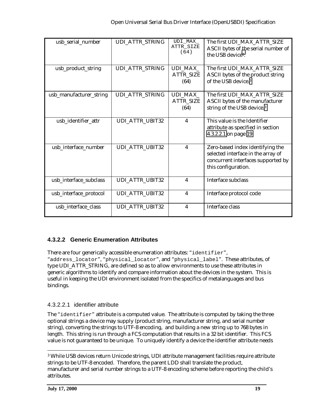| usb_serial_number       | UDI_ATTR_STRING | UDI_MAX_<br>ATTR_SIZE<br>(64)        | The first UDI_MAX_ATTR_SIZE<br>ASCII bytes of the serial number of<br>the USB device <sup>3</sup> .                                 |
|-------------------------|-----------------|--------------------------------------|-------------------------------------------------------------------------------------------------------------------------------------|
| usb_product_string      | UDI_ATTR_STRING | UDI_MAX_<br><b>ATTR_SIZE</b><br>(64) | The first UDI_MAX_ATTR_SIZE<br>ASCII bytes of the product string<br>of the USB device. <sup>3</sup>                                 |
| usb_manufacturer_string | UDI_ATTR_STRING | UDI_MAX_<br><b>ATTR_SIZE</b><br>(64) | The first UDI_MAX_ATTR_SIZE<br>ASCII bytes of the manufacturer<br>string of the USB device. <sup>3</sup>                            |
| usb_identifier_attr     | UDI_ATTR_UBIT32 | $\overline{4}$                       | This value is the Identifier<br>attribute as specified in section<br>4.3.2.2.1 on page 19                                           |
| usb_interface_number    | UDI_ATTR_UBIT32 | 4                                    | Zero-based index identifying the<br>selected interface in the array of<br>concurrent interfaces supported by<br>this configuration. |
| usb_interface_subclass  | UDI_ATTR_UBIT32 | $\overline{4}$                       | Interface subclass                                                                                                                  |
| usb_interface_protocol  | UDI_ATTR_UBIT32 | $\overline{4}$                       | Interface protocol code                                                                                                             |
| usb_interface_class     | UDI_ATTR_UBIT32 | 4                                    | Interface class                                                                                                                     |

#### **4.3.2.2 Generic Enumeration Attributes**

There are four generically accessible enumeration attributes: "identifier", "address\_locator", "physical\_locator", and "physical\_label". These attributes, of type UDI\_ATTR\_STRING, are defined so as to allow environments to use these attributes in generic algorithms to identify and compare information about the devices in the system. This is useful in keeping the UDI environment isolated from the specifics of metalanguages and bus bindings.

#### 4.3.2.2.1 identifier attribute

The "identifier" attribute is a computed value. The attribute is computed by taking the three optional strings a device may supply (product string, manufacturer string, and serial number string), converting the strings to UTF-8 encoding, and building a new string up to 768 bytes in length. This string is run through a FCS computation that results in a 32 bit identifier. This FCS value is not guaranteed to be unique. To uniquely identify a device the identifier attribute needs

l

<sup>3</sup> While USB devices return Unicode strings, UDI attribute management facilities require attribute strings to be UTF-8 encoded. Therefore, the parent LDD shall translate the product, manufacturer and serial number strings to a UTF-8 encoding scheme before reporting the child's attributes.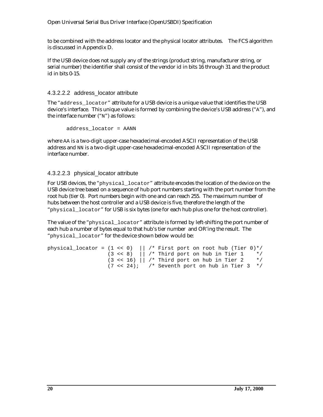to be combined with the address locator and the physical locator attributes. The FCS algorithm is discussed in Appendix D.

If the USB device does not supply any of the strings (product string, manufacturer string, or serial number) the identifier shall consist of the vendor id in bits 16 through 31 and the product id in bits 0-15.

#### 4.3.2.2.2 address\_locator attribute

The "address\_locator" attribute for a USB device is a unique value that identifies the USB device's interface. This unique value is formed by combining the device's USB address ("A"), and the interface number ("N") as follows:

address\_locator = AANN

where AA is a two-digit upper-case hexadecimal-encoded ASCII representation of the USB address and NN is a two-digit upper-case hexadecimal-encoded ASCII representation of the interface number.

#### 4.3.2.2.3 physical locator attribute

For USB devices, the "physical locator" attribute encodes the location of the device on the USB device tree based on a sequence of hub port numbers starting with the port number from the root hub (tier 0). Port numbers begin with one and can reach 255. The maximum number of hubs between the host controller and a USB device is five, therefore the length of the "physical locator" for USB is six bytes (one for each hub plus one for the host controller).

The value of the "physical\_locator" attribute is formed by left-shifting the port number of each hub a number of bytes equal to that hub's tier number and OR'ing the result. The "physical locator" for the device shown below would be:

```
physical_locator = (1 \ll 0) || /* First port on root hub (Tier 0)*/
                   (3 \lt \lt 8) || /* Third port on hub in Tier 1 */
                   (3 \lt \lt 16) || /* Third port on hub in Tier 2 */
                   (7 \ll 24); /* Seventh port on hub in Tier 3 */
```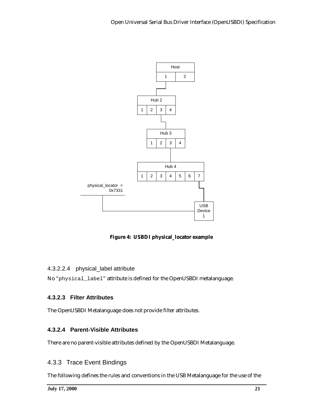<span id="page-20-0"></span>

**Figure 4: USBDI physical\_locator example**

#### 4.3.2.2.4 physical\_label attribute

No "physical\_label" attribute is defined for the OpenUSBDI metalanguage.

#### **4.3.2.3 Filter Attributes**

The OpenUSBDI Metalanguage does not provide filter attributes.

#### **4.3.2.4 Parent-Visible Attributes**

There are no parent-visible attributes defined by the OpenUSBDI Metalanguage.

#### 4.3.3 Trace Event Bindings

The following defines the rules and conventions in the USB Metalanguage for the use of the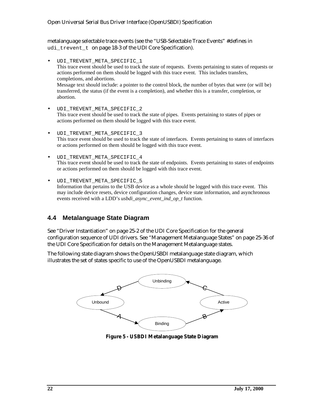<span id="page-21-0"></span>metalanguage selectable trace events (see the "USB-Selectable Trace Events" #defines in udi trevent t on page 18-3 of the UDI Core Specification).

- UDI\_TREVENT\_META\_SPECIFIC\_1 This trace event should be used to track the state of requests. Events pertaining to states of requests or actions performed on them should be logged with this trace event. This includes transfers, completions, and abortions. Message text should include: a pointer to the control block, the number of bytes that were (or will be) transferred, the status (if the event is a completion), and whether this is a transfer, completion, or abortion.
- UDI\_TREVENT\_META\_SPECIFIC\_2 This trace event should be used to track the state of pipes. Events pertaining to states of pipes or actions performed on them should be logged with this trace event.
- UDI\_TREVENT\_META\_SPECIFIC\_3 This trace event should be used to track the state of interfaces. Events pertaining to states of interfaces or actions performed on them should be logged with this trace event.
- UDI TREVENT META SPECIFIC 4 This trace event should be used to track the state of endpoints. Events pertaining to states of endpoints or actions performed on them should be logged with this trace event.
- UDI\_TREVENT\_META\_SPECIFIC\_5 Information that pertains to the USB device as a whole should be logged with this trace event. This may include device resets, device configuration changes, device state information, and asynchronous events received with a LDD's *usbdi\_async\_event\_ind\_op\_t* function.

## **4.4 Metalanguage State Diagram**

See "Driver Instantiation" on page 25-2 of the UDI Core Specification for the general configuration sequence of UDI drivers. See "Management Metalanguage States" on page 25-36 of the UDI Core Specification for details on the Management Metalanguage states.

The following state diagram shows the OpenUSBDI metalanguage state diagram, which illustrates the set of states specific to use of the OpenUSBDI metalanguage.



**Figure 5 - USBDI Metalanguage State Diagram**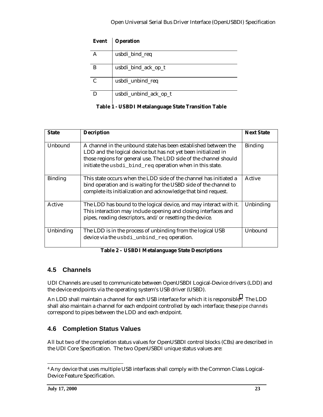<span id="page-22-0"></span>

| <b>Event</b> | <b>Operation</b>      |
|--------------|-----------------------|
|              | usbdi_bind_req        |
| в            | usbdi_bind_ack_op_t   |
| C            | usbdi_unbind_req      |
|              | usbdi_unbind_ack_op_t |

**Table 1 - USBDI Metalanguage State Transition Table**

| <b>State</b>   | <b>Decription</b>                                                                                                                                                                                                                                                   | <b>Next State</b> |
|----------------|---------------------------------------------------------------------------------------------------------------------------------------------------------------------------------------------------------------------------------------------------------------------|-------------------|
| <b>Unbound</b> | A channel in the unbound state has been established between the<br>LDD and the logical device but has not yet been initialized in<br>those regions for general use. The LDD side of the channel should<br>initiate the usbdi_bind_req operation when in this state. | <b>Binding</b>    |
| <b>Binding</b> | This state occurs when the LDD side of the channel has initiated a<br>bind operation and is waiting for the USBD side of the channel to<br>complete its initialization and acknowledge that bind request.                                                           | Active            |
| Active         | The LDD has bound to the logical device, and may interact with it.<br>This interaction may include opening and closing interfaces and<br>pipes, reading descriptors, and/or resetting the device.                                                                   | Unbinding         |
| Unbinding      | The LDD is in the process of unbinding from the logical USB<br>device via the usbdi_unbind_req operation.                                                                                                                                                           | Unbound           |

#### **Table 2 – USBDI Metalanguage State Descriptions**

## **4.5 Channels**

UDI Channels are used to communicate between OpenUSBDI Logical-Device drivers (LDD) and the device endpoints via the operating system's USB driver (USBD).

An LDD shall maintain a channel for each USB interface for which it is responsible4. The LDD shall also maintain a channel for each endpoint controlled by each interface; these *pipe channels* correspond to pipes between the LDD and each endpoint.

## **4.6 Completion Status Values**

All but two of the completion status values for OpenUSBDI control blocks (CBs) are described in the UDI Core Specification. The two OpenUSBDI unique status values are:

 $\overline{a}$ 

<sup>4</sup> Any device that uses multiple USB interfaces shall comply with the Common Class Logical-Device Feature Specification.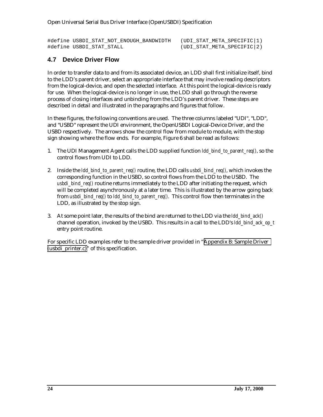<span id="page-23-0"></span>#define USBDI\_STAT\_NOT\_ENOUGH\_BANDWIDTH (UDI\_STAT\_META\_SPECIFIC|1)

 $(UDI\_STAT\_META\_SPECIFIC|2)$ 

#### **4.7 Device Driver Flow**

In order to transfer data to and from its associated device, an LDD shall first initialize itself, bind to the LDD's parent driver, select an appropriate interface that may involve reading descriptors from the logical-device, and open the selected interface. At this point the logical-device is ready for use. When the logical-device is no longer in use, the LDD shall go through the reverse process of closing interfaces and unbinding from the LDD's parent driver. These steps are described in detail and illustrated in the paragraphs and figures that follow.

In these figures, the following conventions are used. The three columns labeled "UDI", "LDD", and "USBD" represent the UDI environment, the OpenUSBDI Logical-Device Driver, and the USBD respectively. The arrows show the control flow from module to module, with the stop sign showing where the flow ends. For example, Figure 6 shall be read as follows:

- 1. The UDI Management Agent calls the LDD supplied function *ldd\_bind\_to\_parent\_req()*, so the control flows from UDI to LDD.
- 2. Inside the *ldd\_bind\_to\_parent\_req()* routine, the LDD calls *usbdi\_bind\_req()*, which invokes the corresponding function in the USBD, so control flows from the LDD to the USBD. The *usbdi bind req()* routine returns immediately to the LDD after initiating the request, which will be completed asynchronously at a later time. This is illustrated by the arrow going back from *usbdi\_bind\_req()* to *ldd\_bind\_to\_parent\_req()*. This control flow then terminates in the LDD, as illustrated by the stop sign.
- 3. At some point later, the results of the bind are returned to the LDD via the *ldd\_bind\_ack()* channel operation, invoked by the USBD. This results in a call to the LDD's *ldd\_bind\_ack\_op\_t* entry point routine.

For specific LDD examples refer to the sample driver provided in "[Appendix B: Sample Driver](#page-161-0) [\(usbdi\\_printer.c\)"](#page-161-0) of this specification.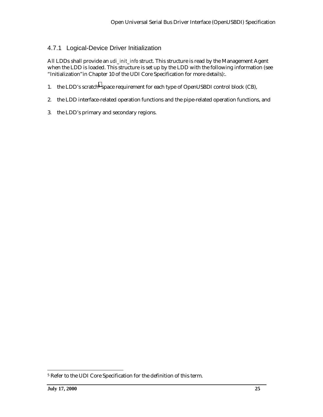#### <span id="page-24-0"></span>4.7.1 Logical-Device Driver Initialization

All LDDs shall provide an *udi\_init\_info* struct. This structure is read by the Management Agent when the LDD is loaded. This structure is set up by the LDD with the following information (see "Initialization"in Chapter 10 of the UDI Core Specification for more details):.

- 1. the LDD's scratch<sup>5</sup> space requirement for each type of OpenUSBDI control block (CB),
- 2. the LDD interface-related operation functions and the pipe-related operation functions, and
- 3. the LDD's primary and secondary regions.

-

<sup>5</sup> Refer to the UDI Core Specification for the definition of this term.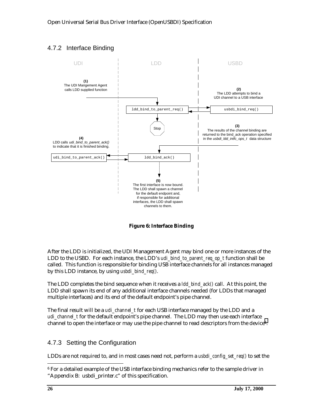## <span id="page-25-0"></span>4.7.2 Interface Binding



**Figure 6: Interface Binding**

After the LDD is initialized, the UDI Management Agent may bind one or more instances of the LDD to the USBD. For each instance, the LDD's *udi\_bind\_to\_parent\_req\_op\_t* function shall be called. This function is responsible for binding USB interface channels for all instances managed by this LDD instance, by using *usbdi\_bind\_req()*.

The LDD completes the bind sequence when it receives a *ldd\_bind\_ack()* call. At this point, the LDD shall spawn its end of any additional interface channels needed (for LDDs that managed multiple interfaces) and its end of the default endpoint's pipe channel.

The final result will be a *udi\_channel\_t* for each USB interface managed by the LDD and a *udi channel t* for the default endpoint's pipe channel. The LDD may then use each interface channel to open the interface or may use the pipe channel to read descriptors from the device<sup>6</sup>.

#### 4.7.3 Setting the Configuration

LDDs are not required to, and in most cases need not, perform a *usbdi\_config\_set\_req()* to set the

-

<sup>&</sup>lt;sup>6</sup> For a detailed example of the USB interface binding mechanics refer to the sample driver in "Appendix B: usbdi\_printer.c" of this specification.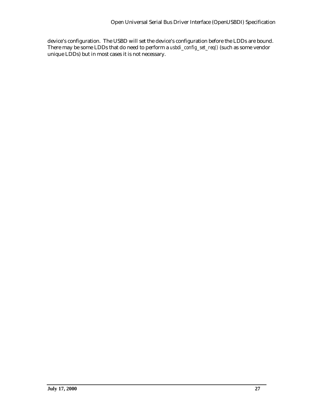device's configuration. The USBD will set the device's configuration before the LDDs are bound. There may be some LDDs that do need to perform a *usbdi\_config\_set\_req()* (such as some vendor unique LDDs) but in most cases it is not necessary.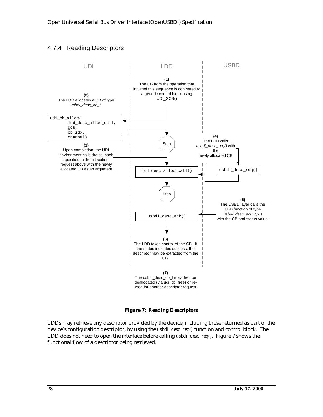#### 4.7.4 Reading Descriptors

<span id="page-27-0"></span>

**Figure 7: Reading Descriptors**

LDDs may retrieve any descriptor provided by the device, including those returned as part of the device's configuration descriptor, by using the *usbdi\_desc\_req()* function and control block. The LDD does not need to open the interface before calling *usbdi\_desc\_req()*. Figure 7 shows the functional flow of a descriptor being retrieved.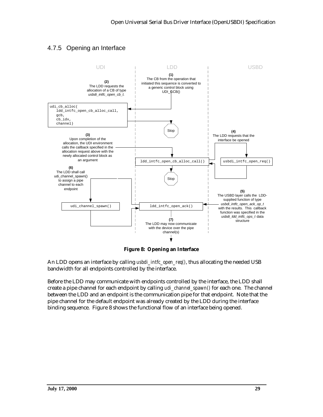## <span id="page-28-0"></span>4.7.5 Opening an Interface



**Figure 8: Opening an Interface**

An LDD opens an interface by calling *usbdi\_intfc\_open\_req()*, thus allocating the needed USB bandwidth for all endpoints controlled by the interface.

Before the LDD may communicate with endpoints controlled by the interface, the LDD shall create a pipe channel for each endpoint by calling *udi\_channel\_spawn()* for each one. The channel between the LDD and an endpoint is the communication pipe for that endpoint. Note that the pipe channel for the default endpoint was already created by the LDD during the interface binding sequence. Figure 8 shows the functional flow of an interface being opened.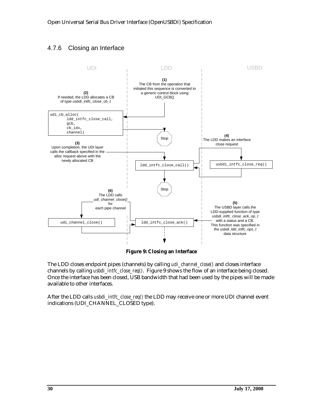## <span id="page-29-0"></span>4.7.6 Closing an Interface



**Figure 9: Closing an Interface**

The LDD closes endpoint pipes (channels) by calling *udi\_channel\_close()* and closes interface channels by calling *usbdi\_intfc\_close\_req()*. Figure 9 shows the flow of an interface being closed. Once the interface has been closed, USB bandwidth that had been used by the pipes will be made available to other interfaces.

After the LDD calls *usbdi\_intfc\_close\_req()* the LDD may receive one or more UDI channel event indications (UDI\_CHANNEL\_CLOSED type).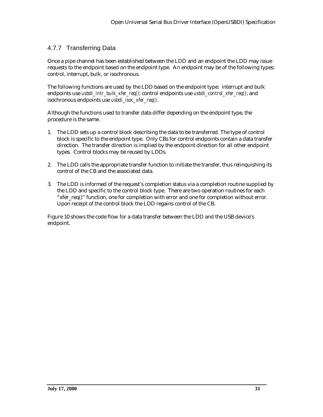## <span id="page-30-0"></span>4.7.7 Transferring Data

Once a pipe channel has been established between the LDD and an endpoint the LDD may issue requests to the endpoint based on the endpoint type. An endpoint may be of the following types: control, interrupt, bulk, or isochronous.

The following functions are used by the LDD based on the endpoint type: interrupt and bulk endpoints use *usbdi\_intr\_bulk\_xfer\_req()*; control endpoints use *usbdi\_control\_xfer\_req()*; and isochronous endpoints use *usbdi\_isoc\_xfer\_req()*.

Although the functions used to transfer data differ depending on the endpoint type, the procedure is the same.

- 1. The LDD sets up a control block describing the data to be transferred. The type of control block is specific to the endpoint type. Only CBs for control endpoints contain a data transfer direction. The transfer direction is implied by the endpoint direction for all other endpoint types. Control blocks may be reused by LDDs.
- 2. The LDD calls the appropriate transfer function to initiate the transfer, thus relinquishing its control of the CB and the associated data.
- 3. The LDD is informed of the request's completion status via a completion routine supplied by the LDD and specific to the control block type. There are two operation routines for each "xfer\_req()" function, one for completion with error and one for completion without error. Upon receipt of the control block the LDD regains control of the CB.

Figure 10 shows the code flow for a data transfer between the LDD and the USB device's endpoint.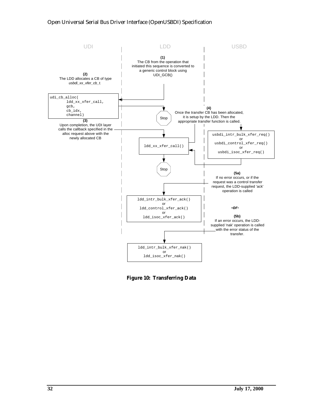

**Figure 10: Transferring Data**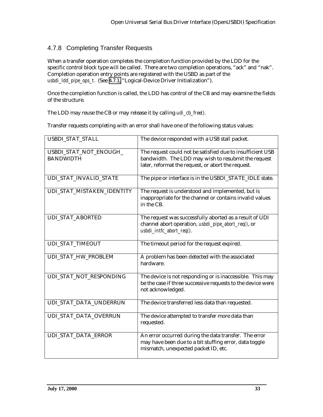## <span id="page-32-0"></span>4.7.8 Completing Transfer Requests

When a transfer operation completes the completion function provided by the LDD for the specific control block type will be called. There are two completion operations, "ack" and "nak". Completion operation entry points are registered with the USBD as part of the *usbdi\_ldd\_pipe\_ops\_t.* (See [4.7.1,](#page-24-0) "Logical-Device Driver Initialization").

Once the completion function is called, the LDD has control of the CB and may examine the fields of the structure.

The LDD may reuse the CB or may release it by calling *udi\_cb\_free()*.

Transfer requests completing with an error shall have one of the following status values:

| USBDI_STAT_STALL                           | The device responded with a USB stall packet.                                                                                                                           |
|--------------------------------------------|-------------------------------------------------------------------------------------------------------------------------------------------------------------------------|
| USBDI_STAT_NOT_ENOUGH_<br><b>BANDWIDTH</b> | The request could not be satisfied due to insufficient USB<br>bandwidth. The LDD may wish to resubmit the request<br>later, reformat the request, or abort the request. |
| UDI_STAT_INVALID_STATE                     | The pipe or interface is in the USBDI_STATE_IDLE state.                                                                                                                 |
| UDI_STAT_MISTAKEN_IDENTITY                 | The request is understood and implemented, but is<br>inappropriate for the channel or contains invalid values<br>in the CB.                                             |
| <b>UDI_STAT_ABORTED</b>                    | The request was successfully aborted as a result of UDI<br>channel abort operation, usbdi_pipe_abort_req(), or<br>usbdi_intfc_abort_req().                              |
| UDI_STAT_TIMEOUT                           | The timeout period for the request expired.                                                                                                                             |
| UDI_STAT_HW_PROBLEM                        | A problem has been detected with the associated<br>hardware.                                                                                                            |
| UDI_STAT_NOT_RESPONDING                    | The device is not responding or is inaccessible. This may<br>be the case if three successive requests to the device were<br>not acknowledged.                           |
| UDI_STAT_DATA_UNDERRUN                     | The device transferred less data than requested.                                                                                                                        |
| UDI_STAT_DATA_OVERRUN                      | The device attempted to transfer more data than<br>requested.                                                                                                           |
| UDI_STAT_DATA_ERROR                        | An error occurred during the data transfer. The error<br>may have been due to a bit stuffing error, data toggle<br>mismatch, unexpected packet ID, etc.                 |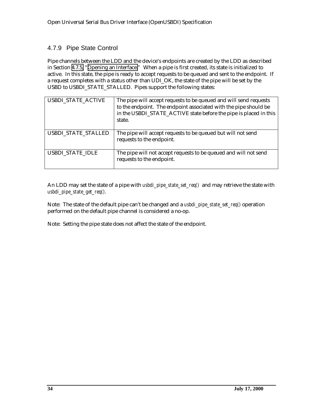#### <span id="page-33-0"></span>4.7.9 Pipe State Control

Pipe channels between the LDD and the device's endpoints are created by the LDD as described in Section [4.7.5,](#page-28-0) "[Opening an Interface](#page-28-0)*."* When a pipe is first created, its state is initialized to active. In this state, the pipe is ready to accept requests to be queued and sent to the endpoint. If a request completes with a status other than UDI\_OK, the state of the pipe will be set by the USBD to USBDI\_STATE\_STALLED. Pipes support the following states:

| <b>USBDI STATE ACTIVE</b>  | The pipe will accept requests to be queued and will send requests<br>to the endpoint. The endpoint associated with the pipe should be<br>in the USBDI_STATE_ACTIVE state before the pipe is placed in this<br>state. |
|----------------------------|----------------------------------------------------------------------------------------------------------------------------------------------------------------------------------------------------------------------|
| <b>USBDI STATE STALLED</b> | The pipe will accept requests to be queued but will not send<br>requests to the endpoint.                                                                                                                            |
| <b>USBDI STATE IDLE</b>    | The pipe will not accept requests to be queued and will not send<br>requests to the endpoint.                                                                                                                        |

An LDD may set the state of a pipe with *usbdi\_pipe\_state\_set\_req()* and may retrieve the state with *usbdi\_pipe\_state\_get\_req()*.

Note: The state of the default pipe can't be changed and a *usbdi\_pipe\_state\_set\_req()* operation performed on the default pipe channel is considered a no-op.

Note: Setting the pipe state does not affect the state of the endpoint.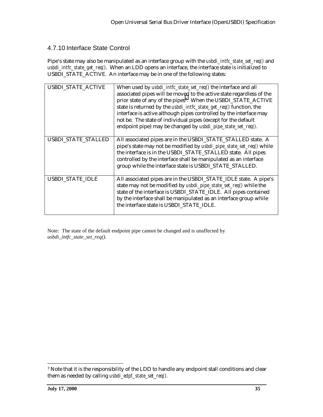#### <span id="page-34-0"></span>4.7.10 Interface State Control

Pipe's state may also be manipulated as an interface group with the *usbdi\_intfc\_state\_set\_req()* and *usbdi\_intfc\_state\_get\_req()*. When an LDD opens an interface, the interface state is initialized to USBDI\_STATE\_ACTIVE. An interface may be in one of the following states:

| <b>USBDI_STATE_ACTIVE</b>  | When used by <i>usbdi_intfc_state_set_req()</i> the interface and all<br>associated pipes will be moved to the active state regardless of the<br>prior state of any of the pipes <sup>7</sup> . When the USBDI_STATE_ACTIVE<br>state is returned by the <i>usbdi_intfc_state_get_req()</i> function, the<br>interface is active although pipes controlled by the interface may<br>not be. The state of individual pipes (except for the default<br>endpoint pipe) may be changed by usbdi_pipe_state_set_req(). |
|----------------------------|-----------------------------------------------------------------------------------------------------------------------------------------------------------------------------------------------------------------------------------------------------------------------------------------------------------------------------------------------------------------------------------------------------------------------------------------------------------------------------------------------------------------|
| <b>USBDI STATE STALLED</b> | All associated pipes are in the USBDI_STATE_STALLED state. A<br>pipe's state may not be modified by usbdi_pipe_state_set_req() while<br>the interface is in the USBDI_STATE_STALLED state. All pipes<br>controlled by the interface shall be manipulated as an interface<br>group while the interface state is USBDI_STATE_STALLED.                                                                                                                                                                             |
| <b>USBDI_STATE_IDLE</b>    | All associated pipes are in the USBDI_STATE_IDLE state. A pipe's<br>state may not be modified by usbdi_pipe_state_set_req() while the<br>state of the interface is USBDI_STATE_IDLE. All pipes contained<br>by the interface shall be manipulated as an interface group while<br>the interface state is USBDI STATE IDLE.                                                                                                                                                                                       |

Note: The state of the default endpoint pipe cannot be changed and is unaffected by *usbdi\_intfc\_state\_set\_req()*.

 $\overline{a}$ 

<sup>&</sup>lt;sup>7</sup> Note that it is the responsibility of the LDD to handle any endpoint stall conditions and clear them as needed by calling *usbdi\_edpt\_state\_set\_req().*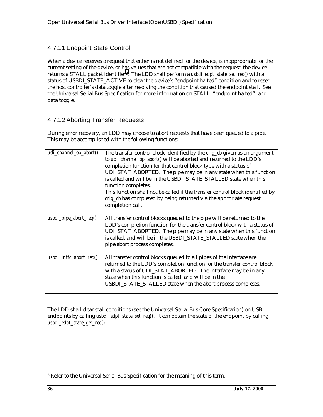#### <span id="page-35-0"></span>4.7.11 Endpoint State Control

When a device receives a request that either is not defined for the device, is inappropriate for the current setting of the device, or has values that are not compatible with the request, the device returns a STALL packet identifier8. The LDD shall perform a *usbdi\_edpt\_state\_set\_req()* with a status of USBDI\_STATE\_ACTIVE to clear the device's "endpoint halted" condition and to reset the host controller's data toggle after resolving the condition that caused the endpoint stall. See the Universal Serial Bus Specification for more information on STALL, "endpoint halted", and data toggle.

#### 4.7.12 Aborting Transfer Requests

During error recovery, an LDD may choose to abort requests that have been queued to a pipe. This may be accomplished with the following functions:

| udi_channel_op_abort()         | The transfer control block identified by the orig_cb given as an argument<br>to udi_channel_op_abort() will be aborted and returned to the LDD's<br>completion function for that control block type with a status of<br>UDI_STAT_ABORTED. The pipe may be in any state when this function<br>is called and will be in the USBDI_STATE_STALLED state when this<br>function completes.<br>This function shall not be called if the transfer control block identified by<br>orig_cb has completed by being returned via the approriate request<br>completion call. |
|--------------------------------|-----------------------------------------------------------------------------------------------------------------------------------------------------------------------------------------------------------------------------------------------------------------------------------------------------------------------------------------------------------------------------------------------------------------------------------------------------------------------------------------------------------------------------------------------------------------|
| usbdi_pipe_abort_req $\theta$  | All transfer control blocks queued to the pipe will be returned to the<br>LDD's completion function for the transfer control block with a status of<br>UDI_STAT_ABORTED. The pipe may be in any state when this function<br>is called, and will be in the USBDI_STATE_STALLED state when the<br>pipe abort process completes.                                                                                                                                                                                                                                   |
| usbdi_intfc_abort_req $\theta$ | All transfer control blocks queued to all pipes of the interface are<br>returned to the LDD's completion function for the transfer control block<br>with a status of UDI_STAT_ABORTED. The interface may be in any<br>state when this function is called, and will be in the<br>USBDI_STATE_STALLED state when the abort process completes.                                                                                                                                                                                                                     |

The LDD shall clear stall conditions (see the Universal Serial Bus Core Specification) on USB endpoints by calling *usbdi\_edpt\_state\_set\_req()*. It can obtain the state of the endpoint by calling *usbdi\_edpt\_state\_get\_req()*.

-

<sup>8</sup> Refer to the Universal Serial Bus Specification for the meaning of this term.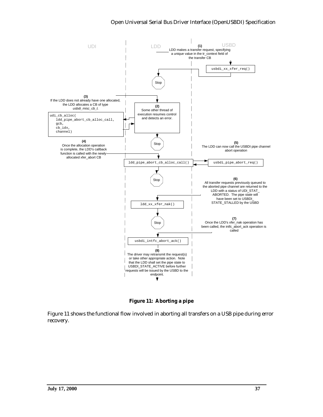

**Figure 11: Aborting a pipe**

Figure 11 shows the functional flow involved in aborting all transfers on a USB pipe during error recovery.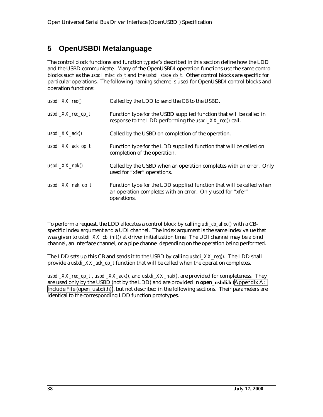# **5 OpenUSBDI Metalanguage**

The control block functions and function *typedef's* described in this section define how the LDD and the USBD communicate. Many of the OpenUSBDI operation functions use the same control blocks such as the *usbdi\_misc\_cb\_t* and the *usbdi\_state\_cb\_t*. Other control blocks are specific for particular operations. The following naming scheme is used for OpenUSBDI control blocks and operation functions:

| usbdi_ $XX$ _req()    | Called by the LDD to send the CB to the USBD.                                                                                                     |
|-----------------------|---------------------------------------------------------------------------------------------------------------------------------------------------|
| usbdi_ $XX$ _req_op_t | Function type for the USBD supplied function that will be called in<br>response to the LDD performing the <i>usbdi_XX_req()</i> call.             |
| $usbdi_XX_ack()$      | Called by the USBD on completion of the operation.                                                                                                |
| $usbdi_XX_ack_op_t$   | Function type for the LDD supplied function that will be called on<br>completion of the operation.                                                |
| usbdi XX nak()        | Called by the USBD when an operation completes with an error. Only<br>used for "xfer" operations.                                                 |
| usbdi_ $XX$ _nak_op_t | Function type for the LDD supplied function that will be called when<br>an operation completes with an error. Only used for "xfer"<br>operations. |

To perform a request, the LDD allocates a control block by calling *udi\_cb\_alloc()* with a CBspecific index argument and a UDI channel. The index argument is the same index value that was given to *usbdi\_XX\_cb\_init()* at driver initialization time. The UDI channel may be a bind channel, an interface channel, or a pipe channel depending on the operation being performed.

The LDD sets up this CB and sends it to the USBD by calling *usbdi\_XX\_req().* The LDD shall provide a *usbdi\_XX\_ack\_op\_t* function that will be called when the operation completes.

*usbdi\_XX\_req\_op\_t* , *usbdi\_XX\_ack(),* and *usbdi\_XX\_nak(),* are provided for completeness. They are used only by the USBD (not by the LDD) and are provided in **open\_usbdi.h** ([Appendix A:](#page-143-0) [Include File \(open\\_usbdi.h\)\)](#page-143-0), but not described in the following sections. Their parameters are identical to the corresponding LDD function prototypes.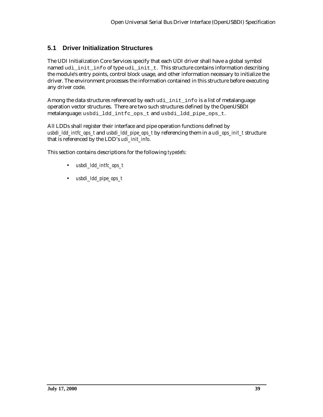## **5.1 Driver Initialization Structures**

The UDI Initialization Core Services specify that each UDI driver shall have a global symbol named udi init info of type udi init t. This structure contains information describing the module's entry points, control block usage, and other information necessary to initialize the driver. The environment processes the information contained in this structure before executing any driver code.

Among the data structures referenced by each udi\_init\_info is a list of metalanguage operation vector structures. There are two such structures defined by the OpenUSBDI metalanguage: usbdi\_ldd\_intfc\_ops\_t and usbdi\_ldd\_pipe\_ops\_t.

All LDDs shall register their interface and pipe operation functions defined by *usbdi\_ldd\_intfc\_ops\_t* and *usbdi\_ldd\_pipe\_ops\_t* by referencing them in a *udi\_ops\_init\_t* structure that is referenced by the LDD's *udi\_init\_info*.

This section contains descriptions for the following *typedefs*:

- *usbdi\_ldd\_intfc\_ops\_t*
- *usbdi\_ldd\_pipe\_ops\_t*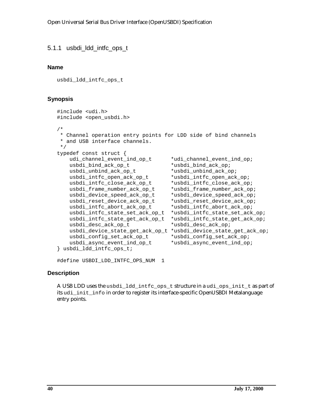## 5.1.1 usbdi\_ldd\_intfc\_ops\_t

#### **Name**

usbdi\_ldd\_intfc\_ops\_t

### **Synopsis**

```
#include <udi.h>
#include <open_usbdi.h>
/*
 * Channel operation entry points for LDD side of bind channels
 * and USB interface channels.
 */
typedef const struct {
    udi_channel_event_ind_op_t *udi_channel_event_ind_op;
   usbdi_bind_ack_op_t *usbdi_bind_ack_op;
   usbdi_unbind_ack_op_t *usbdi_unbind_ack_op;
   usbdi intfc open ack op t *usbdi intfc open ack op;
   usbdi intfc close ack op t *usbdi intfc close ack op;
   usbdi frame number ack op t *usbdi frame number ack op;
    usbdi_device_speed_ack_op_t *usbdi_device_speed_ack_op;
    usbdi_reset_device_ack_op_t *usbdi_reset_device_ack_op;
   usbdi intfc abort ack op t *usbdi intfc abort ack op;
    usbdi_intfc_state_set_ack_op_t *usbdi_intfc_state_set_ack_op;
    usbdi_intfc_state_get_ack_op_t *usbdi_intfc_state_get_ack_op;
   usbdi_desc_ack_op_t *usbdi_desc_ack_op;
    usbdi_device_state_get_ack_op_t *usbdi_device_state_get_ack_op;
    usbdi_config_set_ack_op_t *usbdi_config_set_ack_op;
    usbdi_async_event_ind_op_t *usbdi_async_event_ind_op;
} usbdi_ldd_intfc_ops_t;
```
#define USBDI\_LDD\_INTFC\_OPS\_NUM 1

## **Description**

A USB LDD uses the usbdi\_ldd\_intfc\_ops\_t structure in a udi\_ops\_init\_t as part of its udi\_init\_info in order to register its interface-specific OpenUSBDI Metalanguage entry points.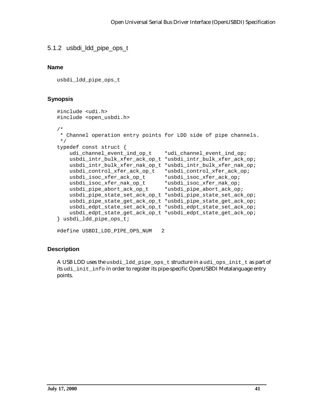## 5.1.2 usbdi\_ldd\_pipe\_ops\_t

#### **Name**

usbdi\_ldd\_pipe\_ops\_t

### **Synopsis**

```
#include <udi.h>
#include <open_usbdi.h>
/*
 * Channel operation entry points for LDD side of pipe channels.
 */
typedef const struct {
    udi_channel_event_ind_op_t *udi_channel_event_ind_op;
    usbdi_intr_bulk_xfer_ack_op_t *usbdi_intr_bulk_xfer_ack_op;
    usbdi_intr_bulk_xfer_nak_op_t *usbdi_intr_bulk_xfer_nak_op;
 usbdi_control_xfer_ack_op_t *usbdi_control_xfer_ack_op;
 usbdi_isoc_xfer_ack_op_t *usbdi_isoc_xfer_ack_op;
 usbdi_isoc_xfer_nak_op_t *usbdi_isoc_xfer_nak_op;
 usbdi_pipe_abort_ack_op_t *usbdi_pipe_abort_ack_op;
    usbdi_pipe_state_set_ack_op_t *usbdi_pipe_state_set_ack_op;
    usbdi_pipe_state_get_ack_op_t *usbdi_pipe_state_get_ack_op;
   usbdi edpt state set ack op t *usbdi edpt state set ack op;
    usbdi_edpt_state_get_ack_op_t *usbdi_edpt_state_get_ack_op;
} usbdi_ldd_pipe_ops_t;
```

```
#define USBDI_LDD_PIPE_OPS_NUM 2
```
## **Description**

A USB LDD uses the usbdi\_ldd\_pipe\_ops\_t structure in a udi\_ops\_init\_t as part of its udi\_init\_info in order to register its pipe-specific OpenUSBDI Metalanguage entry points.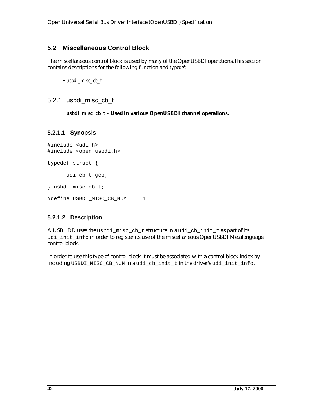## **5.2 Miscellaneous Control Block**

The miscellaneous control block is used by many of the OpenUSBDI operations.This section contains descriptions for the following function and *typedef*:

```
• usbdi_misc_cb_t
```
5.2.1 usbdi\_misc\_cb\_t

#### *usbdi\_misc\_cb\_t* **– Used in various OpenUSBDI channel operations.**

### **5.2.1.1 Synopsis**

```
#include <udi.h>
#include <open_usbdi.h>
typedef struct {
     udi cb t qcb;
} usbdi_misc_cb_t;
#define USBDI_MISC_CB_NUM 1
```
## **5.2.1.2 Description**

A USB LDD uses the usbdi\_misc\_cb\_t structure in a udi\_cb\_init\_t as part of its udi\_init\_info in order to register its use of the miscellaneous OpenUSBDI Metalanguage control block.

In order to use this type of control block it must be associated with a control block index by including USBDI\_MISC\_CB\_NUM in a udi\_cb\_init\_t in the driver's udi\_init\_info.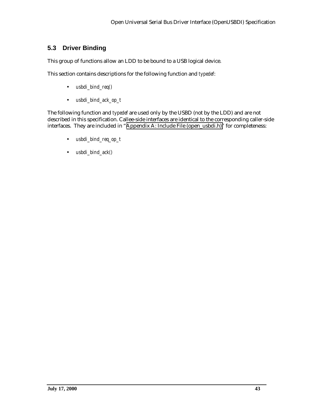# **5.3 Driver Binding**

This group of functions allow an LDD to be bound to a USB logical device.

This section contains descriptions for the following function and *typedef*:

- *usbdi\_bind\_req()*
- *usbdi\_bind\_ack\_op\_t*

The following function and *typedef* are used only by the USBD (not by the LDD) and are not described in this specification. Callee-side interfaces are identical to the corresponding caller-side interfaces. They are included in "[Appendix A: Include File \(open\\_usbdi.h\)"](#page-143-0) for completeness:

- *usbdi\_bind\_req\_op\_t*
- *usbdi\_bind\_ack()*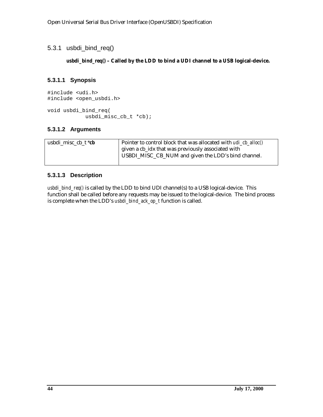### 5.3.1 usbdi\_bind\_req()

#### *usbdi\_bind\_req()* **– Called by the LDD to bind a UDI channel to a USB logical-device.**

#### **5.3.1.1 Synopsis**

```
#include <udi.h>
#include <open_usbdi.h>
void usbdi_bind_req(
            usbdi_misc_cb_t *cb);
```
#### **5.3.1.2 Arguments**

```
usbdi_misc_cb_t *cb Pointer to control block that was allocated with udi_cb_alloc()
                            given a cb_idx that was previously associated with
                            USBDI_MISC_CB_NUM and given the LDD's bind channel.
```
### **5.3.1.3 Description**

*usbdi\_bind\_req()* is called by the LDD to bind UDI channel(s) to a USB logical-device. This function shall be called before any requests may be issued to the logical-device. The bind process is complete when the LDD's *usbdi\_bind\_ack\_op\_t* function is called.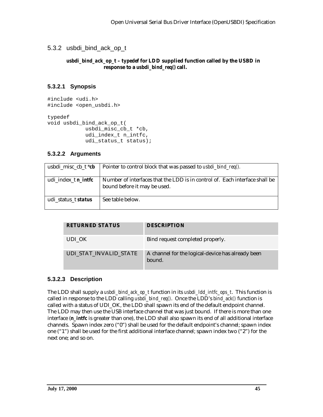## <span id="page-44-0"></span>5.3.2 usbdi\_bind\_ack\_op\_t

#### *usbdi\_bind\_ack\_op\_t* **–** *typedef* **for LDD supplied function called by the USBD in response to a** *usbdi\_bind\_req()* **call.**

#### **5.3.2.1 Synopsis**

#include <udi.h> #include <open\_usbdi.h> typedef void usbdi\_bind\_ack\_op\_t(

#### usbdi\_misc\_cb\_t \*cb, udi\_index\_t n\_intfc, udi\_status\_t status);

### **5.3.2.2 Arguments**

| usbdi_misc_cb_t * <b>cb</b> | Pointer to control block that was passed to <i>usbdi_bind_req()</i> .                                       |
|-----------------------------|-------------------------------------------------------------------------------------------------------------|
| udi index_t <i>n_intfc</i>  | Number of interfaces that the LDD is in control of. Each interface shall be<br>bound before it may be used. |
| udi status t <b>status</b>  | See table below.                                                                                            |

| <b>RETURNED STATUS</b> | <b>DESCRIPTION</b>                                          |
|------------------------|-------------------------------------------------------------|
| UDI OK                 | Bind request completed properly.                            |
| UDI STAT INVALID STATE | A channel for the logical-device has already been<br>bound. |

#### **5.3.2.3 Description**

The LDD shall supply a *usbdi\_bind\_ack\_op\_t* function in its *usbdi\_ldd\_intfc\_ops\_t*. This function is called in response to the LDD calling *usbdi\_bind\_req()*. Once the LDD's *bind\_ack()* function is called with a status of UDI\_OK, the LDD shall spawn its end of the default endpoint channel. The LDD may then use the USB interface channel that was just bound. If there is more than one interface (*n\_intfc* is greater than one), the LDD shall also spawn its end of all additional interface channels. Spawn index zero ("0") shall be used for the default endpoint's channel; spawn index one ("1") shall be used for the first additional interface channel; spawn index two ("2") for the next one; and so on.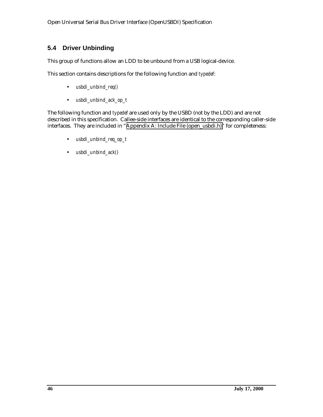# **5.4 Driver Unbinding**

This group of functions allow an LDD to be unbound from a USB logical-device.

This section contains descriptions for the following function and *typedef*:

- *usbdi\_unbind\_req()*
- *usbdi\_unbind\_ack\_op\_t*

The following function and *typedef* are used only by the USBD (not by the LDD) and are not described in this specification. Callee-side interfaces are identical to the corresponding caller-side interfaces. They are included in "[Appendix A: Include File \(open\\_usbdi.h\)"](#page-143-0) for completeness:

- *usbdi\_unbind\_req\_op\_t*
- *usbdi\_unbind\_ack()*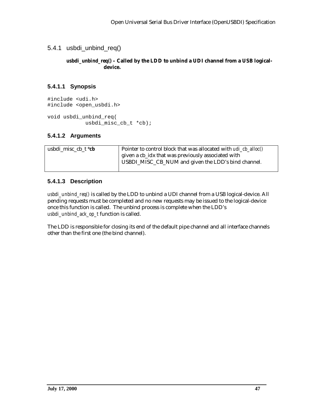5.4.1 usbdi\_unbind\_req()

#### *usbdi\_unbind\_req()* **– Called by the LDD to unbind a UDI channel from a USB logicaldevice.**

## **5.4.1.1 Synopsis**

```
#include <udi.h>
#include <open_usbdi.h>
void usbdi_unbind_req(
            usbdi_misc_cb_t *cb);
```
## **5.4.1.2 Arguments**

| usbdi misc cb $t * cb$ | Pointer to control block that was allocated with <i>udi ch alloc()</i> |
|------------------------|------------------------------------------------------------------------|
|                        | given a cb_idx that was previously associated with                     |
|                        | USBDI_MISC_CB_NUM and given the LDD's bind channel.                    |
|                        |                                                                        |

## **5.4.1.3 Description**

*usbdi\_unbind\_req()* is called by the LDD to unbind a UDI channel from a USB logical-device. All pending requests must be completed and no new requests may be issued to the logical-device once this function is called. The unbind process is complete when the LDD's *usbdi\_unbind\_ack\_op\_t* function is called.

The LDD is responsible for closing its end of the default pipe channel and all interface channels other than the first one (the bind channel).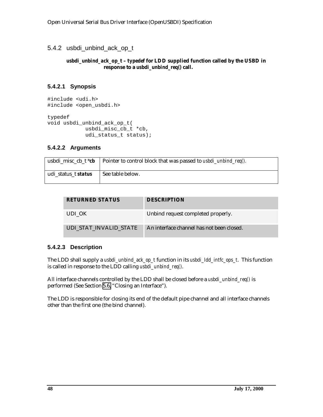### 5.4.2 usbdi\_unbind\_ack\_op\_t

#### *usbdi\_unbind\_ack\_op\_t* **–** *typedef* **for LDD supplied function called by the USBD in response to a** *usbdi\_unbind\_req()* **call.**

#### **5.4.2.1 Synopsis**

```
#include <udi.h>
#include <open_usbdi.h>
typedef
void usbdi_unbind_ack_op_t(
            usbdi_misc_cb_t *cb,
            udi_status_t status);
```
#### **5.4.2.2 Arguments**

|                     | usbdi_misc_cb_t *cb   Pointer to control block that was passed to usbdi_unbind_req(). |
|---------------------|---------------------------------------------------------------------------------------|
| udi_status_t status | See table below.                                                                      |

| <b>RETURNED STATUS</b> | <b>DESCRIPTION</b>                        |
|------------------------|-------------------------------------------|
| UDI OK                 | Unbind request completed properly.        |
| UDI STAT INVALID STATE | An interface channel has not been closed. |

## **5.4.2.3 Description**

The LDD shall supply a *usbdi\_unbind\_ack\_op\_t* function in its *usbdi\_ldd\_intfc\_ops\_t*. This function is called in response to the LDD calling *usbdi\_unbind\_req()*.

All interface channels controlled by the LDD shall be closed before a *usbdi\_unbind\_req()* is performed (See Section [5.6,](#page-52-0) "Closing an Interface").

The LDD is responsible for closing its end of the default pipe channel and all interface channels other than the first one (the bind channel).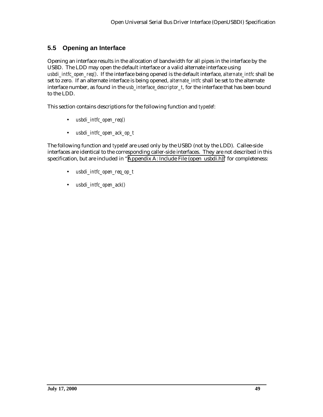# **5.5 Opening an Interface**

Opening an interface results in the allocation of bandwidth for all pipes in the interface by the USBD. The LDD may open the default interface or a valid alternate interface using *usbdi\_intfc\_open\_req()*. If the interface being opened is the default interface, *alternate\_intfc* shall be set to zero. If an alternate interface is being opened, *alternate\_intfc* shall be set to the alternate interface number, as found in the *usb\_interface\_descriptor\_t,* for the interface that has been bound to the LDD.

This section contains descriptions for the following function and *typedef*:

- *usbdi\_intfc\_open\_req()*
- *usbdi\_intfc\_open\_ack\_op\_t*

The following function and *typedef* are used only by the USBD (not by the LDD). Callee-side interfaces are identical to the corresponding caller-side interfaces. They are not described in this specification, but are included in "[Appendix A: Include File \(open\\_usbdi.h\)"](#page-143-0) for completeness:

- *usbdi\_intfc\_open\_req\_op\_t*
- *usbdi\_intfc\_open\_ack()*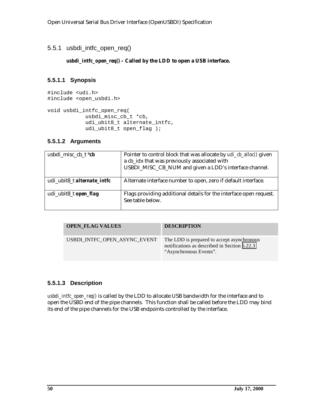#### 5.5.1 usbdi\_intfc\_open\_req()

#### *usbdi\_intfc\_open\_req()* **– Called by the LDD to open a USB interface.**

#### **5.5.1.1 Synopsis**

#include <udi.h> #include <open\_usbdi.h>

```
void usbdi_intfc_open_req(
           usbdi misc cb t *cb,
            udi_ubit8_t alternate_intfc,
            udi_ubit8_t open_flag );
```
#### **5.5.1.2 Arguments**

| usbdi_misc_cb_t $*$ <i>cb</i> | Pointer to control block that was allocate by <i>udi_cb_alloc()</i> given<br>a cb_idx that was previously associated with<br>USBDI_MISC_CB_NUM and given a LDD's interface channel. |
|-------------------------------|-------------------------------------------------------------------------------------------------------------------------------------------------------------------------------------|
| udi_ubit8_t alternate_intfc   | Alternate interface number to open, zero if default interface.                                                                                                                      |
| udi_ubit8_t open_flag         | Flags providing additional details for the interface open request.<br>See table below.                                                                                              |

| <b>OPEN FLAG VALUES</b>      | <b>DESCRIPTION</b>                                                                                                   |
|------------------------------|----------------------------------------------------------------------------------------------------------------------|
| USBDI INTFC OPEN ASYNC EVENT | The LDD is prepared to accept asynchronous<br>notifications as described in Section 5.22.3<br>"Asynchronous Events". |

#### **5.5.1.3 Description**

*usbdi\_intfc\_open\_req()* is called by the LDD to allocate USB bandwidth for the interface and to open the USBD end of the pipe channels. This function shall be called before the LDD may bind its end of the pipe channels for the USB endpoints controlled by the interface.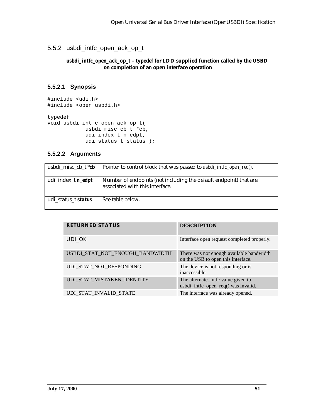## 5.5.2 usbdi\_intfc\_open\_ack\_op\_t

#### *usbdi\_intfc\_open\_ack\_op\_t* **–** *typedef* **for LDD supplied function called by the USBD on completion of an open interface operation**.

### **5.5.2.1 Synopsis**

```
#include <udi.h>
#include <open_usbdi.h>
typedef
void usbdi_intfc_open_ack_op_t(
            usbdi_misc_cb_t *cb,
            udi_index_t n_edpt,
```

```
udi_status_t status );
```
### **5.5.2.2 Arguments**

| usbdi_misc_cb_t * <b>cb</b> | Pointer to control block that was passed to <i>usbdi_intfc_open_req()</i> .                          |
|-----------------------------|------------------------------------------------------------------------------------------------------|
| udi_index_t <i>n_edpt</i>   | Number of endpoints (not including the default endpoint) that are<br>associated with this interface. |
| udi_status_t status         | See table below.                                                                                     |

| <b>RETURNED STATUS</b>          | <b>DESCRIPTION</b>                                                             |
|---------------------------------|--------------------------------------------------------------------------------|
| UDI OK                          | Interface open request completed properly.                                     |
| USBDI_STAT_NOT_ENOUGH_BANDWIDTH | There was not enough available bandwidth<br>on the USB to open this interface. |
| UDI STAT NOT RESPONDING         | The device is not responding or is<br>inaccessible.                            |
| UDI_STAT_MISTAKEN_IDENTITY      | The alternate_intfc value given to<br>usbdi_intfc_open_req() was invalid.      |
| UDI STAT INVALID STATE          | The interface was already opened.                                              |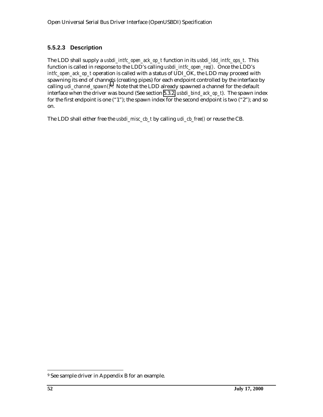## **5.5.2.3 Description**

The LDD shall supply a *usbdi\_intfc\_open\_ack\_op\_t* function in its *usbdi\_ldd\_intfc\_ops\_t*. This function is called in response to the LDD's calling *usbdi\_intfc\_open\_req()*. Once the LDD's *intfc\_open\_ack\_op\_t* operation is called with a status of UDI\_OK, the LDD may proceed with spawning its end of channels (creating pipes) for each endpoint controlled by the interface by calling *udi\_channel\_spawn()*9. Note that the LDD already spawned a channel for the default interface when the driver was bound (See section [5.3.2,](#page-44-0) *usbdi\_bind\_ack\_op\_t*). The spawn index for the first endpoint is one ("1"); the spawn index for the second endpoint is two ("2"); and so on.

The LDD shall either free the *usbdi\_misc\_cb\_t* by calling *udi\_cb\_free()* or reuse the CB.

 $\overline{\phantom{a}}$ 

<sup>9</sup> See sample driver in Appendix B for an example.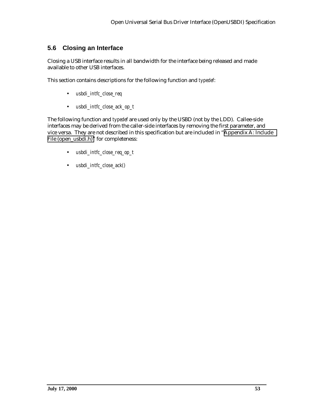## <span id="page-52-0"></span>**5.6 Closing an Interface**

Closing a USB interface results in all bandwidth for the interface being released and made available to other USB interfaces.

This section contains descriptions for the following function and *typedef*:

- *usbdi\_intfc\_close\_req*
- *usbdi\_intfc\_close\_ack\_op\_t*

The following function and *typedef* are used only by the USBD (not by the LDD). Callee-side interfaces may be derived from the caller-side interfaces by removing the first parameter, and vice versa. They are not described in this specification but are included in "[Appendix A: Include](#page-143-0) [File \(open\\_usbdi.h\)"](#page-143-0) for completeness:

- *usbdi\_intfc\_close\_req\_op\_t*
- *usbdi\_intfc\_close\_ack()*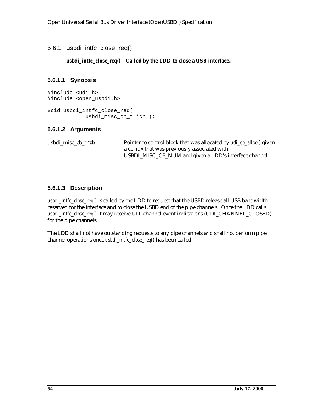5.6.1 usbdi\_intfc\_close\_req()

## *usbdi\_intfc\_close\_req()* **– Called by the LDD to close a USB interface.**

## **5.6.1.1 Synopsis**

```
#include <udi.h>
#include <open_usbdi.h>
void usbdi_intfc_close_req(
            usbdi misc cb t *cb );
```
## **5.6.1.2 Arguments**

```
usbdi misc cb t *cb Pointer to control block that was allocated by udi cb alloc() given
                             a cb_idx that was previously associated with
                             USBDI_MISC_CB_NUM and given a LDD's interface channel.
```
## **5.6.1.3 Description**

*usbdi\_intfc\_close\_req()* is called by the LDD to request that the USBD release all USB bandwidth reserved for the interface and to close the USBD end of the pipe channels. Once the LDD calls *usbdi\_intfc\_close\_req()* it may receive UDI channel event indications (UDI\_CHANNEL\_CLOSED) for the pipe channels.

The LDD shall not have outstanding requests to any pipe channels and shall not perform pipe channel operations once *usbdi\_intfc\_close\_req()* has been called.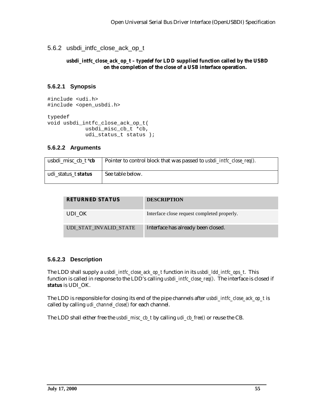5.6.2 usbdi\_intfc\_close\_ack\_op\_t

#### *usbdi\_intfc\_close\_ack\_op\_t* **–** *typedef* **for LDD supplied function called by the USBD on the completion of the close of a USB interface operation.**

### **5.6.2.1 Synopsis**

```
#include <udi.h>
#include <open_usbdi.h>
typedef
void usbdi_intfc_close_ack_op_t(
            usbdi_misc_cb_t *cb,
            udi_status_t status );
```
#### **5.6.2.2 Arguments**

| usbdi_misc_cb_t * <b>cb</b> | Pointer to control block that was passed to <i>usbdi_intfc_close_req()</i> . |
|-----------------------------|------------------------------------------------------------------------------|
| udi status t <i>status</i>  | See table below.                                                             |

| <b>RETURNED STATUS</b> | <b>DESCRIPTION</b>                          |
|------------------------|---------------------------------------------|
| UDI OK                 | Interface close request completed properly. |
| UDI_STAT_INVALID_STATE | Interface has already been closed.          |

#### **5.6.2.3 Description**

The LDD shall supply a *usbdi\_intfc\_close\_ack\_op\_t* function in its *usbdi\_ldd\_intfc\_ops\_t*. This function is called in response to the LDD's calling *usbdi\_intfc\_close\_req()*. The interface is closed if *status* is UDI\_OK.

The LDD is responsible for closing its end of the pipe channels after *usbdi\_intfc\_close\_ack\_op\_t* is called by calling *udi\_channel\_close()* for each channel.

The LDD shall either free the *usbdi\_misc\_cb\_t* by calling *udi\_cb\_free()* or reuse the CB.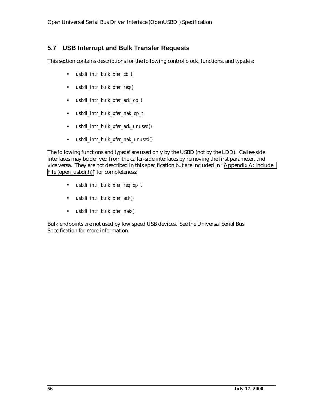## **5.7 USB Interrupt and Bulk Transfer Requests**

This section contains descriptions for the following control block, functions, and *typedefs*:

- *usbdi\_intr\_bulk\_xfer\_cb\_t*
- *usbdi\_intr\_bulk\_xfer\_req()*
- *usbdi\_intr\_bulk\_xfer\_ack\_op\_t*
- *usbdi\_intr\_bulk\_xfer\_nak\_op\_t*
- *usbdi\_intr\_bulk\_xfer\_ack\_unused()*
- *usbdi\_intr\_bulk\_xfer\_nak\_unused()*

The following functions and *typedef* are used only by the USBD (not by the LDD). Callee-side interfaces may be derived from the caller-side interfaces by removing the first parameter, and vice versa. They are not described in this specification but are included in "[Appendix A: Include](#page-143-0) [File \(open\\_usbdi.h\)"](#page-143-0) for completeness:

- *usbdi\_intr\_bulk\_xfer\_req\_op\_t*
- *usbdi\_intr\_bulk\_xfer\_ack()*
- *usbdi\_intr\_bulk\_xfer\_nak()*

Bulk endpoints are not used by low speed USB devices. See the Universal Serial Bus Specification for more information.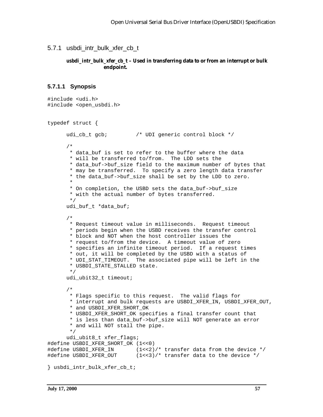5.7.1 usbdi\_intr\_bulk\_xfer\_cb\_t

#### *usbdi\_intr\_bulk\_xfer\_cb\_t* **– Used in transferring data to or from an interrupt or bulk endpoint.**

#### **5.7.1.1 Synopsis**

```
#include <udi.h>
#include <open_usbdi.h>
typedef struct {
      udi_cb_t gcb; \frac{1}{2} /* UDI generic control block */
      /*
       * data buf is set to refer to the buffer where the data
        * will be transferred to/from. The LDD sets the
        * data_buf->buf_size field to the maximum number of bytes that
        * may be transferred. To specify a zero length data transfer
        * the data_buf->buf_size shall be set by the LDD to zero.
       *
        * On completion, the USBD sets the data_buf->buf_size
        * with the actual number of bytes transferred.
        */
      udi buf t *data buf;
      /*
        * Request timeout value in milliseconds. Request timeout
        * periods begin when the USBD receives the transfer control
        * block and NOT when the host controller issues the
        * request to/from the device. A timeout value of zero
        * specifies an infinite timeout period. If a request times
        * out, it will be completed by the USBD with a status of
        * UDI_STAT_TIMEOUT. The associated pipe will be left in the
        * USBDI_STATE_STALLED state.
        */
      udi ubit32 t timeout;
      /*
        * Flags specific to this request. The valid flags for
        * interrupt and bulk requests are USBDI_XFER_IN, USBDI_XFER_OUT,
        * and USBDI_XFER_SHORT_OK
        * USBDI_XFER_SHORT_OK specifies a final transfer count that
        * is less than data_buf->buf_size will NOT generate an error
        * and will NOT stall the pipe.
        */
      udi ubit8 t xfer flags;
#define USBDI_XFER_SHORT_OK (1<<0)
#define USBDI_XFER_IN (1<<2)/* transfer data from the device */
#define USBDI_XFER_OUT (1<<3)/* transfer data to the device */
} usbdi_intr_bulk_xfer_cb_t;
```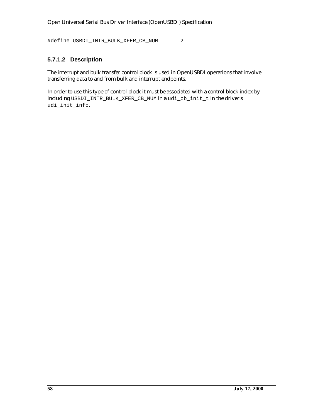#define USBDI\_INTR\_BULK\_XFER\_CB\_NUM 2

# **5.7.1.2 Description**

The interrupt and bulk transfer control block is used in OpenUSBDI operations that involve transferring data to and from bulk and interrupt endpoints.

In order to use this type of control block it must be associated with a control block index by including USBDI\_INTR\_BULK\_XFER\_CB\_NUM in a udi\_cb\_init\_t in the driver's udi\_init\_info.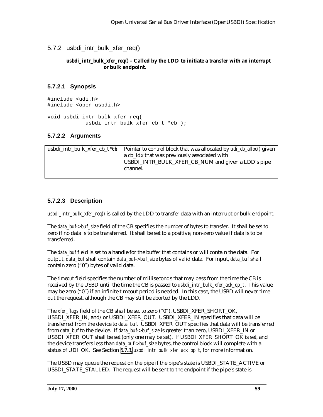5.7.2 usbdi\_intr\_bulk\_xfer\_req()

#### *usbdi\_intr\_bulk\_xfer\_req()* **– Called by the LDD to initiate a transfer with an interrupt or bulk endpoint.**

## **5.7.2.1 Synopsis**

```
#include <udi.h>
#include <open_usbdi.h>
void usbdi_intr_bulk_xfer_req(
            usbdi_intr_bulk_xfer_cb_t *cb );
```
### **5.7.2.2 Arguments**

| usbdi_intr_bulk_xfer_cb_t $*$ cb   Pointer to control block that was allocated by <i>udi_cb_alloc()</i> given |
|---------------------------------------------------------------------------------------------------------------|
| a cb_idx that was previously associated with                                                                  |
| USBDI_INTR_BULK_XFER_CB_NUM and given a LDD's pipe                                                            |
| channel.                                                                                                      |
|                                                                                                               |

### **5.7.2.3 Description**

*usbdi\_intr\_bulk\_xfer\_req()* is called by the LDD to transfer data with an interrupt or bulk endpoint.

The *data\_buf->buf\_size* field of the CB specifies the number of bytes to transfer. It shall be set to zero if no data is to be transferred. It shall be set to a positive, non-zero value if data is to be transferred.

The *data\_buf* field is set to a handle for the buffer that contains or will contain the data. For output, *data\_buf* shall contain *data\_buf->buf\_size* bytes of valid data. For input, *data\_buf* shall contain zero ("0") bytes of valid data.

The *timeout* field specifies the number of milliseconds that may pass from the time the CB is received by the USBD until the time the CB is passed to *usbdi\_intr\_bulk\_xfer\_ack\_op\_t*. This value may be zero ("0") if an infinite timeout period is needed. In this case, the USBD will never time out the request, although the CB may still be aborted by the LDD.

The *xfer\_flags* field of the CB shall be set to zero ("0"), USBDI\_XFER\_SHORT\_OK, USBDI\_XFER\_IN, and/or USBDI\_XFER\_OUT. USBDI\_XFER\_IN specifies that data will be transferred from the device to *data\_buf*. USBDI\_XFER\_OUT specifies that data will be transferred from *data\_buf* to the device. If *data\_buf->buf\_size* is greater than zero, USBDI\_XFER\_IN or USBDI\_XFER\_OUT shall be set (only one may be set). If USBDI\_XFER\_SHORT\_OK is set, and the device transfers less than *data\_buf->buf\_size* bytes, the control block will complete with a status of UDI\_OK. See Section [5.7.3,](#page-60-0) *usbdi\_intr\_bulk\_xfer\_ack\_op\_t,* for more information.

The USBD may queue the request on the pipe if the pipe's state is USBDI\_STATE\_ACTIVE or USBDI\_STATE\_STALLED. The request will be sent to the endpoint if the pipe's state is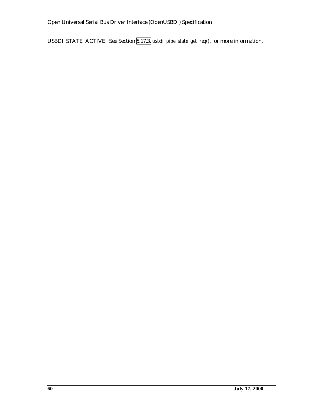USBDI\_STATE\_ACTIVE. See Section [5.17.3,](#page-109-0) *usbdi\_pipe\_state\_get\_req(),* for more information.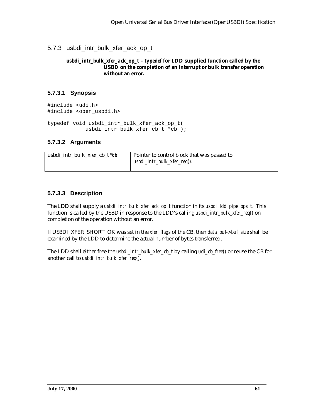<span id="page-60-0"></span>5.7.3 usbdi\_intr\_bulk\_xfer\_ack\_op\_t

#### *usbdi\_intr\_bulk\_xfer\_ack\_op\_t* **–** *typedef* **for LDD supplied function called by the USBD on the completion of an interrupt or bulk transfer operation without an error.**

## **5.7.3.1 Synopsis**

#include <udi.h> #include <open\_usbdi.h>

typedef void usbdi\_intr\_bulk\_xfer\_ack\_op\_t( usbdi\_intr\_bulk\_xfer\_cb\_t \*cb );

### **5.7.3.2 Arguments**

| usbdi intr bulk xfer cb $t * cb$ | Pointer to control block that was passed to<br>usbdi_intr_bulk_xfer_req(). |
|----------------------------------|----------------------------------------------------------------------------|
|                                  |                                                                            |

### **5.7.3.3 Description**

The LDD shall supply a *usbdi\_intr\_bulk\_xfer\_ack\_op\_t* function in its *usbdi\_ldd\_pipe\_ops\_t*. This function is called by the USBD in response to the LDD's calling *usbdi\_intr\_bulk\_xfer\_req()* on completion of the operation without an error*.*

If USBDI\_XFER\_SHORT\_OK was set in the *xfer\_flags* of the CB, then *data\_buf->buf\_size* shall be examined by the LDD to determine the actual number of bytes transferred.

The LDD shall either free the *usbdi\_intr\_bulk\_xfer\_cb\_t* by calling *udi\_cb\_free()* or reuse the CB for another call to *usbdi\_intr\_bulk\_xfer\_req()*.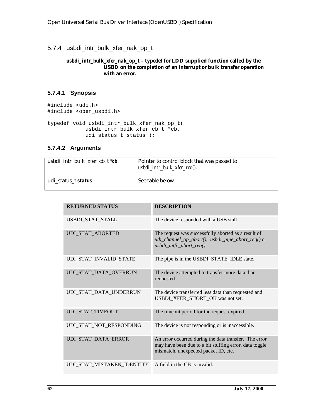5.7.4 usbdi\_intr\_bulk\_xfer\_nak\_op\_t

#### *usbdi\_intr\_bulk\_xfer\_nak\_op\_t* **–** *typedef* **for LDD supplied function called by the USBD on the completion of an interrupt or bulk transfer operation with an error.**

## **5.7.4.1 Synopsis**

#include <udi.h> #include <open\_usbdi.h>

```
typedef void usbdi_intr_bulk_xfer_nak_op_t(
           usbdi_intr_bulk_xfer_cb_t *cb,
           udi_status_t status );
```
#### **5.7.4.2 Arguments**

| usbdi_intr_bulk_xfer_cb_t *cb | Pointer to control block that was passed to<br>usbdi_intr_bulk_xfer_req(). |
|-------------------------------|----------------------------------------------------------------------------|
| udi_status_t <i>status</i>    | See table below.                                                           |

| <b>RETURNED STATUS</b>     | <b>DESCRIPTION</b>                                                                                                                                      |
|----------------------------|---------------------------------------------------------------------------------------------------------------------------------------------------------|
| USBDI_STAT_STALL           | The device responded with a USB stall.                                                                                                                  |
| <b>UDI_STAT_ABORTED</b>    | The request was successfully aborted as a result of<br>udi_channel_op_abort(), usbdi_pipe_abort_req() or<br>$usbdi\_intfc\_abort\_req()$ .              |
| UDI_STAT_INVALID_STATE     | The pipe is in the USBDI_STATE_IDLE state.                                                                                                              |
| UDI_STAT_DATA_OVERRUN      | The device attempted to transfer more data than<br>requested.                                                                                           |
| UDI_STAT_DATA_UNDERRUN     | The device transferred less data than requested and<br>USBDI_XFER_SHORT_OK was not set.                                                                 |
| UDI_STAT_TIMEOUT           | The timeout period for the request expired.                                                                                                             |
| UDI_STAT_NOT_RESPONDING    | The device is not responding or is inaccessible.                                                                                                        |
| UDI_STAT_DATA_ERROR        | An error occurred during the data transfer. The error<br>may have been due to a bit stuffing error, data toggle<br>mismatch, unexpected packet ID, etc. |
| UDI_STAT_MISTAKEN_IDENTITY | A field in the CB is invalid.                                                                                                                           |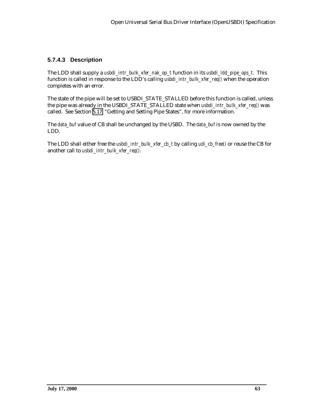## **5.7.4.3 Description**

The LDD shall supply a *usbdi\_intr\_bulk\_xfer\_nak\_op\_t* function in its *usbdi\_ldd\_pipe\_ops\_t*. This function is called in response to the LDD's calling *usbdi\_intr\_bulk\_xfer\_req()* when the operation completes with an error*.*

The state of the pipe will be set to USBDI\_STATE\_STALLED before this function is called, unless the pipe was already in the USBDI\_STATE\_STALLED state when *usbdi\_intr\_bulk\_xfer\_req()* was called. See Section [5.17,](#page-106-0) "Getting and Setting Pipe States", for more information.

The *data\_buf* value of CB shall be unchanged by the USBD. The *data\_buf* is now owned by the LDD.

The LDD shall either free the *usbdi\_intr\_bulk\_xfer\_cb\_t* by calling *udi\_cb\_free()* or reuse the CB for another call to *usbdi\_intr\_bulk\_xfer\_req()*.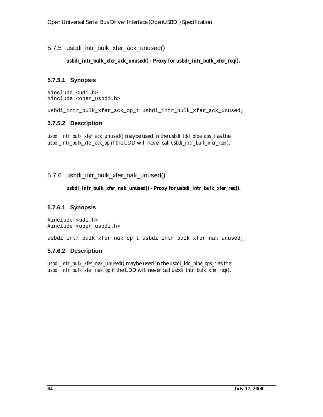## 5.7.5 usbdi\_intr\_bulk\_xfer\_ack\_unused()

### *usbdi\_intr\_bulk\_xfer\_ack\_unused()* **- Proxy for** *usbdi\_intr\_bulk\_xfer\_req()***.**

## **5.7.5.1 Synopsis**

#include <udi.h> #include <open\_usbdi.h>

usbdi\_intr\_bulk\_xfer\_ack\_op\_t usbdi\_intr\_bulk\_xfer\_ack\_unused;

## **5.7.5.2 Description**

*usbdi\_intr\_bulk\_xfer\_ack\_unused()* maybe used in the *usbdi\_ldd\_pipe\_ops\_t* as the *usbdi\_intr\_bulk\_xfer\_ack\_op* if the LDD will never call *usbdi\_intr\_bulk\_xfer\_req()*.

## 5.7.6 usbdi\_intr\_bulk\_xfer\_nak\_unused()

*usbdi\_intr\_bulk\_xfer\_nak\_unused()* **- Proxy for** *usbdi\_intr\_bulk\_xfer\_req()***.**

## **5.7.6.1 Synopsis**

#include <udi.h> #include <open\_usbdi.h>

usbdi\_intr\_bulk\_xfer\_nak\_op\_t usbdi\_intr\_bulk\_xfer\_nak\_unused;

## **5.7.6.2 Description**

*usbdi\_intr\_bulk\_xfer\_nak\_unused()* maybe used in the *usbdi\_ldd\_pipe\_ops\_t* as the *usbdi\_intr\_bulk\_xfer\_nak\_op* if the LDD will never call *usbdi\_intr\_bulk\_xfer\_req()*.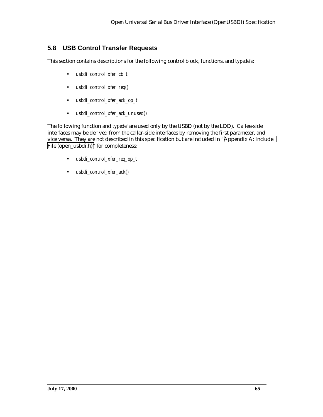# **5.8 USB Control Transfer Requests**

This section contains descriptions for the following control block, functions, and *typedefs*:

- *usbdi\_control\_xfer\_cb\_t*
- *usbdi\_control\_xfer\_req()*
- *usbdi\_control\_xfer\_ack\_op\_t*
- *usbdi\_control\_xfer\_ack\_unused()*

The following function and *typedef* are used only by the USBD (not by the LDD). Callee-side interfaces may be derived from the caller-side interfaces by removing the first parameter, and vice versa. They are not described in this specification but are included in "[Appendix A: Include](#page-143-0) [File \(open\\_usbdi.h\)"](#page-143-0) for completeness:

- *usbdi\_control\_xfer\_req\_op\_t*
- *usbdi\_control\_xfer\_ack()*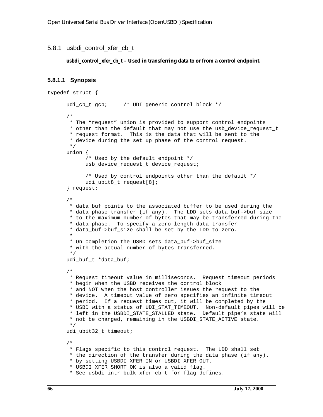#### 5.8.1 usbdi\_control\_xfer\_cb\_t

#### *usbdi\_control\_xfer\_cb\_t* **– Used in transferring data to or from a control endpoint.**

#### **5.8.1.1 Synopsis**

```
typedef struct {
      udi_cb_t gcb; /* UDI generic control block */
      /*
        * The "request" union is provided to support control endpoints
        * other than the default that may not use the usb_device_request_t
        * request format. This is the data that will be sent to the
        * device during the set up phase of the control request.
        */
      union {
            /* Used by the default endpoint */
            usb_device_request_t device_request;
            /* Used by control endpoints other than the default */
            udi_ubit8_t request[8];
      } request;
      /*
        * data_buf points to the associated buffer to be used during the
       * data phase transfer (if any). The LDD sets data buf->buf size
        * to the maximum number of bytes that may be transferred during the
        * data phase. To specify a zero length data transfer
        * data_buf->buf_size shall be set by the LDD to zero.
       *
        * On completion the USBD sets data_buf->buf_size
        * with the actual number of bytes transferred.
        */
      udi_buf_t *data_buf;
      /*
        * Request timeout value in milliseconds. Request timeout periods
        * begin when the USBD receives the control block
        * and NOT when the host controller issues the request to the
        * device. A timeout value of zero specifies an infinite timeout
        * period. If a request times out, it will be completed by the
        * USBD with a status of UDI_STAT_TIMEOUT. Non-default pipes will be
        * left in the USBDI_STATE_STALLED state. Default pipe's state will
       * not be changed, remaining in the USBDI STATE ACTIVE state.
        */
      udi_ubit32_t timeout;
      /*
        * Flags specific to this control request. The LDD shall set
        * the direction of the transfer during the data phase (if any).
        * by setting USBDI_XFER_IN or USBDI_XFER_OUT.
        * USBDI_XFER_SHORT_OK is also a valid flag.
        * See usbdi_intr_bulk_xfer_cb_t for flag defines.
```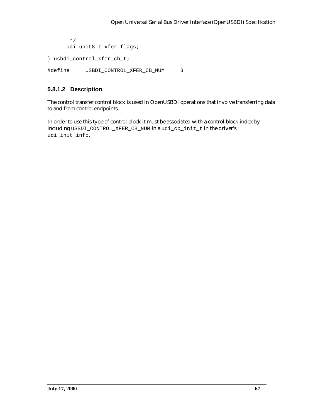```
 */
     udi_ubit8_t xfer_flags;
} usbdi_control_xfer_cb_t;
#define USBDI_CONTROL_XFER_CB_NUM 3
```
## **5.8.1.2 Description**

The control transfer control block is used in OpenUSBDI operations that involve transferring data to and from control endpoints.

In order to use this type of control block it must be associated with a control block index by including USBDI\_CONTROL\_XFER\_CB\_NUM in a udi\_cb\_init\_t in the driver's udi\_init\_info.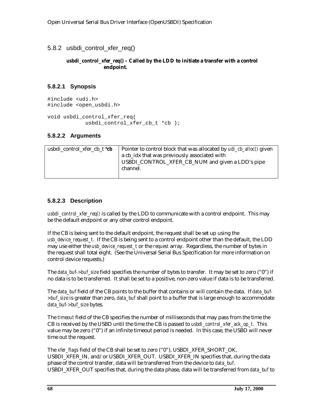5.8.2 usbdi\_control\_xfer\_req()

#### *usbdi\_control\_xfer\_req()* **– Called by the LDD to initiate a transfer with a control endpoint.**

### **5.8.2.1 Synopsis**

```
#include <udi.h>
#include <open_usbdi.h>
void usbdi_control_xfer_req(
            usbdi_control_xfer_cb_t *cb );
```
### **5.8.2.2 Arguments**

| usbdi control xfer cb $t * cb$ | Pointer to control block that was allocated by <i>udi_cb_alloc()</i> given |
|--------------------------------|----------------------------------------------------------------------------|
|                                | a cb_idx that was previously associated with                               |
|                                | USBDI_CONTROL_XFER_CB_NUM and given a LDD's pipe                           |
|                                | channel.                                                                   |
|                                |                                                                            |

### **5.8.2.3 Description**

*usbdi\_control\_xfer\_req()* is called by the LDD to communicate with a control endpoint. This may be the default endpoint or any other control endpoint.

If the CB is being sent to the default endpoint, the request shall be set up using the *usb\_device\_request\_t*. If the CB is being sent to a control endpoint other than the default, the LDD may use either the *usb\_device\_request\_t* or the *request* array. Regardless, the number of bytes in the request shall total eight. (See the Universal Serial Bus Specification for more information on control device requests.)

The *data* buf->buf size field specifies the number of bytes to transfer. It may be set to zero ("0") if no data is to be transferred. It shall be set to a positive, non-zero value if data is to be transferred.

The *data\_buf* field of the CB points to the buffer that contains or will contain the data. If *data\_buf- >buf\_size* is greater than zero, *data\_buf* shall point to a buffer that is large enough to accommodate *data\_buf->buf\_size* bytes.

The *timeout* field of the CB specifies the number of milliseconds that may pass from the time the CB is received by the USBD until the time the CB is passed to *usbdi\_control\_xfer\_ack\_op\_t*. This value may be zero ("0") if an infinite timeout period is needed. In this case, the USBD will never time out the request.

The *xfer\_flags* field of the CB shall be set to zero ("0"), USBDI\_XFER\_SHORT\_OK, USBDI\_XFER\_IN, and/or USBDI\_XFER\_OUT. USBDI\_XFER\_IN specifies that, during the data phase of the control transfer, data will be transferred from the device to *data\_buf*. USBDI\_XFER\_OUT specifies that, during the data phase, data will be transferred from *data\_buf* to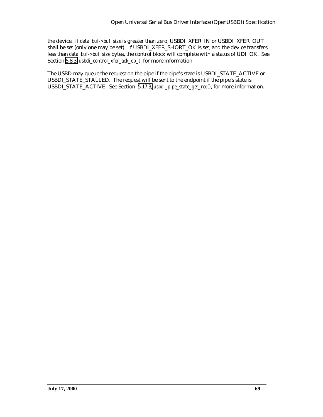the device. If *data\_buf->buf\_size* is greater than zero, USBDI\_XFER\_IN or USBDI\_XFER\_OUT shall be set (only one may be set). If USBDI\_XFER\_SHORT\_OK is set, and the device transfers less than *data\_buf->buf\_size* bytes, the control block will complete with a status of UDI\_OK. See Section [5.8.3,](#page-69-0) *usbdi\_control\_xfer\_ack\_op\_t,* for more information.

The USBD may queue the request on the pipe if the pipe's state is USBDI\_STATE\_ACTIVE or USBDI\_STATE\_STALLED. The request will be sent to the endpoint if the pipe's state is USBDI\_STATE\_ACTIVE. See Section [5.17.3,](#page-109-0) *usbdi\_pipe\_state\_get\_req(),* for more information.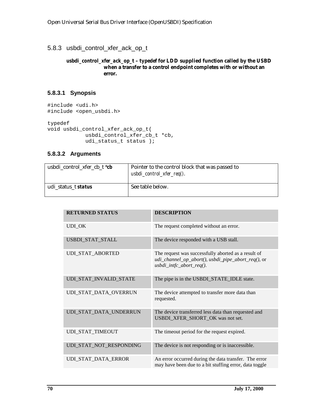#### <span id="page-69-0"></span>5.8.3 usbdi\_control\_xfer\_ack\_op\_t

#### *usbdi\_control\_xfer\_ack\_op\_t* **–** *typedef* **for LDD supplied function called by the USBD when a transfer to a control endpoint completes with or without an error.**

### **5.8.3.1 Synopsis**

```
#include <udi.h>
#include <open_usbdi.h>
```

```
typedef
void usbdi_control_xfer_ack_op_t(
           usbdi_control_xfer_cb_t *cb,
            udi_status_t status );
```
### **5.8.3.2 Arguments**

| usbdi_control_xfer_cb_t $*$ <b>cb</b> | Pointer to the control block that was passed to<br>$usbdi\_control\_xfer\_req()$ . |
|---------------------------------------|------------------------------------------------------------------------------------|
| udi_status_t <i>status</i>            | See table below.                                                                   |

| <b>RETURNED STATUS</b>  | <b>DESCRIPTION</b>                                                                                                                          |
|-------------------------|---------------------------------------------------------------------------------------------------------------------------------------------|
| <b>UDI_OK</b>           | The request completed without an error.                                                                                                     |
| USBDI_STAT_STALL        | The device responded with a USB stall.                                                                                                      |
| <b>UDI_STAT_ABORTED</b> | The request was successfully aborted as a result of<br>udi_channel_op_abort(), usbdi_pipe_abort_req(), or<br>$usbdi\_intfc\_abort\_req()$ . |
| UDI_STAT_INVALID_STATE  | The pipe is in the USBDI_STATE_IDLE state.                                                                                                  |
| UDI_STAT_DATA_OVERRUN   | The device attempted to transfer more data than<br>requested.                                                                               |
| UDI_STAT_DATA_UNDERRUN  | The device transferred less data than requested and<br>USBDI_XFER_SHORT_OK was not set.                                                     |
| UDI_STAT_TIMEOUT        | The timeout period for the request expired.                                                                                                 |
| UDI_STAT_NOT_RESPONDING | The device is not responding or is inaccessible.                                                                                            |
| UDI_STAT_DATA_ERROR     | An error occurred during the data transfer. The error<br>may have been due to a bit stuffing error, data toggle                             |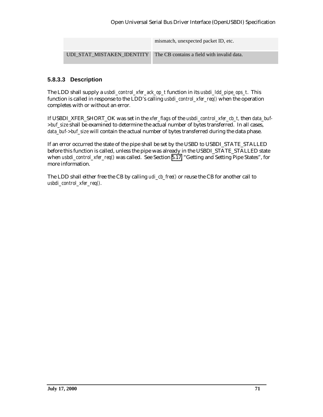|                            | mismatch, unexpected packet ID, etc.       |
|----------------------------|--------------------------------------------|
| UDI STAT MISTAKEN IDENTITY | The CB contains a field with invalid data. |

### **5.8.3.3 Description**

The LDD shall supply a *usbdi\_control\_xfer\_ack\_op\_t* function in its *usbdi\_ldd\_pipe\_ops\_t*. This function is called in response to the LDD's calling *usbdi\_control\_xfer\_req()* when the operation completes with or without an error*.*

If USBDI\_XFER\_SHORT\_OK was set in the *xfer\_flags* of the *usbdi\_control\_xfer\_cb\_t,* then *data\_buf- >buf\_size* shall be examined to determine the actual number of bytes transferred. In all cases, *data\_buf->buf\_size* will contain the actual number of bytes transferred during the data phase.

If an error occurred the state of the pipe shall be set by the USBD to USBDI\_STATE\_STALLED before this function is called, unless the pipe was already in the USBDI\_STATE\_STALLED state when *usbdi\_control\_xfer\_req()* was called. See Section [5.17,](#page-106-0) "Getting and Setting Pipe States", for more information.

The LDD shall either free the CB by calling *udi\_cb\_free()* or reuse the CB for another call to *usbdi\_control\_xfer\_req()*.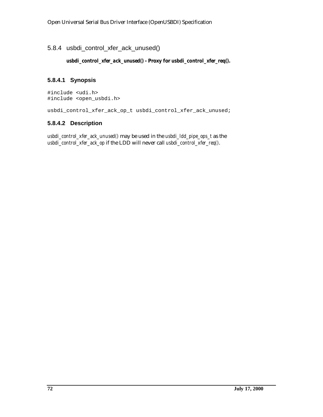#### 5.8.4 usbdi\_control\_xfer\_ack\_unused()

#### *usbdi\_control\_xfer\_ack\_unused()* **- Proxy for** *usbdi\_control\_xfer\_req()***.**

### **5.8.4.1 Synopsis**

#include <udi.h> #include <open\_usbdi.h>

usbdi\_control\_xfer\_ack\_op\_t usbdi\_control\_xfer\_ack\_unused;

## **5.8.4.2 Description**

*usbdi\_control\_xfer\_ack\_unused()* may be used in the *usbdi\_ldd\_pipe\_ops\_t* as the *usbdi\_control\_xfer\_ack\_op* if the LDD will never call *usbdi\_control\_xfer\_req()*.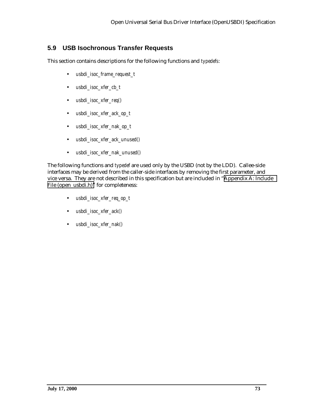# **5.9 USB Isochronous Transfer Requests**

This section contains descriptions for the following functions and *typedefs*:

- *usbdi\_isoc\_frame\_request\_t*
- *usbdi\_isoc\_xfer\_cb\_t*
- *usbdi\_isoc\_xfer\_req()*
- *usbdi\_isoc\_xfer\_ack\_op\_t*
- *usbdi\_isoc\_xfer\_nak\_op\_t*
- *usbdi\_isoc\_xfer\_ack\_unused()*
- *usbdi\_isoc\_xfer\_nak\_unused()*

The following functions and *typedef* are used only by the USBD (not by the LDD). Callee-side interfaces may be derived from the caller-side interfaces by removing the first parameter, and vice versa. They are not described in this specification but are included in "[Appendix A: Include](#page-143-0) [File \(open\\_usbdi.h\)"](#page-143-0) for completeness:

- *usbdi\_isoc\_xfer\_req\_op\_t*
- *usbdi\_isoc\_xfer\_ack()*
- *usbdi\_isoc\_xfer\_nak()*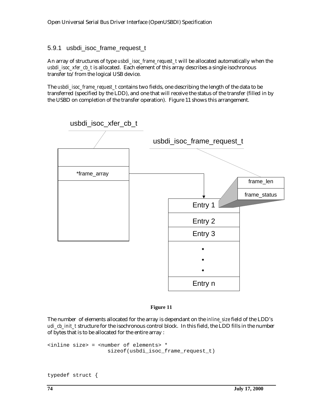# 5.9.1 usbdi\_isoc\_frame\_request\_t

An array of structures of type *usbdi\_isoc\_frame\_request\_t* will be allocated automatically when the *usbdi\_isoc\_xfer\_cb\_t* is allocated. Each element of this array describes a single isochronous transfer to/from the logical USB device.

The *usbdi\_isoc\_frame\_request\_t* contains two fields, one describing the length of the data to be transferred (specified by the LDD), and one that will receive the status of the transfer (filled in by the USBD on completion of the transfer operation). Figure 11 shows this arrangement.





The number of elements allocated for the array is dependant on the *inline\_size* field of the LDD's *udi\_cb\_init\_t* structure for the isochronous control block. In this field, the LDD fills in the number of bytes that is to be allocated for the entire array :

<inline size> = <number of elements> \* sizeof(usbdi\_isoc\_frame\_request\_t)

```
typedef struct {
```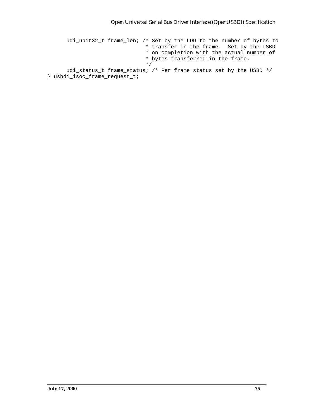udi\_ubit32\_t frame\_len; /\* Set by the LDD to the number of bytes to \* transfer in the frame. Set by the USBD \* on completion with the actual number of \* bytes transferred in the frame. \*/ udi\_status\_t frame\_status; /\* Per frame status set by the USBD \*/ } usbdi\_isoc\_frame\_request\_t;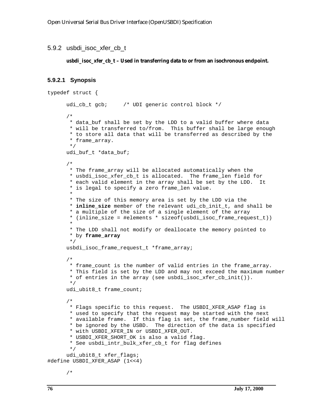#### 5.9.2 usbdi\_isoc\_xfer\_cb\_t

#### *usbdi\_isoc\_xfer\_cb\_t* **– Used in transferring data to or from an isochronous endpoint.**

#### **5.9.2.1 Synopsis**

```
typedef struct {
      udi_cb_t gcb; /* UDI generic control block */
      /*
        * data_buf shall be set by the LDD to a valid buffer where data
        * will be transferred to/from. This buffer shall be large enough
        * to store all data that will be transferred as described by the
        * frame_array.
        */
      udi_buf_t *data_buf;
      /*
        * The frame_array will be allocated automatically when the
        * usbdi_isoc_xfer_cb_t is allocated. The frame_len field for
        * each valid element in the array shall be set by the LDD. It
        * is legal to specify a zero frame_len value.
       *
        * The size of this memory area is set by the LDD via the
        * inline_size member of the relevant udi_cb_init_t, and shall be
        * a multiple of the size of a single element of the array 
        * (inline_size = #elements * sizeof(usbdi_isoc_frame_request_t))
       *
        * The LDD shall not modify or deallocate the memory pointed to
        * by frame_array
        */
      usbdi_isoc_frame_request_t *frame_array;
      /*
        * frame_count is the number of valid entries in the frame_array.
        * This field is set by the LDD and may not exceed the maximum number
        * of entries in the array (see usbdi_isoc_xfer_cb_init()).
        */
      udi_ubit8_t frame_count;
      /*
        * Flags specific to this request. The USBDI_XFER_ASAP flag is
        * used to specify that the request may be started with the next
       * available frame. If this flag is set, the frame number field will
        * be ignored by the USBD. The direction of the data is specified
        * with USBDI_XFER_IN or USBDI_XFER_OUT.
        * USBDI_XFER_SHORT_OK is also a valid flag.
       * See usbdi intr bulk xfer cb t for flag defines
        */
      udi_ubit8_t xfer_flags;
#define USBDI_XFER_ASAP (1<<4)
      /*
```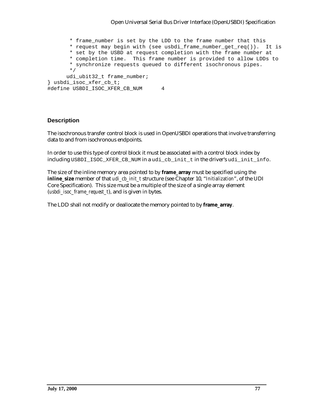\* frame\_number is set by the LDD to the frame number that this \* request may begin with (see usbdi\_frame\_number\_get\_req()). It is \* set by the USBD at request completion with the frame number at \* completion time. This frame number is provided to allow LDDs to \* synchronize requests queued to different isochronous pipes. \*/ udi\_ubit32\_t frame\_number; } usbdi\_isoc\_xfer\_cb\_t; #define USBDI\_ISOC\_XFER\_CB\_NUM 4

#### **Description**

The isochronous transfer control block is used in OpenUSBDI operations that involve transferring data to and from isochronous endpoints.

In order to use this type of control block it must be associated with a control block index by including USBDI\_ISOC\_XFER\_CB\_NUM in a udi\_cb\_init\_t in the driver's udi\_init\_info.

The size of the inline memory area pointed to by **frame\_array** must be specified using the **inline\_size** member of that *udi\_cb\_init\_t* structure (see Chapter 10, "*Initialization*", of the UDI Core Specification). This size must be a multiple of the size of a single array element (*usbdi\_isoc\_frame\_request\_t*), and is given in bytes.

The LDD shall not modify or deallocate the memory pointed to by **frame\_array**.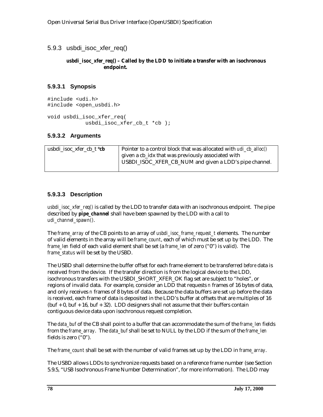5.9.3 usbdi\_isoc\_xfer\_req()

#### *usbdi\_isoc\_xfer\_req()* **– Called by the LDD to initiate a transfer with an isochronous endpoint.**

#### **5.9.3.1 Synopsis**

```
#include <udi.h>
#include <open_usbdi.h>
void usbdi_isoc_xfer_req(
            usbdi_isoc_xfer_cb_t *cb );
```
#### **5.9.3.2 Arguments**

| usbdi_isoc_xfer_cb_t * <i>cb</i> | Pointer to a control block that was allocated with <i>udi_cb_alloc()</i> |
|----------------------------------|--------------------------------------------------------------------------|
|                                  | given a cb_idx that was previously associated with                       |
|                                  | USBDI_ISOC_XFER_CB_NUM and given a LDD's pipe channel.                   |

#### **5.9.3.3 Description**

*usbdi isoc\_xfer\_req()* is called by the LDD to transfer data with an isochronous endpoint. The pipe described by *pipe\_channel* shall have been spawned by the LDD with a call to *udi\_channel\_spawn()*.

The *frame\_array* of the CB points to an array of *usbdi\_isoc\_frame\_request\_t* elements. The number of valid elements in the array will be *frame\_count*, each of which must be set up by the LDD. The *frame\_len* field of each valid element shall be set (a *frame\_len* of zero ("0") is valid). The *frame\_status* will be set by the USBD.

The USBD shall determine the buffer offset for each frame element to be transferred *before* data is received from the device. If the transfer direction is from the logical device to the LDD, isochronous transfers with the USBDI\_SHORT\_XFER\_OK flag set are subject to "holes", or regions of invalid data. For example, consider an LDD that requests *n* frames of 16 bytes of data, and only receives *n* frames of 8 bytes of data. Because the data buffers are set up before the data is received, each frame of data is deposited in the LDD's buffer at offsets that are multiples of 16  $(buf + 0, buf + 16, buf + 32)$ . LDD designers shall not assume that their buffers contain contiguous device data upon isochronous request completion.

The *data\_buf* of the CB shall point to a buffer that can accommodate the sum of the *frame\_len* fields from the *frame\_array*. The *data\_buf* shall be set to NULL by the LDD if the sum of the *frame\_len* fields is zero ("0").

The *frame\_count* shall be set with the number of valid frames set up by the LDD in *frame\_array*.

The USBD allows LDDs to synchronize requests based on a reference frame number (see Section 5.9.5, "USB Isochronous Frame Number Determination", for more information). The LDD may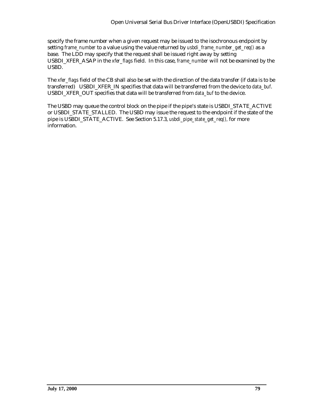specify the frame number when a given request may be issued to the isochronous endpoint by setting *frame\_number* to a value using the value returned by *usbdi\_frame\_number\_get\_req()* as a base. The LDD may specify that the request shall be issued right away by setting USBDI\_XFER\_ASAP in the *xfer\_flags* field. In this case, *frame\_number* will not be examined by the USBD.

The *xfer\_flags* field of the CB shall also be set with the direction of the data transfer (if data is to be transferred) USBDI\_XFER\_IN specifies that data will be transferred from the device to *data\_buf*. USBDI\_XFER\_OUT specifies that data will be transferred from *data\_buf* to the device.

The USBD may queue the control block on the pipe if the pipe's state is USBDI\_STATE\_ACTIVE or USBDI\_STATE\_STALLED. The USBD may issue the request to the endpoint if the state of the pipe is USBDI\_STATE\_ACTIVE. See Section 5.17.3, *usbdi\_pipe\_state\_get\_req(),* for more information.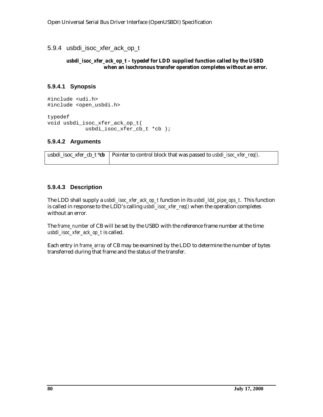5.9.4 usbdi\_isoc\_xfer\_ack\_op\_t

#### *usbdi\_isoc\_xfer\_ack\_op\_t* **–** *typedef* **for LDD supplied function called by the USBD when an isochronous transfer operation completes without an error.**

### **5.9.4.1 Synopsis**

```
#include <udi.h>
#include <open_usbdi.h>
typedef
void usbdi_isoc_xfer_ack_op_t(
            usbdi_isoc_xfer_cb_t *cb );
```
#### **5.9.4.2 Arguments**

| usbdi_isoc_xfer_cb_t *cb   Pointer to control block that was passed to <i>usbdi_isoc_xfer_req()</i> . |
|-------------------------------------------------------------------------------------------------------|
|                                                                                                       |

#### **5.9.4.3 Description**

The LDD shall supply a *usbdi\_isoc\_xfer\_ack\_op\_t* function in its *usbdi\_ldd\_pipe\_ops\_t*. This function is called in response to the LDD's calling *usbdi\_isoc\_xfer\_req()* when the operation completes without an error*.*

The *frame\_number* of CB will be set by the USBD with the reference frame number at the time *usbdi\_isoc\_xfer\_ack\_op\_t* is called.

Each entry in *frame\_array* of CB may be examined by the LDD to determine the number of bytes transferred during that frame and the status of the transfer.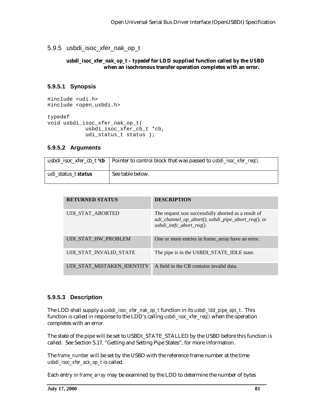5.9.5 usbdi\_isoc\_xfer\_nak\_op\_t

#### *usbdi\_isoc\_xfer\_nak\_op\_t* **–** *typedef* **for LDD supplied function called by the USBD when an isochronous transfer operation completes with an error.**

### **5.9.5.1 Synopsis**

```
#include <udi.h>
#include <open_usbdi.h>
typedef
void usbdi_isoc_xfer_nak_op_t(
            usbdi_isoc_xfer_cb_t *cb,
            udi_status_t status );
```
#### **5.9.5.2 Arguments**

|                            | usbdi_isoc_xfer_cb_t $*$ cb   Pointer to control block that was passed to <i>usbdi_isoc_xfer_req()</i> . |
|----------------------------|----------------------------------------------------------------------------------------------------------|
| udi status t <i>status</i> | See table below.                                                                                         |

| <b>RETURNED STATUS</b>     | <b>DESCRIPTION</b>                                                                                                                    |
|----------------------------|---------------------------------------------------------------------------------------------------------------------------------------|
| UDI STAT ABORTED           | The request was successfully aborted as a result of<br>udi_channel_op_abort(), usbdi_pipe_abort_req(), or<br>usbdi_intfc_abort_req(). |
| UDI STAT HW PROBLEM        | One or more entries in frame_array have an error.                                                                                     |
| UDI STAT INVALID STATE     | The pipe is in the USBDI_STATE_IDLE state.                                                                                            |
| UDI STAT MISTAKEN IDENTITY | A field in the CB contains invalid data.                                                                                              |

# **5.9.5.3 Description**

The LDD shall supply a *usbdi\_isoc\_xfer\_nak\_op\_t* function in its *usbdi\_ldd\_pipe\_ops\_t*. This function is called in response to the LDD's calling *usbdi\_isoc\_xfer\_req()* when the operation completes with an error*.*

The state of the pipe will be set to USBDI\_STATE\_STALLED by the USBD before this function is called. See Section 5.17, "Getting and Setting Pipe States", for more information.

The *frame\_number* will be set by the USBD with the reference frame number at the time *usbdi\_isoc\_xfer\_ack\_op\_t* is called.

Each entry in *frame\_array* may be examined by the LDD to determine the number of bytes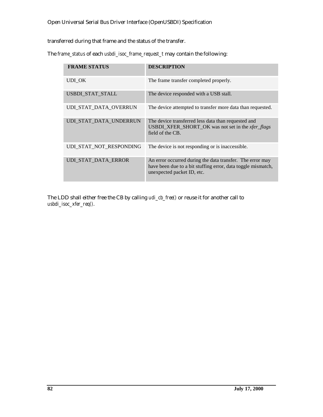transferred during that frame and the status of the transfer.

|  | The frame_status of each usbdi_isoc_frame_request_t may contain the following: |  |  |  |  |
|--|--------------------------------------------------------------------------------|--|--|--|--|
|  |                                                                                |  |  |  |  |

| <b>FRAME STATUS</b>     | <b>DESCRIPTION</b>                                                                                                                                      |
|-------------------------|---------------------------------------------------------------------------------------------------------------------------------------------------------|
| UDI OK                  | The frame transfer completed properly.                                                                                                                  |
| USBDI_STAT_STALL        | The device responded with a USB stall.                                                                                                                  |
| UDI STAT DATA OVERRUN   | The device attempted to transfer more data than requested.                                                                                              |
| UDI_STAT_DATA_UNDERRUN  | The device transferred less data than requested and<br>USBDI_XFER_SHORT_OK was not set in the xfer_flags<br>field of the CB.                            |
| UDI_STAT_NOT_RESPONDING | The device is not responding or is inaccessible.                                                                                                        |
| UDI_STAT_DATA_ERROR     | An error occurred during the data transfer. The error may<br>have been due to a bit stuffing error, data toggle mismatch,<br>unexpected packet ID, etc. |

The LDD shall either free the CB by calling *udi\_cb\_free()* or reuse it for another call to *usbdi\_isoc\_xfer\_req()*.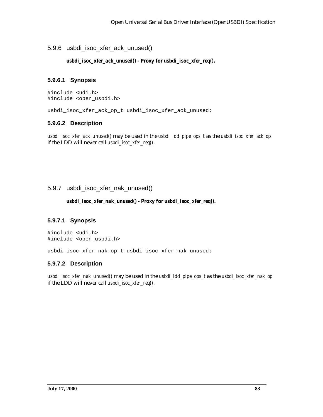# 5.9.6 usbdi\_isoc\_xfer\_ack\_unused()

#### *usbdi\_isoc\_xfer\_ack\_unused()* **- Proxy for** *usbdi\_isoc\_xfer\_req()***.**

### **5.9.6.1 Synopsis**

#include <udi.h> #include <open\_usbdi.h>

usbdi\_isoc\_xfer\_ack\_op\_t usbdi\_isoc\_xfer\_ack\_unused;

### **5.9.6.2 Description**

*usbdi\_isoc\_xfer\_ack\_unused()* may be used in the *usbdi\_ldd\_pipe\_ops\_t* as the *usbdi\_isoc\_xfer\_ack\_op* if the LDD will never call *usbdi\_isoc\_xfer\_req()*.

### 5.9.7 usbdi\_isoc\_xfer\_nak\_unused()

#### *usbdi\_isoc\_xfer\_nak\_unused()* **- Proxy for** *usbdi\_isoc\_xfer\_req()***.**

#### **5.9.7.1 Synopsis**

#include <udi.h> #include <open\_usbdi.h>

usbdi\_isoc\_xfer\_nak\_op\_t usbdi\_isoc\_xfer\_nak\_unused;

# **5.9.7.2 Description**

*usbdi\_isoc\_xfer\_nak\_unused()* may be used in the *usbdi\_ldd\_pipe\_ops\_t* as the *usbdi\_isoc\_xfer\_nak\_op* if the LDD will never call *usbdi\_isoc\_xfer\_req()*.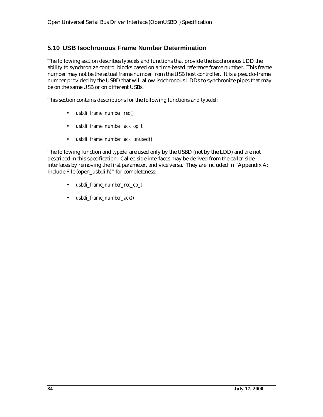# **5.10 USB Isochronous Frame Number Determination**

The following section describes *typedefs* and functions that provide the isochronous LDD the ability to synchronize control blocks based on a time-based reference frame number. This frame number may not be the actual frame number from the USB host controller. It is a pseudo-frame number provided by the USBD that will allow isochronous LDDs to synchronize pipes that may be on the same USB or on different USBs.

This section contains descriptions for the following functions and *typedef*:

- *usbdi\_frame\_number\_req()*
- *usbdi\_frame\_number\_ack\_op\_t*
- *usbdi\_frame\_number\_ack\_unused()*

The following function and *typedef* are used only by the USBD (not by the LDD) and are not described in this specification. Callee-side interfaces may be derived from the caller-side interfaces by removing the first parameter, and vice versa. They are included in "Appendix A: Include File (open\_usbdi.h)" for completeness:

- *usbdi\_frame\_number\_req\_op\_t*
- *usbdi\_frame\_number\_ack()*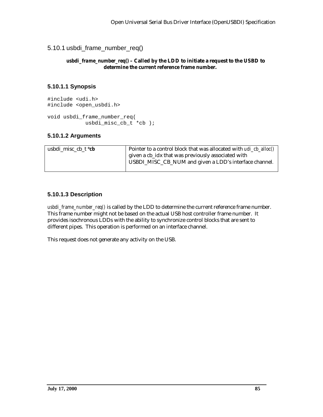5.10.1 usbdi\_frame\_number\_req()

#### *usbdi\_frame\_number\_req()* **– Called by the LDD to initiate a request to the USBD to determine the current reference frame number.**

# **5.10.1.1 Synopsis**

```
#include <udi.h>
#include <open_usbdi.h>
void usbdi_frame_number_req(
            usbdi_misc_cb_t *cb );
```
### **5.10.1.2 Arguments**

| usbdi misc cb $t^*$ cb | Pointer to a control block that was allocated with <i>udi ch alloc()</i> |
|------------------------|--------------------------------------------------------------------------|
|                        | given a cb_idx that was previously associated with                       |
|                        | USBDI_MISC_CB_NUM and given a LDD's interface channel.                   |
|                        |                                                                          |

### **5.10.1.3 Description**

*usbdi\_frame\_number\_req()* is called by the LDD to determine the current reference frame number. This frame number might not be based on the actual USB host controller frame number. It provides isochronous LDDs with the ability to synchronize control blocks that are sent to different pipes. This operation is performed on an interface channel.

This request does not generate any activity on the USB.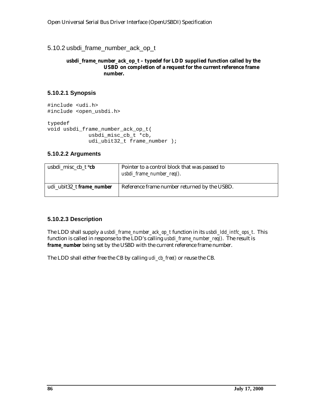5.10.2 usbdi\_frame\_number\_ack\_op\_t

#### *usbdi\_frame\_number\_ack\_op\_t* **–** *typedef* **for LDD supplied function called by the USBD on completion of a request for the current reference frame number.**

# **5.10.2.1 Synopsis**

```
#include <udi.h>
#include <open_usbdi.h>
typedef
void usbdi_frame_number_ack_op_t(
              usbdi_misc_cb_t *cb,
              udi_ubit32_t frame_number );
```
#### **5.10.2.2 Arguments**

| usbdi misc cb $t * cb$    | Pointer to a control block that was passed to<br>$usbdi\_frame\_number\_req()$ . |
|---------------------------|----------------------------------------------------------------------------------|
| udi_ubit32_t frame_number | Reference frame number returned by the USBD.                                     |

#### **5.10.2.3 Description**

The LDD shall supply a *usbdi\_frame\_number\_ack\_op\_t* function in its *usbdi\_ldd\_intfc\_ops\_t*. This function is called in response to the LDD's calling *usbdi\_frame\_number\_req()*. The result is *frame\_number* being set by the USBD with the current reference frame number.

The LDD shall either free the CB by calling *udi\_cb\_free()* or reuse the CB.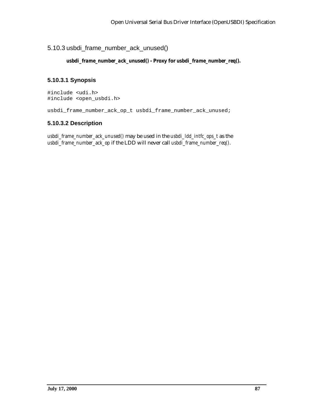# 5.10.3 usbdi\_frame\_number\_ack\_unused()

#### *usbdi\_frame\_number\_ack\_unused()* **- Proxy for** *usbdi\_frame\_number\_req()***.**

# **5.10.3.1 Synopsis**

#include <udi.h> #include <open\_usbdi.h>

usbdi\_frame\_number\_ack\_op\_t usbdi\_frame\_number\_ack\_unused;

### **5.10.3.2 Description**

*usbdi\_frame\_number\_ack\_unused()* may be used in the *usbdi\_ldd\_intfc\_ops\_t* as the *usbdi\_frame\_number\_ack\_op* if the LDD will never call *usbdi\_frame\_number\_req()*.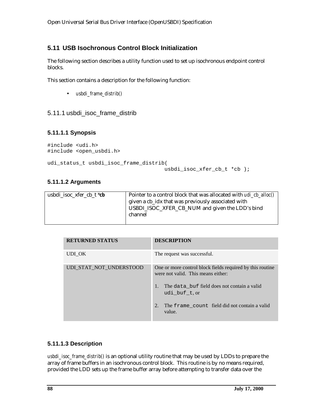# **5.11 USB Isochronous Control Block Initialization**

The following section describes a utility function used to set up isochronous endpoint control blocks.

This section contains a description for the following function:

• *usbdi\_frame\_distrib()*

# 5.11.1 usbdi\_isoc\_frame\_distrib

#### **5.11.1.1 Synopsis**

#include <udi.h> #include <open\_usbdi.h>

```
udi_status_t usbdi_isoc_frame_distrib(
```
usbdi\_isoc\_xfer\_cb\_t \*cb );

#### **5.11.1.2 Arguments**

| usbdi_isoc_xfer_cb_t * <b>cb</b> | Pointer to a control block that was allocated with <i>udi_cb_alloc()</i><br>given a cb_idx that was previously associated with<br>USBDI_ISOC_XFER_CB_NUM and given the LDD's bind |
|----------------------------------|-----------------------------------------------------------------------------------------------------------------------------------------------------------------------------------|
|                                  | channel                                                                                                                                                                           |

| <b>RETURNED STATUS</b>  | <b>DESCRIPTION</b>                                                                                                                                               |
|-------------------------|------------------------------------------------------------------------------------------------------------------------------------------------------------------|
| UDI OK                  | The request was successful.                                                                                                                                      |
| UDI STAT NOT UNDERSTOOD | One or more control block fields required by this routine<br>were not valid. This means either:<br>The data buf field does not contain a valid<br>$\mathbf{1}$ . |
|                         | udi buf t.or                                                                                                                                                     |
|                         | The frame_count field did not contain a valid<br>2.<br>value.                                                                                                    |

#### **5.11.1.3 Description**

*usbdi\_isoc\_frame\_distrib()* is an optional utility routine that may be used by LDDs to prepare the array of frame buffers in an isochronous control block. This routine is by no means required, provided the LDD sets up the frame buffer array before attempting to transfer data over the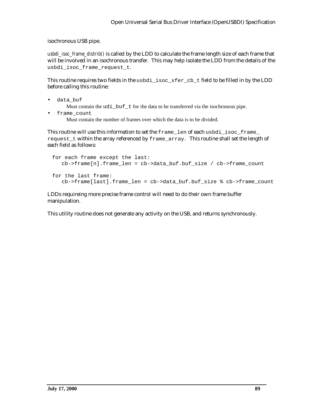isochronous USB pipe.

*usbdi\_isoc\_frame\_distrib()* is called by the LDD to calculate the frame length size of each frame that will be involved in an isochronous transfer. This may help isolate the LDD from the details of the usbdi isoc frame request t.

This routine requires two fields in the usbdi\_isoc\_xfer\_cb\_t field to be filled in by the LDD before calling this routine:

data buf

Must contain the udi\_buf\_t for the data to be transferred via the isochronous pipe.

frame\_count Must contain the number of frames over which the data is to be divided.

This routine will use this information to set the frame\_len of each usbdi\_isoc\_frame\_ request\_t within the array referenced by frame\_array. This routine shall set the length of each field as follows:

```
for each frame except the last:
    cb->frame[n].frame_len = cb->data_buf.buf_size / cb->frame_count
for the last frame:
    cb->frame[last].frame_len = cb->data_buf.buf_size % cb->frame_count
```
LDDs requireing more precise frame control will need to do their own frame buffer manipulation.

This utility routine does not generate any activity on the USB, and returns synchronously.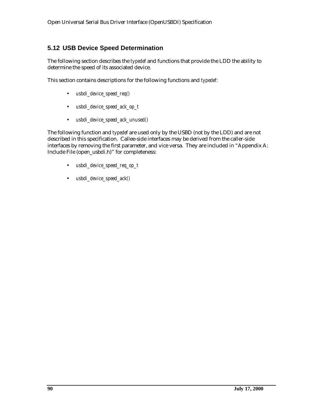# **5.12 USB Device Speed Determination**

The following section describes the *typedef* and functions that provide the LDD the ability to determine the speed of its associated device.

This section contains descriptions for the following functions and *typedef*:

- *usbdi\_device\_speed\_req()*
- *usbdi\_device\_speed\_ack\_op\_t*
- *usbdi\_device\_speed\_ack\_unused()*

The following function and *typedef* are used only by the USBD (not by the LDD) and are not described in this specification. Callee-side interfaces may be derived from the caller-side interfaces by removing the first parameter, and vice versa. They are included in "Appendix A: Include File (open\_usbdi.h)" for completeness:

- *usbdi\_device\_speed\_req\_op\_t*
- *usbdi\_device\_speed\_ack()*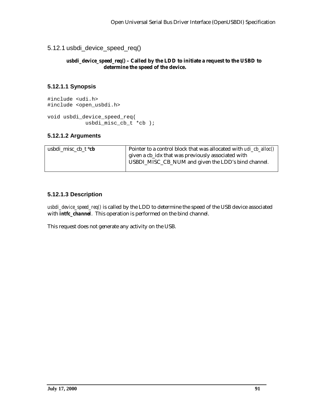5.12.1 usbdi\_device\_speed\_req()

#### *usbdi\_device\_speed\_req()* **– Called by the LDD to initiate a request to the USBD to determine the speed of the device.**

# **5.12.1.1 Synopsis**

```
#include <udi.h>
#include <open_usbdi.h>
void usbdi_device_speed_req(
            usbdi_misc_cb_t *cb );
```
### **5.12.1.2 Arguments**

| usbdi misc cb $t^*$ cb | Pointer to a control block that was allocated with <i>udi cb_alloc()</i> |
|------------------------|--------------------------------------------------------------------------|
|                        | given a cb_idx that was previously associated with                       |
|                        | USBDI_MISC_CB_NUM and given the LDD's bind channel.                      |
|                        |                                                                          |

# **5.12.1.3 Description**

*usbdi\_device\_speed\_req()* is called by the LDD to determine the speed of the USB device associated with *intfc\_channel*. This operation is performed on the bind channel.

This request does not generate any activity on the USB.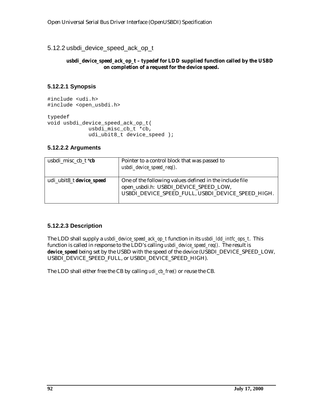# 5.12.2 usbdi\_device\_speed\_ack\_op\_t

#### *usbdi\_device\_speed\_ack\_op\_t* **–** *typedef* **for LDD supplied function called by the USBD on completion of a request for the device speed.**

### **5.12.2.1 Synopsis**

#include <udi.h> #include <open\_usbdi.h> typedef void usbdi\_device\_speed\_ack\_op\_t( usbdi\_misc\_cb\_t \*cb, udi\_ubit8\_t device\_speed );

#### **5.12.2.2 Arguments**

| usbdi_misc_cb_t * <i>cb</i>     | Pointer to a control block that was passed to<br>$usbdi\_device\_speed\_req()$ .                                                                      |
|---------------------------------|-------------------------------------------------------------------------------------------------------------------------------------------------------|
| udi_ubit8_t <i>device_speed</i> | One of the following values defined in the include file<br>open_usbdi.h: USBDI_DEVICE_SPEED_LOW,<br>USBDI_DEVICE_SPEED_FULL, USBDI_DEVICE_SPEED_HIGH. |

#### **5.12.2.3 Description**

The LDD shall supply a *usbdi\_device\_speed\_ack\_op\_t* function in its *usbdi\_ldd\_intfc\_ops\_t*. This function is called in response to the LDD's calling *usbdi\_device\_speed\_req()*. The result is *device\_speed* being set by the USBD with the speed of the device (USBDI\_DEVICE\_SPEED\_LOW, USBDI\_DEVICE\_SPEED\_FULL, or USBDI\_DEVICE\_SPEED\_HIGH).

The LDD shall either free the CB by calling *udi\_cb\_free()* or reuse the CB.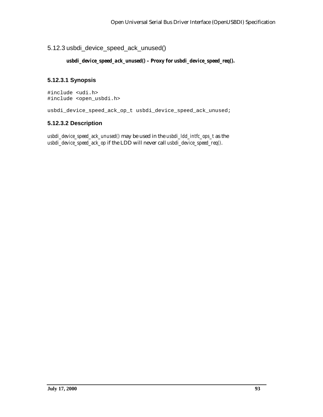# 5.12.3 usbdi\_device\_speed\_ack\_unused()

#### *usbdi\_device\_speed\_ack\_unused()* **– Proxy for** *usbdi\_device\_speed\_req()***.**

### **5.12.3.1 Synopsis**

#include <udi.h> #include <open\_usbdi.h>

usbdi\_device\_speed\_ack\_op\_t usbdi\_device\_speed\_ack\_unused;

### **5.12.3.2 Description**

*usbdi\_device\_speed\_ack\_unused()* may be used in the *usbdi\_ldd\_intfc\_ops\_t* as the *usbdi\_device\_speed\_ack\_op* if the LDD will never call *usbdi\_device\_speed\_req()*.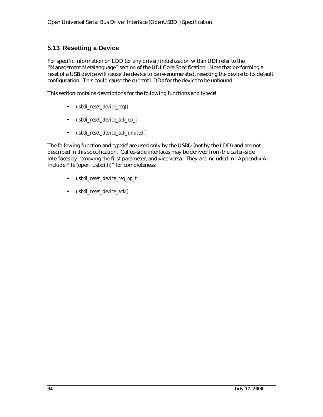# **5.13 Resetting a Device**

For specific information on LDD (or any driver) initialization within UDI refer to the "Management Metalanguage" section of the UDI Core Specification. Note that performing a reset of a USB device will cause the device to be re-enumerated, resetting the device to its default configuration. This could cause the current LDDs for the device to be unbound.

This section contains descriptions for the following functions and *typedef:*

- *usbdi\_reset\_device\_req()*
- *usbdi\_reset\_device\_ack\_op\_t*
- *usbdi\_reset\_device\_ack\_unused()*

The following function and *typedef* are used only by the USBD (not by the LDD) and are not described in this specification. Callee-side interfaces may be derived from the caller-side interfaces by removing the first parameter, and vice versa. They are included in "Appendix A: Include File (open\_usbdi.h)" for completeness:

- *usbdi\_reset\_device\_req\_op\_t*
- *usbdi\_reset\_device\_ack()*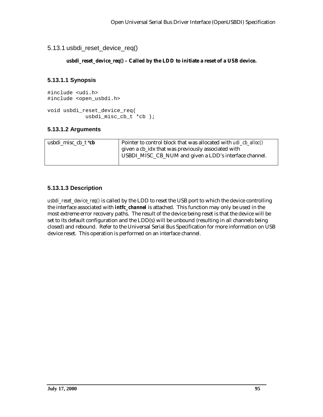5.13.1 usbdi\_reset\_device\_req()

### *usbdi\_reset\_device\_req()* **– Called by the LDD to initiate a reset of a USB device.**

# **5.13.1.1 Synopsis**

```
#include <udi.h>
#include <open_usbdi.h>
void usbdi_reset_device_req(
            usbdi misc cb t *cb );
```
### **5.13.1.2 Arguments**

| usbdi misc cb $t * cb$ | Pointer to control block that was allocated with <i>udi ch alloc()</i> |
|------------------------|------------------------------------------------------------------------|
|                        | given a cb_idx that was previously associated with                     |
|                        | USBDI_MISC_CB_NUM and given a LDD's interface channel.                 |
|                        |                                                                        |

# **5.13.1.3 Description**

*usbdi\_reset\_device\_req()* is called by the LDD to reset the USB port to which the device controlling the interface associated with *intfc\_channel* is attached. This function may only be used in the most extreme error recovery paths. The result of the device being reset is that the device will be set to its default configuration and the LDD(s) will be unbound (resulting in all channels being closed) and rebound. Refer to the Universal Serial Bus Specification for more information on USB device reset. This operation is performed on an interface channel.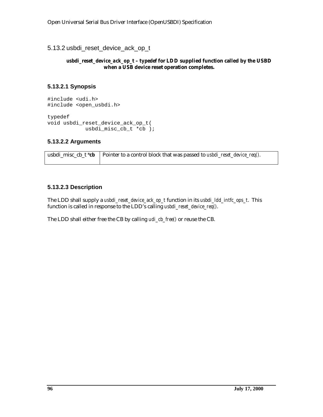5.13.2 usbdi\_reset\_device\_ack\_op\_t

#### *usbdi\_reset\_device\_ack\_op\_t* **–** *typedef* **for LDD supplied function called by the USBD when a USB device reset operation completes.**

### **5.13.2.1 Synopsis**

#include <udi.h> #include <open\_usbdi.h> typedef void usbdi\_reset\_device\_ack\_op\_t( usbdi\_misc\_cb\_t \*cb );

#### **5.13.2.2 Arguments**

usbdi\_misc\_cb\_t  $*$ **cb**  $\vert$  Pointer to a control block that was passed to *usbdi\_reset\_device\_req()*.

#### **5.13.2.3 Description**

The LDD shall supply a *usbdi\_reset\_device\_ack\_op\_t* function in its *usbdi\_ldd\_intfc\_ops\_t*. This function is called in response to the LDD's calling *usbdi\_reset\_device\_req()*.

The LDD shall either free the CB by calling *udi\_cb\_free()* or reuse the CB.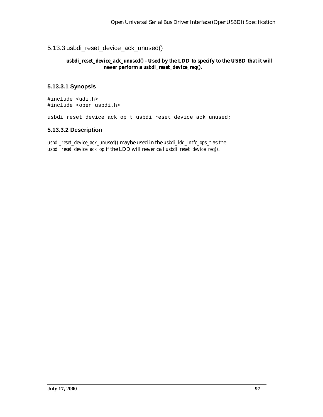# 5.13.3 usbdi\_reset\_device\_ack\_unused()

#### *usbdi\_reset\_device\_ack\_unused()* **- Used by the LDD to specify to the USBD that it will never perform a** *usbdi\_reset\_device\_req()***.**

### **5.13.3.1 Synopsis**

#include <udi.h> #include <open\_usbdi.h>

usbdi\_reset\_device\_ack\_op\_t usbdi\_reset\_device\_ack\_unused;

#### **5.13.3.2 Description**

*usbdi\_reset\_device\_ack\_unused()* maybe used in the *usbdi\_ldd\_intfc\_ops\_t* as the *usbdi\_reset\_device\_ack\_op* if the LDD will never call *usbdi\_reset\_device\_req()*.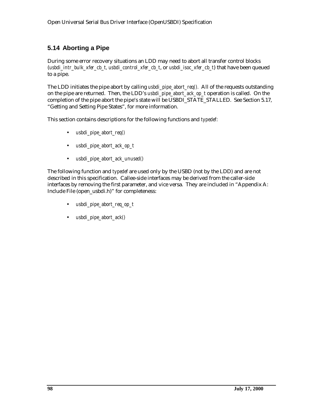# **5.14 Aborting a Pipe**

During some error recovery situations an LDD may need to abort all transfer control blocks (*usbdi\_intr\_bulk\_xfer\_cb\_t, usbdi\_control\_xfer\_cb\_t*, or *usbdi\_isoc\_xfer\_cb\_t*) that have been queued to a pipe.

The LDD initiates the pipe abort by calling *usbdi\_pipe\_abort\_req().* All of the requests outstanding on the pipe are returned. Then, the LDD's *usbdi\_pipe\_abort\_ack\_op\_t* operation is called. On the completion of the pipe abort the pipe's state will be USBDI\_STATE\_STALLED. See Section 5.17, "Getting and Setting Pipe States", for more information.

This section contains descriptions for the following functions and *typedef*:

- *usbdi\_pipe\_abort\_req()*
- *usbdi\_pipe\_abort\_ack\_op\_t*
- *usbdi\_pipe\_abort\_ack\_unused()*

The following function and *typedef* are used only by the USBD (not by the LDD) and are not described in this specification. Callee-side interfaces may be derived from the caller-side interfaces by removing the first parameter, and vice versa. They are included in "Appendix A: Include File (open\_usbdi.h)" for completeness:

- *usbdi\_pipe\_abort\_req\_op\_t*
- *usbdi\_pipe\_abort\_ack()*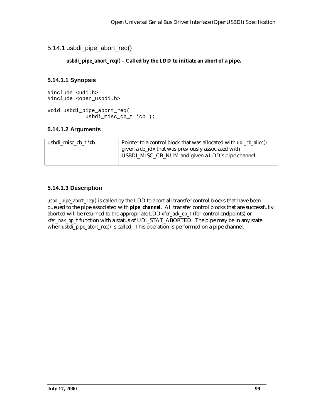5.14.1 usbdi\_pipe\_abort\_req()

# *usbdi\_pipe\_abort\_req()* **– Called by the LDD to initiate an abort of a pipe.**

# **5.14.1.1 Synopsis**

```
#include <udi.h>
#include <open_usbdi.h>
void usbdi_pipe_abort_req(
            usbdi misc cb t *cb );
```
### **5.14.1.2 Arguments**

| usbdi misc cb $t * cb$ | Pointer to a control block that was allocated with <i>udi ch alloc()</i> |
|------------------------|--------------------------------------------------------------------------|
|                        | given a cb_idx that was previously associated with                       |
|                        | USBDI_MISC_CB_NUM and given a LDD's pipe channel.                        |
|                        |                                                                          |

# **5.14.1.3 Description**

*usbdi\_pipe\_abort\_req()* is called by the LDD to abort all transfer control blocks that have been queued to the pipe associated with *pipe\_channel*. All transfer control blocks that are successfully aborted will be returned to the appropriate LDD *xfer\_ack\_op\_t* (for control endpoints) or *xfer\_nak\_op\_t* function with a status of UDI\_STAT\_ABORTED. The pipe may be in any state when *usbdi\_pipe\_abort\_req()* is called. This operation is performed on a pipe channel.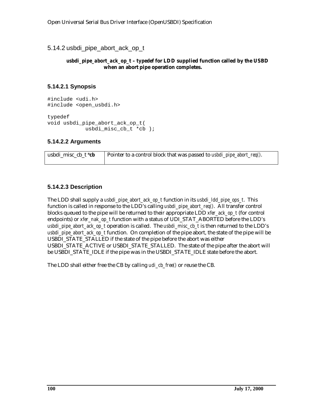5.14.2 usbdi\_pipe\_abort\_ack\_op\_t

#### *usbdi\_pipe\_abort\_ack\_op\_t* **–** *typedef* **for LDD supplied function called by the USBD when an abort pipe operation completes.**

### **5.14.2.1 Synopsis**

```
#include <udi.h>
#include <open_usbdi.h>
typedef
void usbdi_pipe_abort_ack_op_t(
            usbdi_misc_cb_t *cb );
```
#### **5.14.2.2 Arguments**

| usbdi misc cb $t^*$ cb | Pointer to a control block that was passed to <i>usbdi_pipe_abort_req()</i> . |
|------------------------|-------------------------------------------------------------------------------|
|                        |                                                                               |

#### **5.14.2.3 Description**

The LDD shall supply a *usbdi\_pipe\_abort\_ack\_op\_t* function in its *usbdi\_ldd\_pipe\_ops\_t*. This function is called in response to the LDD's calling *usbdi\_pipe\_abort\_req()*. All transfer control blocks queued to the pipe will be returned to their appropriate LDD *xfer\_ack\_op\_t* (for control endpoints) or *xfer\_nak\_op\_t* function with a status of UDI\_STAT\_ABORTED before the LDD's *usbdi\_pipe\_abort\_ack\_op\_t* operation is called. The *usbdi\_misc\_cb\_t* is then returned to the LDD's *usbdi\_pipe\_abort\_ack\_op\_t* function. On completion of the pipe abort, the state of the pipe will be USBDI\_STATE\_STALLED if the state of the pipe before the abort was either USBDI\_STATE\_ACTIVE or USBDI\_STATE\_STALLED. The state of the pipe after the abort will be USBDI\_STATE\_IDLE if the pipe was in the USBDI\_STATE\_IDLE state before the abort.

The LDD shall either free the CB by calling *udi\_cb\_free()* or reuse the CB.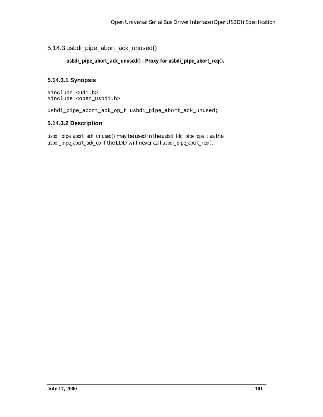# 5.14.3 usbdi\_pipe\_abort\_ack\_unused()

#### *usbdi\_pipe\_abort\_ack\_unused()* **- Proxy for** *usbdi\_pipe\_abort\_req()***.**

### **5.14.3.1 Synopsis**

#include <udi.h> #include <open\_usbdi.h>

usbdi\_pipe\_abort\_ack\_op\_t usbdi\_pipe\_abort\_ack\_unused;

### **5.14.3.2 Description**

*usbdi\_pipe\_abort\_ack\_unused()* may be used in the *usbdi\_ldd\_pipe\_ops\_t* as the *usbdi\_pipe\_abort\_ack\_op* if the LDD will never call *usbdi\_pipe\_abort\_req()*.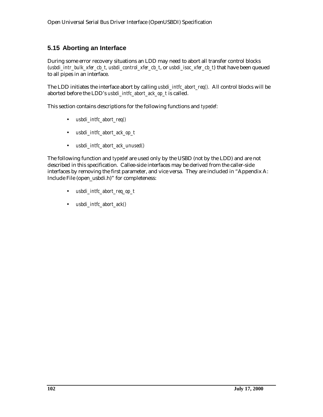# **5.15 Aborting an Interface**

During some error recovery situations an LDD may need to abort all transfer control blocks (*usbdi\_intr\_bulk\_xfer\_cb\_t, usbdi\_control\_xfer\_cb\_t*, or *usbdi\_isoc\_xfer\_cb\_t*) that have been queued to all pipes in an interface.

The LDD initiates the interface abort by calling *usbdi\_intfc\_abort\_req().* All control blocks will be aborted before the LDD's *usbdi\_intfc\_abort\_ack\_op\_t* is called.

This section contains descriptions for the following functions and *typedef*:

- *usbdi\_intfc\_abort\_req()*
- *usbdi\_intfc\_abort\_ack\_op\_t*
- *usbdi\_intfc\_abort\_ack\_unused()*

The following function and *typedef* are used only by the USBD (not by the LDD) and are not described in this specification. Callee-side interfaces may be derived from the caller-side interfaces by removing the first parameter, and vice versa. They are included in "Appendix A: Include File (open\_usbdi.h)" for completeness:

- *usbdi\_intfc\_abort\_req\_op\_t*
- *usbdi\_intfc\_abort\_ack()*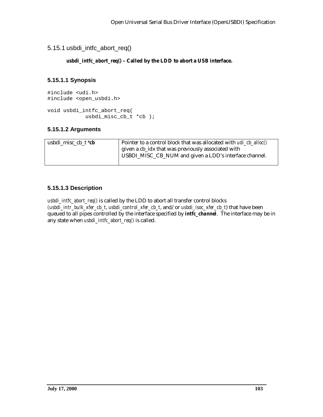5.15.1 usbdi\_intfc\_abort\_req()

# *usbdi\_intfc\_abort\_req()* **– Called by the LDD to abort a USB interface.**

# **5.15.1.1 Synopsis**

```
#include <udi.h>
#include <open_usbdi.h>
void usbdi_intfc_abort_req(
            usbdi_misc_cb_t *cb );
```
### **5.15.1.2 Arguments**

| usbdi misc cb $t * cb$ | Pointer to a control block that was allocated with <i>udi_cb_alloc()</i> |
|------------------------|--------------------------------------------------------------------------|
|                        | given a cb_idx that was previously associated with                       |
|                        | USBDI_MISC_CB_NUM and given a LDD's interface channel.                   |
|                        |                                                                          |

# **5.15.1.3 Description**

*usbdi\_intfc\_abort\_req()* is called by the LDD to abort all transfer control blocks *(usbdi\_intr\_bulk\_xfer\_cb\_t*, *usbdi\_control\_xfer\_cb\_t*, and/or *usbdi\_isoc\_xfer\_cb\_t*) that have been queued to all pipes controlled by the interface specified by *intfc\_channel*. The interface may be in any state when *usbdi* intfc abort req() is called.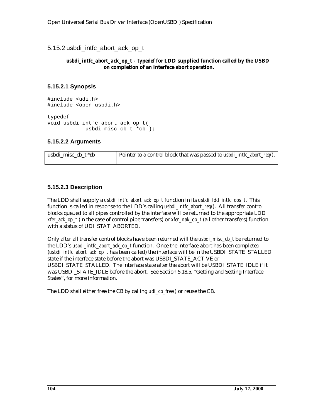5.15.2 usbdi\_intfc\_abort\_ack\_op\_t

#### *usbdi\_intfc\_abort\_ack\_op\_t – typedef* **for LDD supplied function called by the USBD on completion of an interface abort operation.**

### **5.15.2.1 Synopsis**

```
#include <udi.h>
#include <open_usbdi.h>
typedef
void usbdi_intfc_abort_ack_op_t(
            usbdi_misc_cb_t *cb );
```
#### **5.15.2.2 Arguments**

| usbdi misc cb $t^*$ cb | Pointer to a control block that was passed to <i>usbdi_intfc_abort_req()</i> . |
|------------------------|--------------------------------------------------------------------------------|
|                        |                                                                                |

#### **5.15.2.3 Description**

The LDD shall supply a *usbdi\_intfc\_abort\_ack\_op\_t* function in its *usbdi\_ldd\_intfc\_ops\_t*. This function is called in response to the LDD's calling *usbdi\_intfc\_abort\_req()*. All transfer control blocks queued to all pipes controlled by the interface will be returned to the appropriate LDD *xfer\_ack\_op\_t* (in the case of control pipe transfers) or *xfer\_nak\_op\_t* (all other transfers) function with a status of UDI\_STAT\_ABORTED.

Only after all transfer control blocks have been returned will the *usbdi\_misc\_cb\_t* be returned to the LDD's *usbdi\_intfc\_abort\_ack\_op\_t* function. Once the interface abort has been completed (*usbdi\_intfc\_abort\_ack\_op\_t* has been called) the interface will be in the USBDI\_STATE\_STALLED state if the interface state before the abort was USBDI\_STATE\_ACTIVE or USBDI\_STATE\_STALLED. The interface state after the abort will be USBDI\_STATE\_IDLE if it was USBDI\_STATE\_IDLE before the abort. See Section 5.18.5, "Getting and Setting Interface States", for more information.

The LDD shall either free the CB by calling *udi\_cb\_free()* or reuse the CB.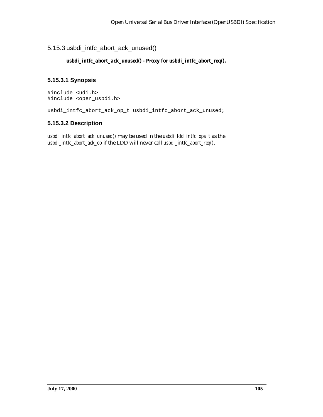# 5.15.3 usbdi\_intfc\_abort\_ack\_unused()

#### *usbdi\_intfc\_abort\_ack\_unused()* **- Proxy for** *usbdi\_intfc\_abort\_req()***.**

### **5.15.3.1 Synopsis**

#include <udi.h> #include <open\_usbdi.h>

usbdi\_intfc\_abort\_ack\_op\_t usbdi\_intfc\_abort\_ack\_unused;

### **5.15.3.2 Description**

*usbdi\_intfc\_abort\_ack\_unused()* may be used in the *usbdi\_ldd\_intfc\_ops\_t* as the *usbdi\_intfc\_abort\_ack\_op* if the LDD will never call *usbdi\_intfc\_abort\_req()*.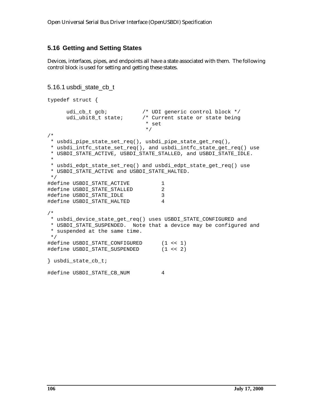# **5.16 Getting and Setting States**

Devices, interfaces, pipes, and endpoints all have a state associated with them. The following control block is used for setting and getting these states.

# 5.16.1 usbdi\_state\_cb\_t

```
typedef struct {
     udi_cb_t gcb; <br>udi_ubit8_t state; <br>/* Current state or state being<br>
                            /* Current state or state being
                               * set
                               */
/*
 * usbdi_pipe_state_set_req(), usbdi_pipe_state_get_req(),
  * usbdi_intfc_state_set_req(), and usbdi_intfc_state_get_req() use
 * USBDI_STATE_ACTIVE, USBDI_STATE_STALLED, and USBDI_STATE_IDLE.
 *
 * usbdi_edpt_state_set_req() and usbdi_edpt_state_get_req() use
 * USBDI_STATE_ACTIVE and USBDI_STATE_HALTED.
 */
#define USBDI_STATE_ACTIVE 1
#define USBDI_STATE_STALLED 2
#define USBDI_STATE_IDLE 3
#define USBDI_STATE_HALTED 4
/*
 * usbdi_device_state_get_req() uses USBDI_STATE_CONFIGURED and
 * USBDI_STATE_SUSPENDED. Note that a device may be configured and
 * suspended at the same time.
 */
#define USBDI_STATE_CONFIGURED (1 << 1)
#define USBDI_STATE_SUSPENDED (1 << 2)
} usbdi_state_cb_t;
#define USBDI_STATE_CB_NUM 4
```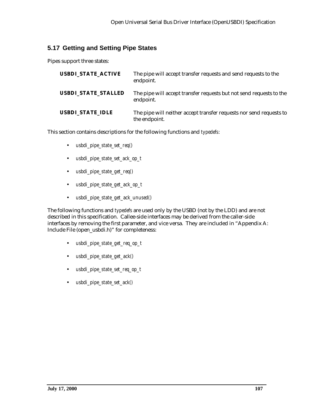# **5.17 Getting and Setting Pipe States**

Pipes support three states:

| <b>USBDI STATE ACTIVE</b>  | The pipe will accept transfer requests and send requests to the<br>endpoint.         |
|----------------------------|--------------------------------------------------------------------------------------|
| <b>USBDI_STATE_STALLED</b> | The pipe will accept transfer requests but not send requests to the<br>endpoint.     |
| <b>USBDI STATE IDLE</b>    | The pipe will neither accept transfer requests nor send requests to<br>the endpoint. |

This section contains descriptions for the following functions and *typedefs*:

- *usbdi\_pipe\_state\_set\_req()*
- *usbdi\_pipe\_state\_set\_ack\_op\_t*
- *usbdi\_pipe\_state\_get\_req()*
- *usbdi\_pipe\_state\_get\_ack\_op\_t*
- *usbdi\_pipe\_state\_get\_ack\_unused()*

The following functions and *typedefs* are used only by the USBD (not by the LDD) and are not described in this specification. Callee-side interfaces may be derived from the caller-side interfaces by removing the first parameter, and vice versa. They are included in "Appendix A: Include File (open\_usbdi.h)" for completeness:

- *usbdi\_pipe\_state\_get\_req\_op\_t*
- *usbdi\_pipe\_state\_get\_ack()*
- *usbdi\_pipe\_state\_set\_req\_op\_t*
- *usbdi\_pipe\_state\_set\_ack()*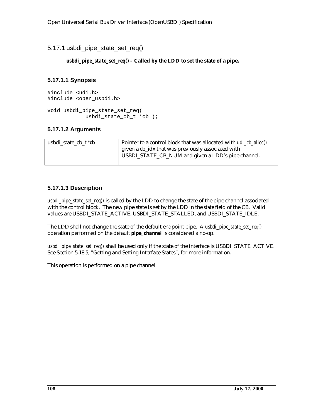5.17.1 usbdi\_pipe\_state\_set\_req()

# *usbdi\_pipe\_state\_set\_req()* **– Called by the LDD to set the state of a pipe.**

# **5.17.1.1 Synopsis**

```
#include <udi.h>
#include <open_usbdi.h>
void usbdi_pipe_state_set_req(
            usbdi state cb t *cb );
```
# **5.17.1.2 Arguments**

| usbdi state cb $t * cb$ | Pointer to a control block that was allocated with <i>udi_cb_alloc()</i> |
|-------------------------|--------------------------------------------------------------------------|
|                         | given a cb_idx that was previously associated with                       |
|                         | USBDI_STATE_CB_NUM and given a LDD's pipe channel.                       |
|                         |                                                                          |

# **5.17.1.3 Description**

*usbdi\_pipe\_state\_set\_req()* is called by the LDD to change the state of the pipe channel associated with the control block. The new pipe state is set by the LDD in the *state* field of the CB. Valid values are USBDI\_STATE\_ACTIVE, USBDI\_STATE\_STALLED, and USBDI\_STATE\_IDLE.

The LDD shall not change the state of the default endpoint pipe. A *usbdi\_pipe\_state\_set\_req()* operation performed on the default *pipe\_channel* is considered a no-op.

*usbdi\_pipe\_state\_set\_req()* shall be used only if the state of the interface is USBDI\_STATE\_ACTIVE. See Section 5.18.5, "Getting and Setting Interface States", for more information.

This operation is performed on a pipe channel.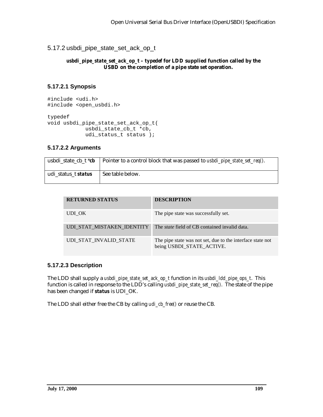## 5.17.2 usbdi\_pipe\_state\_set\_ack\_op\_t

#### *usbdi\_pipe\_state\_set\_ack\_op\_t – typedef* **for LDD supplied function called by the USBD on the completion of a pipe state set operation.**

## **5.17.2.1 Synopsis**

#include <udi.h> #include <open\_usbdi.h> typedef void usbdi\_pipe\_state\_set\_ack\_op\_t( usbdi\_state\_cb\_t \*cb, udi\_status\_t status );

#### **5.17.2.2 Arguments**

|                     | usbdi_state_cb_t $*$ $\mathbf{cb}$   Pointer to a control block that was passed to <i>usbdi_pipe_state_set_req()</i> . |
|---------------------|------------------------------------------------------------------------------------------------------------------------|
| udi_status_t status | See table below.                                                                                                       |

| <b>RETURNED STATUS</b>     | <b>DESCRIPTION</b>                                                                      |
|----------------------------|-----------------------------------------------------------------------------------------|
| UDI OK                     | The pipe state was successfully set.                                                    |
| UDI_STAT_MISTAKEN_IDENTITY | The <i>state</i> field of CB contained invalid data.                                    |
| UDI STAT INVALID STATE     | The pipe state was not set, due to the interface state not<br>being USBDI_STATE_ACTIVE. |

## **5.17.2.3 Description**

The LDD shall supply a *usbdi\_pipe\_state\_set\_ack\_op\_t* function in its *usbdi\_ldd\_pipe\_ops\_t*. This function is called in response to the LDD's calling *usbdi\_pipe\_state\_set\_req()*. The state of the pipe has been changed if *status* is UDI\_OK.

The LDD shall either free the CB by calling *udi\_cb\_free()* or reuse the CB.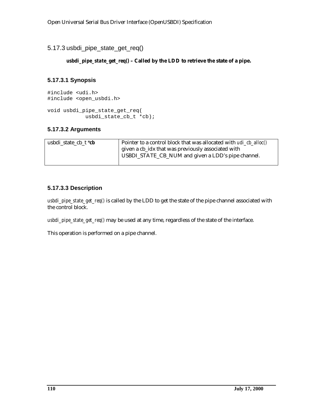5.17.3 usbdi\_pipe\_state\_get\_req()

## *usbdi\_pipe\_state\_get\_req()* **– Called by the LDD to retrieve the state of a pipe.**

# **5.17.3.1 Synopsis**

```
#include <udi.h>
#include <open_usbdi.h>
void usbdi_pipe_state_get_req(
            usbdi state cb t * cb);
```
# **5.17.3.2 Arguments**

| usbdi state cb $t * cb$ | Pointer to a control block that was allocated with <i>udi ch alloc()</i> |
|-------------------------|--------------------------------------------------------------------------|
|                         | given a cb_idx that was previously associated with                       |
|                         | USBDI_STATE_CB_NUM and given a LDD's pipe channel.                       |
|                         |                                                                          |

# **5.17.3.3 Description**

*usbdi\_pipe\_state\_get\_req()* is called by the LDD to get the state of the pipe channel associated with the control block.

*usbdi\_pipe\_state\_get\_req()* may be used at any time, regardless of the state of the interface.

This operation is performed on a pipe channel.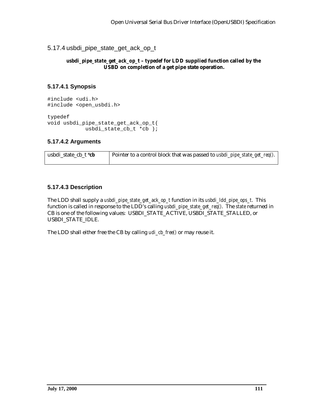## 5.17.4 usbdi\_pipe\_state\_get\_ack\_op\_t

#### *usbdi\_pipe\_state\_get\_ack\_op\_t* **–** *typedef* **for LDD supplied function called by the USBD on completion of a get pipe state operation.**

## **5.17.4.1 Synopsis**

#include <udi.h> #include <open\_usbdi.h> typedef void usbdi\_pipe\_state\_get\_ack\_op\_t( usbdi\_state\_cb\_t \*cb );

## **5.17.4.2 Arguments**

| usbdi state cb $t * cb$ | Pointer to a control block that was passed to <i>usbdi_pipe_state_get_req()</i> . |
|-------------------------|-----------------------------------------------------------------------------------|
|                         |                                                                                   |

## **5.17.4.3 Description**

The LDD shall supply a *usbdi\_pipe\_state\_get\_ack\_op\_t* function in its *usbdi\_ldd\_pipe\_ops\_t*. This function is called in response to the LDD's calling *usbdi\_pipe\_state\_get\_req()*. The *state* returned in CB is one of the following values: USBDI\_STATE\_ACTIVE, USBDI\_STATE\_STALLED, or USBDI\_STATE\_IDLE.

The LDD shall either free the CB by calling *udi\_cb\_free()* or may reuse it.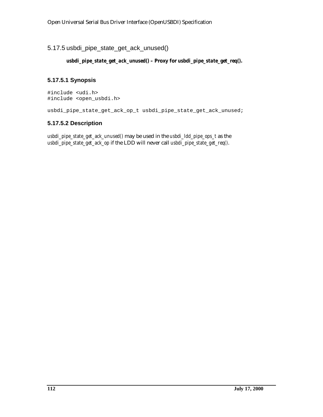## 5.17.5 usbdi\_pipe\_state\_get\_ack\_unused()

#### *usbdi\_pipe\_state\_get\_ack\_unused()* **– Proxy for** *usbdi\_pipe\_state\_get\_req()***.**

## **5.17.5.1 Synopsis**

#include <udi.h> #include <open\_usbdi.h>

usbdi\_pipe\_state\_get\_ack\_op\_t usbdi\_pipe\_state\_get\_ack\_unused;

## **5.17.5.2 Description**

*usbdi\_pipe\_state\_get\_ack\_unused()* may be used in the *usbdi\_ldd\_pipe\_ops\_t* as the *usbdi\_pipe\_state\_get\_ack\_op* if the LDD will never call *usbdi\_pipe\_state\_get\_req()*.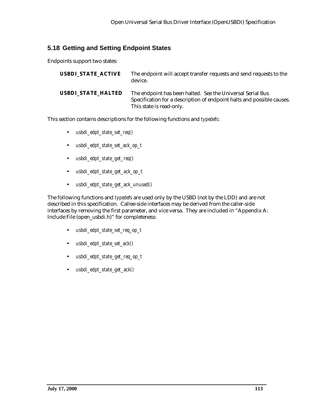# **5.18 Getting and Setting Endpoint States**

Endpoints support two states:

| <b>USBDI STATE ACTIVE</b> | The endpoint will accept transfer requests and send requests to the<br>device.                                                                                   |
|---------------------------|------------------------------------------------------------------------------------------------------------------------------------------------------------------|
| <b>USBDI STATE HALTED</b> | The endpoint has been halted. See the Universal Serial Bus<br>Specification for a description of endpoint halts and possible causes.<br>This state is read-only. |

This section contains descriptions for the following functions and *typedefs*:

- *usbdi\_edpt\_state\_set\_req()*
- *usbdi\_edpt\_state\_set\_ack\_op\_t*
- *usbdi\_edpt\_state\_get\_req()*
- *usbdi\_edpt\_state\_get\_ack\_op\_t*
- *usbdi\_edpt\_state\_get\_ack\_unused()*

The following functions and *typedefs* are used only by the USBD (not by the LDD) and are not described in this specification. Callee-side interfaces may be derived from the caller-side interfaces by removing the first parameter, and vice versa. They are included in "Appendix A: Include File (open\_usbdi.h)" for completeness:

- *usbdi\_edpt\_state\_set\_req\_op\_t*
- *usbdi\_edpt\_state\_set\_ack()*
- *usbdi\_edpt\_state\_get\_req\_op\_t*
- *usbdi\_edpt\_state\_get\_ack()*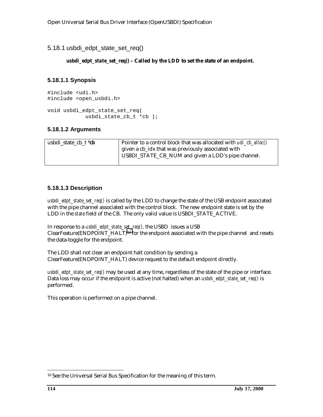5.18.1 usbdi\_edpt\_state\_set\_req()

## *usbdi\_edpt\_state\_set\_req()* **– Called by the LDD to set the state of an endpoint.**

# **5.18.1.1 Synopsis**

```
#include <udi.h>
#include <open_usbdi.h>
void usbdi_edpt_state_set_req(
            usbdi state cb t *cb );
```
# **5.18.1.2 Arguments**

| usbdi state cb $t * cb$ | Pointer to a control block that was allocated with <i>udi_cb_alloc()</i> |
|-------------------------|--------------------------------------------------------------------------|
|                         | given a cb_idx that was previously associated with                       |
|                         | USBDI_STATE_CB_NUM and given a LDD's pipe channel.                       |
|                         |                                                                          |

# **5.18.1.3 Description**

*usbdi\_edpt\_state\_set\_req()* is called by the LDD to change the state of the USB endpoint associated with the pipe channel associated with the control block. The new endpoint state is set by the LDD in the *state* field of the CB. The only valid value is USBDI\_STATE\_ACTIVE.

In response to a *usbdi\_edpt\_state\_set\_req(),* the USBD issues a USB  $ClearFeature(ENDPOINT HALT)<sup>10</sup>$  for the endpoint associated with the pipe channel and resets the data-toggle for the endpoint.

The LDD shall not clear an endpoint halt condition by sending a ClearFeature(ENDPOINT\_HALT) device request to the default endpoint directly.

*usbdi\_edpt\_state\_set\_req()* may be used at any time, regardless of the state of the pipe or interface. Data loss may occur if the endpoint is active (not halted) when an *usbdi edpt state set req()* is performed.

This operation is performed on a pipe channel.

 $\overline{a}$ 10 See the Universal Serial Bus Specification for the meaning of this term.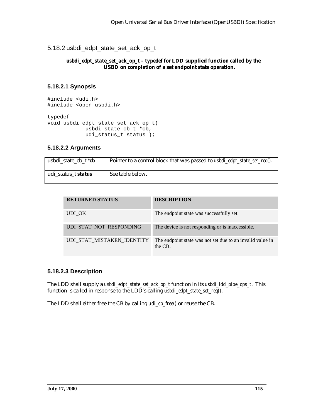5.18.2 usbdi\_edpt\_state\_set\_ack\_op\_t

#### *usbdi\_edpt\_state\_set\_ack\_op\_t* **–** *typedef* **for LDD supplied function called by the USBD on completion of a set endpoint state operation.**

## **5.18.2.1 Synopsis**

#include <udi.h> #include <open\_usbdi.h> typedef void usbdi\_edpt\_state\_set\_ack\_op\_t( usbdi\_state\_cb\_t \*cb, udi\_status\_t status );

#### **5.18.2.2 Arguments**

| usbdi state cb t * <i>cb</i> | Pointer to a control block that was passed to <i>usbdi_edpt_state_set_req()</i> . |
|------------------------------|-----------------------------------------------------------------------------------|
| udi status t <i>status</i>   | See table below.                                                                  |

| <b>RETURNED STATUS</b>     | <b>DESCRIPTION</b>                                                   |
|----------------------------|----------------------------------------------------------------------|
| UDI OK                     | The endpoint state was successfully set.                             |
| UDI_STAT_NOT_RESPONDING    | The device is not responding or is inaccessible.                     |
| UDI STAT MISTAKEN IDENTITY | The endpoint state was not set due to an invalid value in<br>the CB. |

## **5.18.2.3 Description**

The LDD shall supply a *usbdi\_edpt\_state\_set\_ack\_op\_t* function in its *usbdi\_ldd\_pipe\_ops\_t*. This function is called in response to the LDD's calling *usbdi\_edpt\_state\_set\_req()*.

The LDD shall either free the CB by calling *udi\_cb\_free()* or reuse the CB.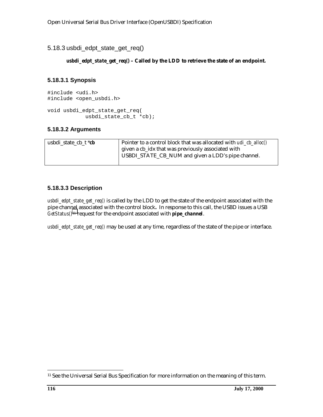5.18.3 usbdi\_edpt\_state\_get\_req()

## *usbdi\_edpt\_state\_get\_req()* **– Called by the LDD to retrieve the state of an endpoint.**

# **5.18.3.1 Synopsis**

```
#include <udi.h>
#include <open_usbdi.h>
void usbdi_edpt_state_get_req(
            usbdi state cb t *cb);
```
# **5.18.3.2 Arguments**

| usbdi state cb $t^*$ <b>cb</b> | Pointer to a control block that was allocated with <i>udi_cb_alloc()</i> |
|--------------------------------|--------------------------------------------------------------------------|
|                                | given a cb_idx that was previously associated with                       |
|                                | USBDI_STATE_CB_NUM and given a LDD's pipe channel.                       |
|                                |                                                                          |

# **5.18.3.3 Description**

*usbdi\_edpt\_state\_get\_req()* is called by the LDD to get the state of the endpoint associated with the pipe channel associated with the control block**.** In response to this call, the USBD issues a USB *GetStatus()11* request for the endpoint associated with *pipe\_channel*.

*usbdi\_edpt\_state\_get\_req()* may be used at any time, regardless of the state of the pipe or interface.

-

<sup>11</sup> See the Universal Serial Bus Specification for more information on the meaning of this term.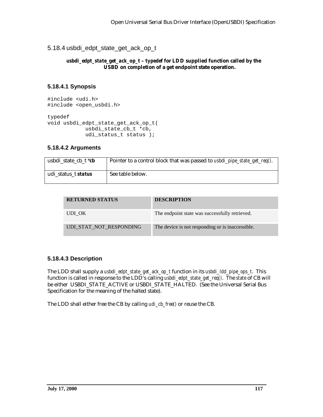5.18.4 usbdi\_edpt\_state\_get\_ack\_op\_t

#### *usbdi\_edpt\_state\_get\_ack\_op\_t* **–** *typedef* **for LDD supplied function called by the USBD on completion of a get endpoint state operation.**

## **5.18.4.1 Synopsis**

```
#include <udi.h>
#include <open_usbdi.h>
typedef
void usbdi_edpt_state_get_ack_op_t(
            usbdi_state_cb_t *cb,
            udi_status_t status );
```
#### **5.18.4.2 Arguments**

| usbdi state cb $t * cb$    | Pointer to a control block that was passed to <i>usbdi_pipe_state_get_req()</i> . |
|----------------------------|-----------------------------------------------------------------------------------|
| udi status t <i>status</i> | See table below.                                                                  |

| <b>RETURNED STATUS</b>  | <b>DESCRIPTION</b>                               |
|-------------------------|--------------------------------------------------|
| UDI OK                  | The endpoint state was successfully retrieved.   |
| UDI_STAT_NOT_RESPONDING | The device is not responding or is inaccessible. |

## **5.18.4.3 Description**

The LDD shall supply a *usbdi\_edpt\_state\_get\_ack\_op\_t* function in its *usbdi\_ldd\_pipe\_ops\_t*. This function is called in response to the LDD's calling *usbdi\_edpt\_state\_get\_req()*. The *state* of CB will be either USBDI\_STATE\_ACTIVE or USBDI\_STATE\_HALTED. (See the Universal Serial Bus Specification for the meaning of the halted state).

The LDD shall either free the CB by calling *udi\_cb\_free()* or reuse the CB.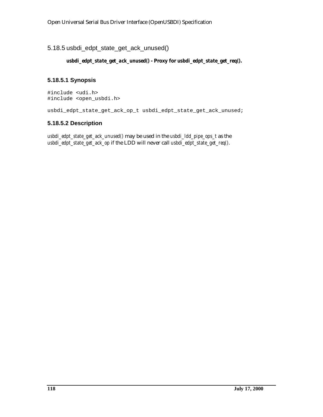## 5.18.5 usbdi\_edpt\_state\_get\_ack\_unused()

#### *usbdi\_edpt\_state\_get\_ack\_unused()* **- Proxy for** *usbdi\_edpt\_state\_get\_req()***.**

#### **5.18.5.1 Synopsis**

#include <udi.h> #include <open\_usbdi.h>

usbdi\_edpt\_state\_get\_ack\_op\_t usbdi\_edpt\_state\_get\_ack\_unused;

#### **5.18.5.2 Description**

*usbdi\_edpt\_state\_get\_ack\_unused()* may be used in the *usbdi\_ldd\_pipe\_ops\_t* as the *usbdi\_edpt\_state\_get\_ack\_op* if the LDD will never call *usbdi\_edpt\_state\_get\_req()*.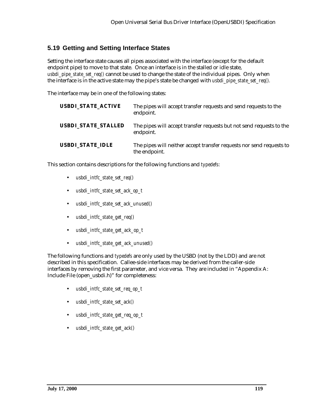# **5.19 Getting and Setting Interface States**

Setting the interface state causes all pipes associated with the interface (except for the default endpoint pipe) to move to that state. Once an interface is in the stalled or idle state, *usbdi\_pipe\_state\_set\_req()* cannot be used to change the state of the individual pipes. Only when the interface is in the active state may the pipe's state be changed with *usbdi pipe state set req().* 

The interface may be in one of the following states:

| <b>USBDI STATE ACTIVE</b>  | The pipes will accept transfer requests and send requests to the<br>endpoint.         |
|----------------------------|---------------------------------------------------------------------------------------|
| <b>USBDI STATE STALLED</b> | The pipes will accept transfer requests but not send requests to the<br>endpoint.     |
| <b>USBDI STATE IDLE</b>    | The pipes will neither accept transfer requests nor send requests to<br>the endpoint. |

This section contains descriptions for the following functions and *typedefs*:

- *usbdi\_intfc\_state\_set\_req()*
- *usbdi\_intfc\_state\_set\_ack\_op\_t*
- *usbdi\_intfc\_state\_set\_ack\_unused()*
- *usbdi\_intfc\_state\_get\_req()*
- *usbdi\_intfc\_state\_get\_ack\_op\_t*
- *usbdi\_intfc\_state\_get\_ack\_unused()*

The following functions and *typedefs* are only used by the USBD (not by the LDD) and are not described in this specification. Callee-side interfaces may be derived from the caller-side interfaces by removing the first parameter, and vice versa. They are included in "Appendix A: Include File (open\_usbdi.h)" for completeness:

- *usbdi\_intfc\_state\_set\_req\_op\_t*
- *usbdi\_intfc\_state\_set\_ack()*
- *usbdi\_intfc\_state\_get\_req\_op\_t*
- *usbdi\_intfc\_state\_get\_ack()*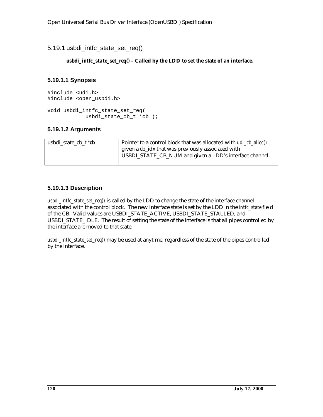5.19.1 usbdi\_intfc\_state\_set\_req()

## *usbdi\_intfc\_state\_set\_req()* **– Called by the LDD to set the state of an interface.**

## **5.19.1.1 Synopsis**

```
#include <udi.h>
#include <open_usbdi.h>
void usbdi_intfc_state_set_req(
            usbdi state cb t *cb );
```
#### **5.19.1.2 Arguments**

| usbdi state cb $t * cb$ | Pointer to a control block that was allocated with <i>udi ch alloc()</i>                                      |  |
|-------------------------|---------------------------------------------------------------------------------------------------------------|--|
|                         | given a cb_idx that was previously associated with<br>USBDI_STATE_CB_NUM and given a LDD's interface channel. |  |
|                         |                                                                                                               |  |

## **5.19.1.3 Description**

*usbdi\_intfc\_state\_set\_req()* is called by the LDD to change the state of the interface channel associated with the control block. The new interface state is set by the LDD in the *intfc\_state* field of the CB. Valid values are USBDI\_STATE\_ACTIVE, USBDI\_STATE\_STALLED, and USBDI\_STATE\_IDLE. The result of setting the state of the interface is that all pipes controlled by the interface are moved to that state.

*usbdi\_intfc\_state\_set\_req()* may be used at anytime, regardless of the state of the pipes controlled by the interface.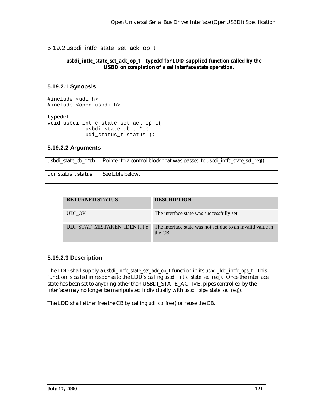5.19.2 usbdi\_intfc\_state\_set\_ack\_op\_t

#### *usbdi\_intfc\_state\_set\_ack\_op\_t* **–** *typedef* **for LDD supplied function called by the USBD on completion of a set interface state operation.**

## **5.19.2.1 Synopsis**

```
#include <udi.h>
#include <open_usbdi.h>
typedef
void usbdi_intfc_state_set_ack_op_t(
            usbdi_state_cb_t *cb,
            udi_status_t status );
```
#### **5.19.2.2 Arguments**

|                            | usbdi_state_cb_t *cb   Pointer to a control block that was passed to usbdi_intfc_state_set_req(). |
|----------------------------|---------------------------------------------------------------------------------------------------|
| udi_status_t <i>status</i> | See table below.                                                                                  |

| <b>RETURNED STATUS</b>     | <b>DESCRIPTION</b>                                                    |
|----------------------------|-----------------------------------------------------------------------|
| UDI OK                     | The interface state was successfully set.                             |
| UDI STAT MISTAKEN IDENTITY | The interface state was not set due to an invalid value in<br>the CB. |

## **5.19.2.3 Description**

The LDD shall supply a *usbdi\_intfc\_state\_set\_ack\_op\_t* function in its *usbdi\_ldd\_intfc\_ops\_t*. This function is called in response to the LDD's calling *usbdi\_intfc\_state\_set\_req()*. Once the interface state has been set to anything other than USBDI\_STATE\_ACTIVE, pipes controlled by the interface may no longer be manipulated individually with *usbdi\_pipe\_state\_set\_req()*.

The LDD shall either free the CB by calling *udi\_cb\_free()* or reuse the CB.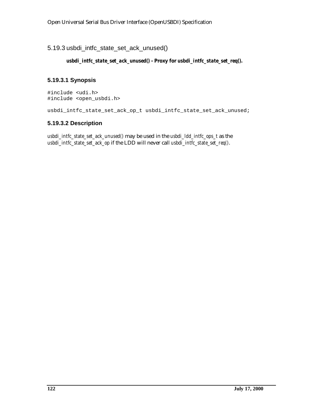## 5.19.3 usbdi\_intfc\_state\_set\_ack\_unused()

#### *usbdi\_intfc\_state\_set\_ack\_unused()* **- Proxy for** *usbdi\_intfc\_state\_set\_req()***.**

## **5.19.3.1 Synopsis**

#include <udi.h> #include <open\_usbdi.h>

usbdi\_intfc\_state\_set\_ack\_op\_t usbdi\_intfc\_state\_set\_ack\_unused;

## **5.19.3.2 Description**

*usbdi\_intfc\_state\_set\_ack\_unused()* may be used in the *usbdi\_ldd\_intfc\_ops\_t* as the *usbdi\_intfc\_state\_set\_ack\_op* if the LDD will never call *usbdi\_intfc\_state\_set\_req()*.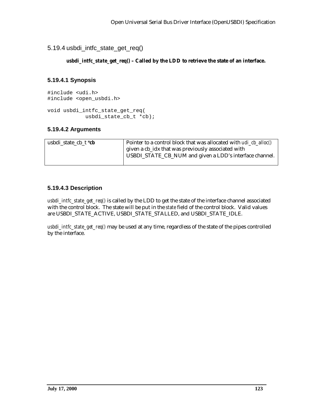5.19.4 usbdi\_intfc\_state\_get\_req()

## *usbdi\_intfc\_state\_get\_req()* **– Called by the LDD to retrieve the state of an interface.**

## **5.19.4.1 Synopsis**

#include <udi.h> #include <open\_usbdi.h> void usbdi\_intfc\_state\_get\_req(

```
usbdi state cb t * cb);
```
## **5.19.4.2 Arguments**

| usbdi state cb $t * cb$ | Pointer to a control block that was allocated with <i>udi ch alloc()</i> |  |
|-------------------------|--------------------------------------------------------------------------|--|
|                         | given a cb_idx that was previously associated with                       |  |
|                         | USBDI_STATE_CB_NUM and given a LDD's interface channel.                  |  |
|                         |                                                                          |  |

## **5.19.4.3 Description**

*usbdi\_intfc\_state\_get\_req()* is called by the LDD to get the state of the interface channel associated with the control block. The state will be put in the *state* field of the control block. Valid values are USBDI\_STATE\_ACTIVE, USBDI\_STATE\_STALLED, and USBDI\_STATE\_IDLE.

*usbdi\_intfc\_state\_get\_req()* may be used at any time, regardless of the state of the pipes controlled by the interface.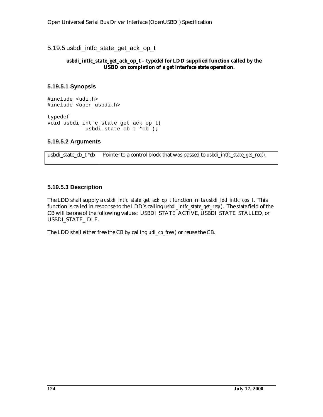5.19.5 usbdi\_intfc\_state\_get\_ack\_op\_t

#### *usbdi\_intfc\_state\_get\_ack\_op\_t* **–** *typedef* **for LDD supplied function called by the USBD on completion of a get interface state operation.**

## **5.19.5.1 Synopsis**

#include <udi.h> #include <open\_usbdi.h> typedef void usbdi\_intfc\_state\_get\_ack\_op\_t( usbdi\_state\_cb\_t \*cb );

## **5.19.5.2 Arguments**

usbdi\_state\_cb\_t \**cb* Pointer to a control block that was passed to *usbdi\_intfc\_state\_get\_req()*.

## **5.19.5.3 Description**

The LDD shall supply a *usbdi\_intfc\_state\_get\_ack\_op\_t* function in its *usbdi\_ldd\_intfc\_ops\_t*. This function is called in response to the LDD's calling *usbdi\_intfc\_state\_get\_req()*. The *state* field of the CB will be one of the following values: USBDI\_STATE\_ACTIVE, USBDI\_STATE\_STALLED, or USBDI\_STATE\_IDLE.

The LDD shall either free the CB by calling *udi\_cb\_free()* or reuse the CB.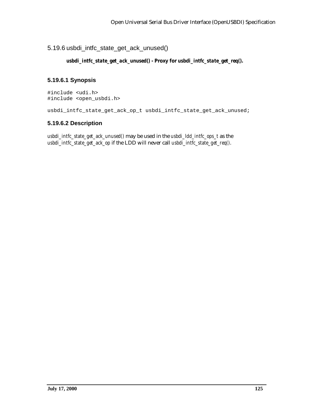## 5.19.6 usbdi\_intfc\_state\_get\_ack\_unused()

#### *usbdi\_intfc\_state\_get\_ack\_unused()* **- Proxy for** *usbdi\_intfc\_state\_get\_req()***.**

## **5.19.6.1 Synopsis**

#include <udi.h> #include <open\_usbdi.h>

usbdi\_intfc\_state\_get\_ack\_op\_t usbdi\_intfc\_state\_get\_ack\_unused;

## **5.19.6.2 Description**

*usbdi\_intfc\_state\_get\_ack\_unused()* may be used in the *usbdi\_ldd\_intfc\_ops\_t* as the *usbdi\_intfc\_state\_get\_ack\_op* if the LDD will never call *usbdi\_intfc\_state\_get\_req()*.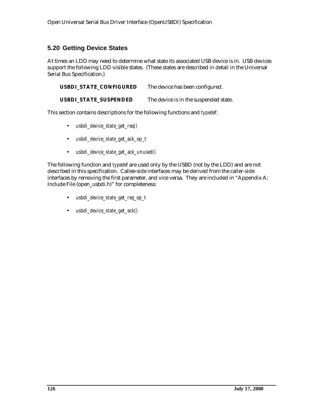# **5.20 Getting Device States**

At times an LDD may need to determine what state its associated USB device is in. USB devices support the following LDD visible states. (These states are described in detail in the Universal Serial Bus Specification.)

**USBDI\_STATE\_CONFIGURED** The device has been configured.

**USBDI\_STATE\_SUSPENDED** The device is in the suspended state.

This section contains descriptions for the following functions and *typedef*:

- *usbdi\_device\_state\_get\_req()*
- *usbdi\_device\_state\_get\_ack\_op\_t*
- *usbdi\_device\_state\_get\_ack\_unused()*

The following function and *typedef* are used only by the USBD (not by the LDD) and are not described in this specification. Callee-side interfaces may be derived from the caller-side interfaces by removing the first parameter, and vice versa. They are included in "Appendix A: Include File (open\_usbdi.h)" for completeness:

- *usbdi\_device\_state\_get\_req\_op\_t*
- *usbdi\_device\_state\_get\_ack()*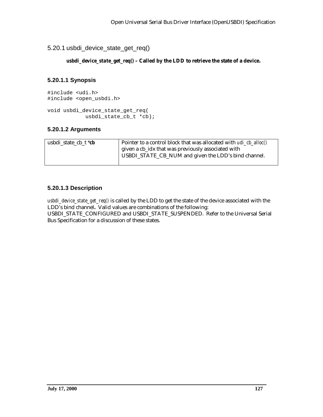5.20.1 usbdi\_device\_state\_get\_req()

## *usbdi\_device\_state\_get\_req()* **– Called by the LDD to retrieve the state of a device.**

## **5.20.1.1 Synopsis**

```
#include <udi.h>
#include <open_usbdi.h>
void usbdi_device_state_get_req(
            usbdi state cb t *cb);
```
## **5.20.1.2 Arguments**

| usbdi state cb_t * <i>cb</i> | Pointer to a control block that was allocated with <i>udi_cb_alloc()</i> |  |
|------------------------------|--------------------------------------------------------------------------|--|
|                              | given a cb_idx that was previously associated with                       |  |
|                              | USBDI_STATE_CB_NUM and given the LDD's bind channel.                     |  |
|                              |                                                                          |  |

## **5.20.1.3 Description**

*usbdi\_device\_state\_get\_req()* is called by the LDD to get the state of the device associated with the LDD's bind channel**.** Valid values are combinations of the following: USBDI\_STATE\_CONFIGURED and USBDI\_STATE\_SUSPENDED. Refer to the Universal Serial Bus Specification for a discussion of these states.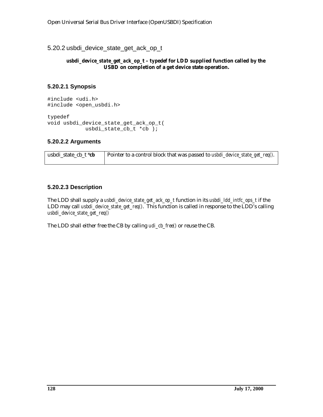## 5.20.2 usbdi\_device\_state\_get\_ack\_op\_t

#### *usbdi\_device\_state\_get\_ack\_op\_t* **–** *typedef* **for LDD supplied function called by the USBD on completion of a get device state operation.**

## **5.20.2.1 Synopsis**

#include <udi.h> #include <open\_usbdi.h> typedef void usbdi\_device\_state\_get\_ack\_op\_t( usbdi\_state\_cb\_t \*cb );

#### **5.20.2.2 Arguments**

| usbdi state cb $t * cb$ | Pointer to a control block that was passed to <i>usbdi_device_state_get_req()</i> . |
|-------------------------|-------------------------------------------------------------------------------------|
|                         |                                                                                     |

## **5.20.2.3 Description**

The LDD shall supply a *usbdi\_device\_state\_get\_ack\_op\_t* function in its *usbdi\_ldd\_intfc\_ops\_t* if the LDD may call *usbdi\_device\_state\_get\_req()*. This function is called in response to the LDD's calling *usbdi\_device\_state\_get\_req()*

The LDD shall either free the CB by calling *udi\_cb\_free()* or reuse the CB.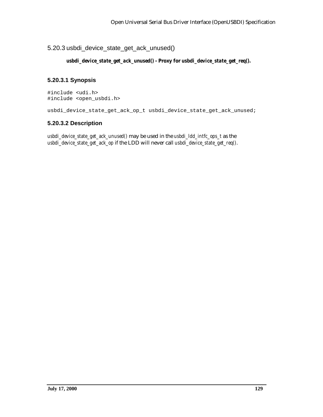## 5.20.3 usbdi\_device\_state\_get\_ack\_unused()

#### *usbdi\_device\_state\_get\_ack\_unused()* **- Proxy for** *usbdi\_device\_state\_get\_req()***.**

#### **5.20.3.1 Synopsis**

#include <udi.h> #include <open\_usbdi.h>

usbdi\_device\_state\_get\_ack\_op\_t usbdi\_device\_state\_get\_ack\_unused;

#### **5.20.3.2 Description**

*usbdi\_device\_state\_get\_ack\_unused()* may be used in the *usbdi\_ldd\_intfc\_ops\_t* as the *usbdi\_device\_state\_get\_ack\_op* if the LDD will never call *usbdi\_device\_state\_get\_req()*.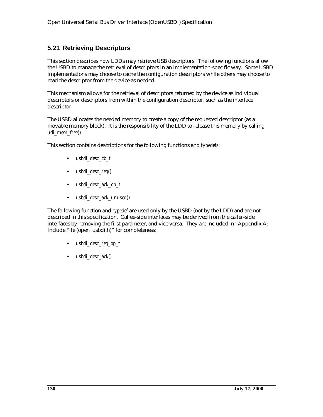# **5.21 Retrieving Descriptors**

This section describes how LDDs may retrieve USB descriptors. The following functions allow the USBD to manage the retrieval of descriptors in an implementation-specific way. Some USBD implementations may choose to cache the configuration descriptors while others may choose to read the descriptor from the device as needed.

This mechanism allows for the retrieval of descriptors returned by the device as individual descriptors or descriptors from within the configuration descriptor, such as the interface descriptor.

The USBD allocates the needed memory to create a copy of the requested descriptor (as a movable memory block). It is the responsibility of the LDD to release this memory by calling *udi\_mem\_free()*.

This section contains descriptions for the following functions and *typedefs*:

- *usbdi\_desc\_cb\_t*
- *usbdi\_desc\_req()*
- *usbdi\_desc\_ack\_op\_t*
- *usbdi\_desc\_ack\_unused()*

The following function and *typedef* are used only by the USBD (not by the LDD) and are not described in this specification. Callee-side interfaces may be derived from the caller-side interfaces by removing the first parameter, and vice versa. They are included in "Appendix A: Include File (open\_usbdi.h)" for completeness:

- *usbdi\_desc\_req\_op\_t*
- *usbdi\_desc\_ack()*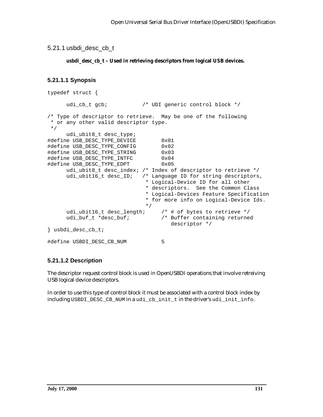```
5.21.1 usbdi_desc_cb_t
```
## *usbdi\_desc\_cb\_t* **– Used in retrieving descriptors from logical USB devices.**

## **5.21.1.1 Synopsis**

```
typedef struct {
     udi_cb_t gcb; \frac{1}{2} /* UDI generic control block */
/* Type of descriptor to retrieve. May be one of the following
  * or any other valid descriptor type.
 */
     udi_ubit8_t desc_type;
#define USB DESC TYPE DEVICE 0x01
#define USB_DESC_TYPE_CONFIG 0x02
#define USB DESC TYPE STRING 0x03
#define USB DESC TYPE INTFC 0x04
#define USB_DESC_TYPE_EDPT 0x05
     udi_ubit8_t desc_index; /* Index of descriptor to retrieve */
     udi_ubit16_t desc_ID; /* Language ID for string descriptors,
                              * Logical-Device ID for all other
                              * descriptors. See the Common Class
                              * Logical-Devices Feature Specification
                              * for more info on Logical-Device Ids.
                              */
     udi_ubit16_t desc_length; /* # of bytes to retrieve */
     udi buf t *desc buf; /* Buffer containing returned
                                     descriptor */
} usbdi_desc_cb_t;
#define USBDI_DESC_CB_NUM 5
```
# **5.21.1.2 Description**

The descriptor request control block is used in OpenUSBDI operations that involve retreiving USB logical device descriptors.

In order to use this type of control block it must be associated with a control block index by including USBDI\_DESC\_CB\_NUM in a udi\_cb\_init\_t in the driver's udi\_init\_info.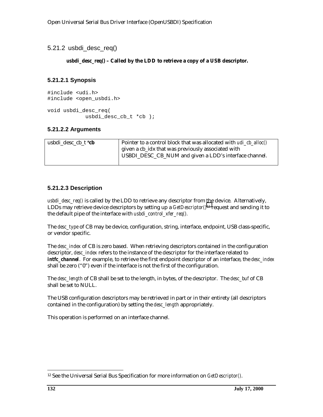## 5.21.2 usbdi\_desc\_req()

#### *usbdi\_desc\_req()* **– Called by the LDD to retrieve a copy of a USB descriptor.**

## **5.21.2.1 Synopsis**

```
#include <udi.h>
#include <open_usbdi.h>
void usbdi_desc_req(
            usbdi desc cb t *cb );
```
## **5.21.2.2 Arguments**

| usbdi desc cb $t *$ cb | Pointer to a control block that was allocated with <i>udi ch alloc()</i> |  |
|------------------------|--------------------------------------------------------------------------|--|
|                        | given a cb_idx that was previously associated with                       |  |
|                        | USBDI_DESC_CB_NUM and given a LDD's interface channel.                   |  |
|                        |                                                                          |  |

## **5.21.2.3 Description**

*usbdi desc\_req()* is called by the LDD to retrieve any descriptor from the device. Alternatively, LDDs may retrieve device descriptors by setting up a *GetDescriptor()12* request and sending it to the default pipe of the interface with *usbdi\_control\_xfer\_req().*

The *desc\_type* of CB may be device, configuration, string, interface, endpoint, USB class-specific, or vendor specific.

The *desc\_index* of CB is zero based. When retrieving descriptors contained in the configuration descriptor, *desc\_index* refers to the instance of the descriptor for the interface related to *intfc\_channel.* For example, to retrieve the first endpoint descriptor of an interface, the *desc\_index* shall be zero ("0") even if the interface is not the first of the configuration.

The *desc\_length* of CB shall be set to the length, in bytes, of the descriptor. The *desc\_buf* of CB shall be set to NULL.

The USB configuration descriptors may be retrieved in part or in their entirety (all descriptors contained in the configuration) by setting the *desc\_length* appropriately.

This operation is performed on an interface channel.

-

<sup>12</sup> See the Universal Serial Bus Specification for more information on *GetDescriptor()*.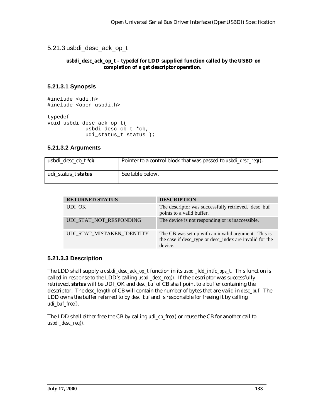5.21.3 usbdi\_desc\_ack\_op\_t

#### *usbdi\_desc\_ack\_op\_t* **–** *typedef* **for LDD supplied function called by the USBD on completion of a get descriptor operation.**

## **5.21.3.1 Synopsis**

#include <udi.h> #include <open\_usbdi.h>

```
typedef
void usbdi_desc_ack_op_t(
            usbdi_desc_cb_t *cb,
            udi_status_t status );
```
## **5.21.3.2 Arguments**

| usbdi desc cb $t * cb$     | Pointer to a control block that was passed to <i>usbdi_desc_req()</i> . |
|----------------------------|-------------------------------------------------------------------------|
| udi_status_t <i>status</i> | See table below.                                                        |

| <b>RETURNED STATUS</b>     | <b>DESCRIPTION</b>                                                                                                        |
|----------------------------|---------------------------------------------------------------------------------------------------------------------------|
| UDI OK                     | The descriptor was successfully retrieved. desc_buf<br>points to a valid buffer.                                          |
| UDI STAT NOT RESPONDING    | The device is not responding or is inaccessible.                                                                          |
| UDI STAT MISTAKEN IDENTITY | The CB was set up with an invalid argument. This is<br>the case if desc_type or desc_index are invalid for the<br>device. |

## **5.21.3.3 Description**

The LDD shall supply a *usbdi\_desc\_ack\_op\_t* function in its *usbdi\_ldd\_intfc\_ops\_t*. This function is called in response to the LDD's calling *usbdi\_desc\_req()*. If the descriptor was successfully retrieved, *status* will be UDI\_OK and *desc\_buf* of CB shall point to a buffer containing the descriptor. The *desc\_length* of CB will contain the number of bytes that are valid in *desc\_buf*. The LDD owns the buffer referred to by *desc\_buf* and is responsible for freeing it by calling *udi\_buf\_free().*

The LDD shall either free the CB by calling *udi\_cb\_free()* or reuse the CB for another call to *usbdi\_desc\_req()*.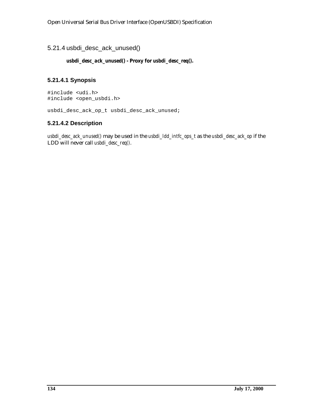5.21.4 usbdi\_desc\_ack\_unused()

## *usbdi\_desc\_ack\_unused()* **- Proxy for** *usbdi\_desc\_req()***.**

## **5.21.4.1 Synopsis**

#include <udi.h> #include <open\_usbdi.h>

usbdi\_desc\_ack\_op\_t usbdi\_desc\_ack\_unused;

# **5.21.4.2 Description**

*usbdi\_desc\_ack\_unused()* may be used in the *usbdi\_ldd\_intfc\_ops\_t* as the *usbdi\_desc\_ack\_op* if the LDD will never call *usbdi\_desc\_req()*.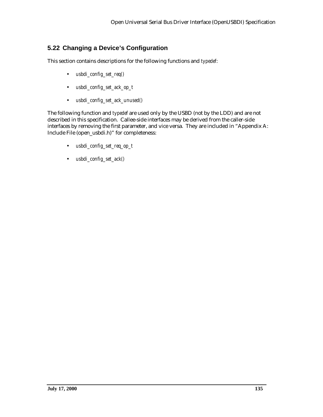# **5.22 Changing a Device's Configuration**

This section contains descriptions for the following functions and *typedef*:

- *usbdi\_config\_set\_req()*
- *usbdi\_config\_set\_ack\_op\_t*
- *usbdi\_config\_set\_ack\_unused()*

The following function and *typedef* are used only by the USBD (not by the LDD) and are not described in this specification. Callee-side interfaces may be derived from the caller-side interfaces by removing the first parameter, and vice versa. They are included in "Appendix A: Include File (open\_usbdi.h)" for completeness:

- *usbdi\_config\_set\_req\_op\_t*
- *usbdi\_config\_set\_ack()*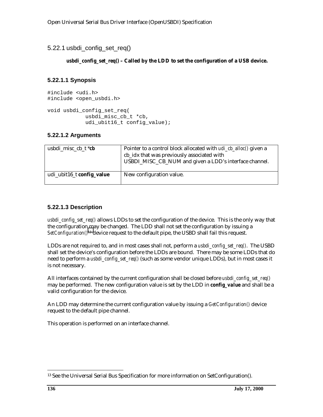```
5.22.1 usbdi_config_set_req()
```
## *usbdi\_config\_set\_req()* **– Called by the LDD to set the configuration of a USB device.**

## **5.22.1.1 Synopsis**

#include <udi.h> #include <open\_usbdi.h>

```
void usbdi_config_set_req(
            usbdi misc cb t *cb,
            udi_ubit16_t config_value);
```
## **5.22.1.2 Arguments**

| usbdi_misc_cb_t * <i>cb</i> | Pointer to a control block allocated with <i>udi_cb_alloc()</i> given a<br>cb_idx that was previously associated with<br>USBDI_MISC_CB_NUM and given a LDD's interface channel. |
|-----------------------------|---------------------------------------------------------------------------------------------------------------------------------------------------------------------------------|
| udi_ubit16_t config_value   | New configuration value.                                                                                                                                                        |

## **5.22.1.3 Description**

*usbdi\_config\_set\_req()* allows LDDs to set the configuration of the device. This is the only way that the configuration may be changed. The LDD shall not set the configuration by issuing a *SetConfiguration()13* device request to the default pipe, the USBD shall fail this request.

LDDs are not required to, and in most cases shall not, perform a *usbdi\_config\_set\_req()*. The USBD shall set the device's configuration before the LDDs are bound. There may be some LDDs that do need to perform a *usbdi\_config\_set\_req()* (such as some vendor unique LDDs), but in most cases it is not necessary.

All interfaces contained by the current configuration shall be closed before *usbdi\_config\_set\_req()* may be performed. The new configuration value is set by the LDD in *config\_value* and shall be a valid configuration for the device.

An LDD may determine the current configuration value by issuing a *GetConfiguration()* device request to the default pipe channel.

This operation is performed on an interface channel.

-

<sup>13</sup> See the Universal Serial Bus Specification for more information on SetConfiguration().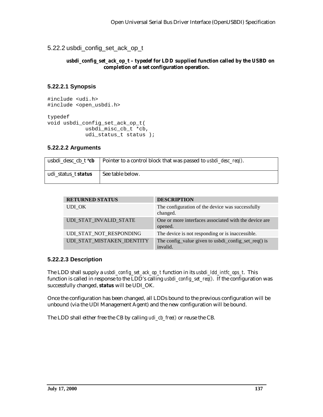5.22.2 usbdi\_config\_set\_ack\_op\_t

#### *usbdi\_config\_set\_ack\_op\_t* **–** *typedef* **for LDD supplied function called by the USBD on completion of a set configuration operation.**

## **5.22.2.1 Synopsis**

#include <udi.h> #include <open\_usbdi.h>

typedef void usbdi\_config\_set\_ack\_op\_t( usbdi\_misc\_cb\_t \*cb, udi\_status\_t status );

## **5.22.2.2 Arguments**

|                            | usbdi_desc_cb_t *cb   Pointer to a control block that was passed to usbdi_desc_req(). |
|----------------------------|---------------------------------------------------------------------------------------|
| udi status t <i>status</i> | See table below.                                                                      |

| <b>RETURNED STATUS</b>     | <b>DESCRIPTION</b>                                               |
|----------------------------|------------------------------------------------------------------|
| UDI OK                     | The configuration of the device was successfully<br>changed.     |
| UDI_STAT_INVALID_STATE     | One or more interfaces associated with the device are<br>opened. |
| UDI_STAT_NOT_RESPONDING    | The device is not responding or is inaccessible.                 |
| UDI STAT MISTAKEN IDENTITY | The config value given to usbdi config set req() is<br>invalid.  |

## **5.22.2.3 Description**

The LDD shall supply a *usbdi\_config\_set\_ack\_op\_t* function in its *usbdi\_ldd\_intfc\_ops\_t*. This function is called in response to the LDD's calling *usbdi\_config\_set\_req()*. If the configuration was successfully changed, *status* will be UDI\_OK.

Once the configuration has been changed, all LDDs bound to the previous configuration will be unbound (via the UDI Management Agent) and the new configuration will be bound.

The LDD shall either free the CB by calling *udi\_cb\_free()* or reuse the CB.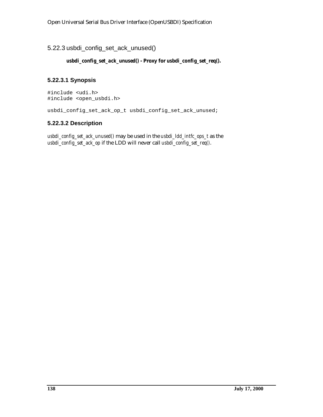# 5.22.3 usbdi\_config\_set\_ack\_unused()

## *usbdi\_config\_set\_ack\_unused()* **- Proxy for** *usbdi\_config\_set\_req()***.**

## **5.22.3.1 Synopsis**

#include <udi.h> #include <open\_usbdi.h>

usbdi\_config\_set\_ack\_op\_t usbdi\_config\_set\_ack\_unused;

## **5.22.3.2 Description**

*usbdi\_config\_set\_ack\_unused()* may be used in the *usbdi\_ldd\_intfc\_ops\_t* as the *usbdi\_config\_set\_ack\_op* if the LDD will never call *usbdi\_config\_set\_req()*.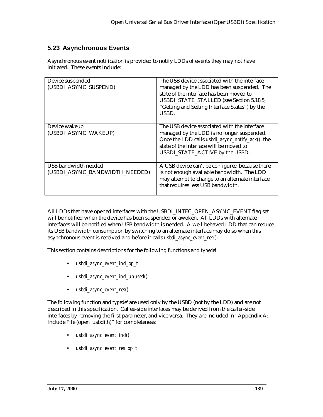# **5.23 Asynchronous Events**

Asynchronous event notification is provided to notify LDDs of events they may not have initiated. These events include:

| Device suspended<br>(USBDI_ASYNC_SUSPEND)              | The USB device associated with the interface<br>managed by the LDD has been suspended. The<br>state of the interface has been moved to<br>USBDI_STATE_STALLED (see Section 5.18.5,<br>"Getting and Setting Interface States") by the<br>USBD. |
|--------------------------------------------------------|-----------------------------------------------------------------------------------------------------------------------------------------------------------------------------------------------------------------------------------------------|
| Device wakeup<br>(USBDI ASYNC WAKEUP)                  | The USB device associated with the interface<br>managed by the LDD is no longer suspended.<br>Once the LDD calls usbdi_async_notify_ack(), the<br>state of the interface will be moved to<br>USBDI_STATE_ACTIVE by the USBD.                  |
| USB bandwidth needed<br>(USBDI_ASYNC_BANDWIDTH_NEEDED) | A USB device can't be configured because there<br>is not enough available bandwidth. The LDD<br>may attempt to change to an alternate interface<br>that requires less USB bandwidth.                                                          |

All LDDs that have opened interfaces with the USBDI\_INTFC\_OPEN\_ASYNC\_EVENT flag set will be notified when the device has been suspended or awoken. All LDDs with alternate interfaces will be notified when USB bandwidth is needed. A well-behaved LDD that can reduce its USB bandwidth consumption by switching to an alternate interface may do so when this asynchronous event is received and before it calls *usbdi\_async\_event\_res().*

This section contains descriptions for the following functions and *typedef:*

- *usbdi\_async\_event\_ind\_op\_t*
- *usbdi\_async\_event\_ind\_unused()*
- *usbdi\_async\_event\_res()*

The following function and *typedef* are used only by the USBD (not by the LDD) and are not described in this specification. Callee-side interfaces may be derived from the caller-side interfaces by removing the first parameter, and vice versa. They are included in "Appendix A: Include File (open\_usbdi.h)" for completeness:

- *usbdi\_async\_event\_ind()*
- *usbdi\_async\_event\_res\_op\_t*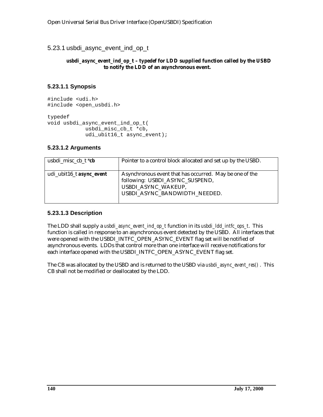5.23.1 usbdi\_async\_event\_ind\_op\_t

#### *usbdi\_async\_event\_ind\_op\_t* **–** *typedef* **for LDD supplied function called by the USBD to notify the LDD of an asynchronous event.**

## **5.23.1.1 Synopsis**

#include <udi.h> #include <open\_usbdi.h>

typedef void usbdi\_async\_event\_ind\_op\_t( usbdi\_misc\_cb\_t \*cb, udi\_ubit16\_t async\_event);

## **5.23.1.2 Arguments**

| usbdi_misc_cb_t *cb      | Pointer to a control block allocated and set up by the USBD.                                                                                       |
|--------------------------|----------------------------------------------------------------------------------------------------------------------------------------------------|
| udi_ubit16_t async_event | Asynchronous event that has occurred. May be one of the<br>following: USBDI_ASYNC_SUSPEND,<br>USBDI_ASYNC_WAKEUP,<br>USBDI_ASYNC_BANDWIDTH_NEEDED. |

## **5.23.1.3 Description**

The LDD shall supply a *usbdi\_async\_event\_ind\_op\_t* function in its *usbdi\_ldd\_intfc\_ops\_t*. This function is called in response to an asynchronous event detected by the USBD. All interfaces that were opened with the USBDI\_INTFC\_OPEN\_ASYNC\_EVENT flag set will be notified of asynchronous events. LDDs that control more than one interface will receive notifications for each interface opened with the USBDI\_INTFC\_OPEN\_ASYNC\_EVENT flag set.

The CB was allocated by the USBD and is returned to the USBD via *usbdi\_async\_event\_res()* . This CB shall not be modified or deallocated by the LDD.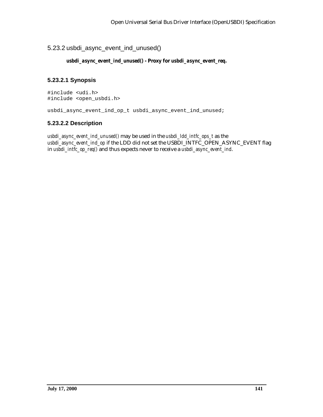## 5.23.2 usbdi\_async\_event\_ind\_unused()

#### *usbdi\_async\_event\_ind\_unused()* **- Proxy for** *usbdi\_async\_event\_req***.**

## **5.23.2.1 Synopsis**

#include <udi.h> #include <open\_usbdi.h>

usbdi\_async\_event\_ind\_op\_t usbdi\_async\_event\_ind\_unused;

## **5.23.2.2 Description**

*usbdi\_async\_event\_ind\_unused()* may be used in the *usbdi\_ldd\_intfc\_ops\_t* as the *usbdi\_async\_event\_ind\_op* if the LDD did not set the USBDI\_INTFC\_OPEN\_ASYNC\_EVENT flag in *usbdi\_intfc\_op\_req()* and thus expects never to receive a *usbdi\_async\_event\_ind*.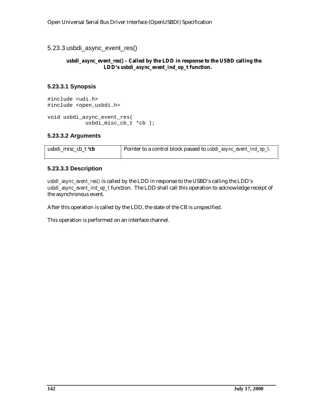5.23.3 usbdi\_async\_event\_res()

#### *usbdi\_async\_event\_res()* **– Called by the LDD in response to the USBD calling the LDD's** *usbdi\_async\_event\_ind\_op\_t* **function.**

## **5.23.3.1 Synopsis**

#include <udi.h> #include <open\_usbdi.h> void usbdi\_async\_event\_res( usbdi\_misc\_cb\_t \*cb );

## **5.23.3.2 Arguments**

| usbdi misc cb $t * cb$ | Pointer to a control block passed to <i>usbdi_async_event_ind_op_t</i> . |
|------------------------|--------------------------------------------------------------------------|
|                        |                                                                          |

#### **5.23.3.3 Description**

*usbdi\_async\_event\_res()* is called by the LDD in response to the USBD's calling the LDD's *usbdi\_async\_event\_ind\_op\_t* function. The LDD shall call this operation to acknowledge receipt of the asynchronous event.

After this operation is called by the LDD, the state of the CB is unspecified.

This operation is performed on an interface channel.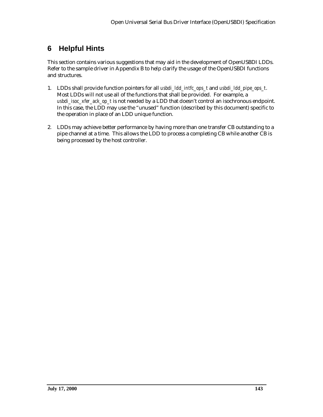# **6 Helpful Hints**

This section contains various suggestions that may aid in the development of OpenUSBDI LDDs. Refer to the sample driver in Appendix B to help clarify the usage of the OpenUSBDI functions and structures.

- 1. LDDs shall provide function pointers for all *usbdi\_ldd\_intfc\_ops\_t* and *usbdi\_ldd\_pipe\_ops\_t*. Most LDDs will not use all of the functions that shall be provided. For example, a *usbdi\_isoc\_xfer\_ack\_op\_t* is not needed by a LDD that doesn't control an isochronous endpoint. In this case, the LDD may use the "unused" function (described by this document) specific to the operation in place of an LDD unique function.
- 2. LDDs may achieve better performance by having more than one transfer CB outstanding to a pipe channel at a time. This allows the LDD to process a completing CB while another CB is being processed by the host controller.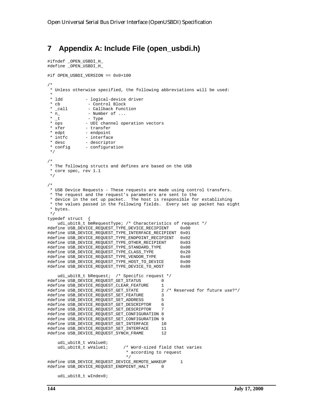# **7 Appendix A: Include File (open\_usbdi.h)**

```
#ifndef _OPEN_USBDI_H_
#define _OPEN_USBDI_H_
#if OPEN_USBDI_VERSION == 0x0+100
/*
 * Unless otherwise specified, the following abbreviations will be used:
 *
 * ldd - logical-device driver
* cb - Control Block
* _call - Callback Function
* n_ - Number of \dots* \overline{n}_r - Numbe<br>
* \overline{t} - Type<br>
* ops - UDI ch
* ops - UDI channel operation vectors<br>* xfer - transfer
 * xfer - transfer<br>* edpt - endpoint
* edpt - endpoint<br>* intfc - interfac
* intfc        - interface<br>* desc           - descripto
* desc - descriptor
* config - configuration
  */
/*
 * The following structs and defines are based on the USB
 * core spec, rev 1.1
  */
/*
 * USB Device Requests - These requests are made using control transfers.
 * The request and the request's parameters are sent to the
 * device in the set up packet. The host is responsible for establishing
 * the values passed in the following fields. Every set up packet has eight
 * bytes.
 */
typedef struct {
    udi_ubit8_t bmRequestType; /* Characteristics of request */
#define USB_DEVICE_REQUEST_TYPE_DEVICE_RECIPIENT 0x00
#define USB_DEVICE_REQUEST_TYPE_INTERFACE_RECIPIENT 0x01
#define USB_DEVICE_REQUEST_TYPE_ENDPOINT_RECIPIENT 0x02
#define USB_DEVICE_REQUEST_TYPE_OTHER_RECIPIENT 0x03
#define USB_DEVICE_REQUEST_TYPE_STANDARD_TYPE 0x00
#define USB_DEVICE_REQUEST_TYPE_CLASS_TYPE 0x20
#define USB_DEVICE_REQUEST_TYPE_VENDOR_TYPE                                     0x40<br>#define USB_DEVICE_REQUEST_TYPE_HOST_TO_DEVICE               0x00
#define USB_DEVICE_REQUEST_TYPE_HOST_TO_DEVICE 0x00
#define USB_DEVICE_REQUEST_TYPE_DEVICE_TO_HOST 0x80
    udi_ubit8_t bRequest; /* Specific request */
#define USB_DEVICE_REQUEST_GET_STATUS 0
#define USB_DEVICE_REQUEST_CLEAR_FEATURE 1
#define USB_DEVICE_REQUEST_GET_STATE 2 /* Reserved for future use?*/
#define USB_DEVICE_REQUEST_SET_FEATURE 3
#define USB_DEVICE_REQUEST_SET_ADDRESS 5
#define USB_DEVICE_REQUEST_GET_DESCRIPTOR 6
#define USB_DEVICE_REQUEST_SET_DESCRIPTOR 7
#define USB_DEVICE_REQUEST_GET_CONFIGURATION 8
#define USB_DEVICE_REQUEST_SET_CONFIGURATION 9
#define USB_DEVICE_REQUEST_GET_INTERFACE 10
#define USB_DEVICE_REQUEST_SET_INTERFACE 11
#define USB_DEVICE_REQUEST_SYNCH_FRAME 12
    udi ubit8 t wValue0;
     udi_ubit8_t wValue1; /* Word-sized field that varies
                                * according to request
                                 */
#define USB_DEVICE_REQUEST_DEVICE_REMOTE_WAKEUP 1
#define USB_DEVICE_REQUEST_ENDPOINT_HALT 0
```

```
 udi_ubit8_t wIndex0;
```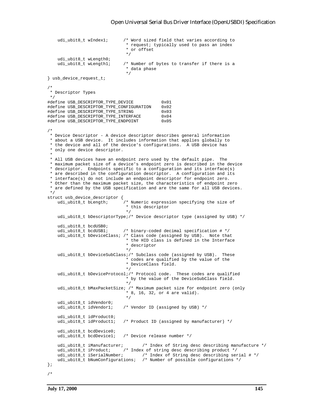```
 udi_ubit8_t wIndex1; /* Word sized field that varies according to
                                 * request; typically used to pass an index
                                  * or offset
                                 */
    udi_ubit8_t wLength0;<br>udi_ubit8_t wLength1;
                               /* Number of bytes to transfer if there is a
                                 * data phase
                                 */
} usb_device_request_t;
/*
 * Descriptor Types
 */
#define USB_DESCRIPTOR_TYPE_DEVICE 0x01
#define USB_DESCRIPTOR_TYPE_CONFIGURATION 0x02
#define USB_DESCRIPTOR_TYPE_STRING 0x03
#define USB_DESCRIPTOR_TYPE_INTERFACE 0x04
#define USB_DESCRIPTOR_TYPE_ENDPOINT 0x05
/*
 * Device Descriptor - A device descriptor describes general information
 * about a USB device. It includes information that applies globally to
  * the device and all of the device's configurations. A USB device has
  * only one device descriptor.
 *
 * All USB devices have an endpoint zero used by the default pipe. The
 * maximum packet size of a device's endpoint zero is described in the device
  * descriptor. Endpoints specific to a configuration and its interface(s)
  * are described in the configuration descriptor. A configuration and its
  * interface(s) do not include an endpoint descriptor for endpoint zero.
  * Other than the maximum packet size, the characteristics of endpoint zero
  * are defined by the USB specification and are the same for all USB devices.
 */
struct usb_device_descriptor {
   udi_ubit8_t bLength; \overline{\phantom{a}} /* Numeric expression specifying the size of
                                 * this descriptor
                                 */
     udi_ubit8_t bDescriptorType;/* Device descriptor type (assigned by USB) */
    udi_ubit8_t bcdUSB0;<br>udi ubit8 t bcdUSB1;
                               /* binary-coded decimal specification # */udi_ubit8_t bDeviceClass; /* Class code (assigned by USB). Note that
                                 * the HID class is defined in the Interface
                                 * descriptor
                                 */
     udi_ubit8_t bDeviceSubClass;/* Subclass code (assigned by USB). These
                                 * codes are qualified by the value of the
                                 * DeviceClass field.
                                 */
     udi_ubit8_t bDeviceProtocol;/* Protocol code. These codes are qualified
                                 * by the value of the DeviceSubClass field.
                                 */
    udi ubit8 t bMaxPacketSize; /* Maximum packet size for endpoint zero (only
                                 * 8, 16, 32, or 4 are valid).
                                 */
    udi_ubit8_t idVendor0;<br>udi_ubit8_t idVendor1;
                               /* Vendor ID (assigned by USB) */
    udi_ubit8_t idProduct0;<br>udi_ubit8_t idProduct1;
                              /* Product ID (assigned by manufacturer) */
     udi_ubit8_t bcdDevice0;
     udi_ubit8_t bcdDevice1; /* Device release number */
    udi_ubit8_t iManufacturer; \qquad /* Index of String desc describing manufacture */
     udi_ubit8_t iProduct; /* Index of string desc describing product */
    udi_ubit8_t iSerialNumber; \qquad /* Index of String desc describing serial # */
     udi_ubit8_t bNumConfigurations; /* Number of possible configurations */
};
/*
```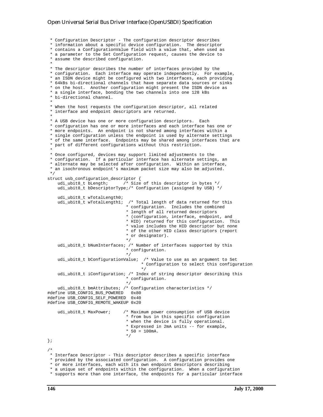\* Configuration Descriptor - The configuration descriptor describes \* information about a specific device configuration. The descriptor \* contains a ConfigurationValue field with a value that, when used as \* a parameter to the Set Configuration request, causes the device to \* assume the described configuration. \* \* The descriptor describes the number of interfaces provided by the \* configuration. Each interface may operate independently. For example, \* an ISDN device might be configured with two interfaces, each providing \* 64kBs bi-directional channels that have separate data sources or sinks \* on the host. Another configuration might present the ISDN device as \* a single interface, bonding the two channels into one 128 kBs \* bi-directional channel. \* \* When the host requests the configuration descriptor, all related \* interface and endpoint descriptors are returned. \* \* A USB device has one or more configuration descriptors. Each \* configuration has one or more interfaces and each interface has one or \* more endpoints. An endpoint is not shared among interfaces within a \* single configuration unless the endpoint is used by alternate settings \* of the same interface. Endpoints may be shared among interfaces that are \* part of different configurations without this restriction. \* \* Once configured, devices may support limited adjustments to the \* configuration. If a particular interface has alternate settings, an \* alternate may be selected after configuration. Within an interface, \* an isochronous endpoint's maximum packet size may also be adjusted. \*/ struct usb\_configuration\_descriptor { udi\_ubit8\_t bLength; /\* Size of this descriptor in bytes \*/ udi\_ubit8\_t bDescriptorType;/\* Configuration (assigned by USB) \*/ udi\_ubit8\_t wTotalLength0; udi\_ubit8\_t wTotalLength1; /\* Total length of data returned for this \* configuration. Includes the combined \* length of all returned descriptors \* (configuration, interface, endpoint, and \* HID) returned for this configuration. This \* value includes the HID descriptor but none \* of the other HID class descriptors (report \* or designator). \*/ udi\_ubit8\_t bNumInterfaces; /\* Number of interfaces supported by this \* configuration. \*/ udi\_ubit8\_t bConfigurationValue; /\* Value to use as an argument to Set \* Configuration to select this configuration \*/ udi\_ubit8\_t iConfiguration; /\* Index of string descriptor describing this \* configuration. \*/ udi ubit8 t bmAttributes; /\* Configuration characteristics \*/ #define USB\_CONFIG\_BUS\_POWERED 0x80 #define USB\_CONFIG\_SELF\_POWERED 0x40 #define USB\_CONFIG\_REMOTE\_WAKEUP 0x20 udi\_ubit8\_t MaxPower; /\* Maximum power consumption of USB device \* from bus in this specific configuration \* when the device is fully operational. \* Expressed in 2mA units -- for example, \*  $50 = 100mA$ . \*/ }; /\* \* Interface Descriptor - This descriptor describes a specific interface \* provided by the associated configuration. A configuration provides one \* or more interfaces, each with its own endpoint descriptors describing \* a unique set of endpoints within the configuration. When a configuration \* supports more than one interface, the endpoints for a particular interface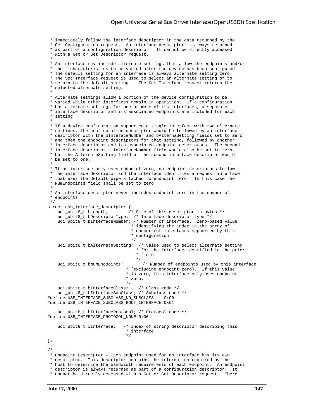\* immediately follow the interface descriptor in the data returned by the \* Get Configuration request. An interface descriptor is always returned \* as part of a configuration descriptor. It cannot be directly accessed \* with a Get or Set Descriptor request. \* \* An interface may include alternate settings that allow the endpoints and/or \* their characteristics to be varied after the device has been configured. \* The default setting for an interface is always alternate setting zero. \* The Set Interface request is used to select an alternate setting or to \* return to the default setting . The Get Interface request returns the \* selected alternate setting. \* \* Alternate settings allow a portion of the device configuration to be \* varied while other interfaces remain in operation. If a configuration \* has alternate settings for one or more of its interfaces, a separate \* interface descriptor and its associated endpoints are included for each \* setting. \* \* If a device configuration supported a single interface with two alternate \* settings, the configuration descriptor would be followed by an interface \* descriptor with the bIntefaceNumber and bAlternaSetting fields set to zero \* and then the endpoint descriptors for that setting, followed by another \* interface descriptor and its associated endpoint descriptors. The second \* interface descriptor's InterfaceNumber field would also be set to zero, \* but the AlternateSetting field of the second interface descriptor would \* be set to one. \* \* If an interface only uses endpoint zero, no endpoint descriptors follow \* the interface descriptor and the interface identifies a request interface \* that uses the default pipe attached to endpoint zero. In this case the \* NumEndpoints field shall be set to zero. \* \* An interface descriptor never includes endpoint zero in the number of \* endpoints. \*/ struct usb\_interface\_descriptor { udi\_ubit8\_t bLength;  $*$  Size of this descriptor in bytes \*/ udi\_ubit8\_t bDescriptorType; /\* Interface descriptor type \*/ udi\_ubit8\_t bInterfaceNumber; /\* Number of interface. Zero-based value \* identifying the index in the array of \* concurrent interfaces supported by this \* configuration \*/ udi\_ubit8\_t bAlternateSetting; /\* Value used to select alternate setting \* for the interface identified in the prior \* field. \*/ udi ubit8\_t bNumEndpoints;  $\qquad$  /\* Number of endpoints used by this interface \* (excluding endpoint zero). If this value \* is zero, this interface only uses endpoint \* zero. \*/ udi\_ubit8\_t bInterfaceClass; /\* Class code \*/ udi\_ubit8\_t bInterfaceSubClass; /\* Subclass code \*/ #define USB\_INTERFACE\_SUBCLASS\_NO\_SUBCLASS 0x00 #define USB\_INTERFACE\_SUBCLASS\_BOOT\_INTERFACE 0x01 udi\_ubit8\_t bInterfaceProtocol; /\* Protocol code \*/ #define USB\_INTERFACE\_PROTOCOL\_NONE 0x00 udi\_ubit8\_t iInterface; /\* Index of string descriptor describing this \* interface \*/ }; /\* \* Endpoint Descriptor - Each endpoint used for an interface has its own \* descriptor. This descriptor contains the information required by the \* host to determine the bandwidth requirements of each endpoint. An endpoint \* descriptor is always returned as part of a configuration descriptor. It \* cannot be directly accessed with a Get or Set Descriptor request. There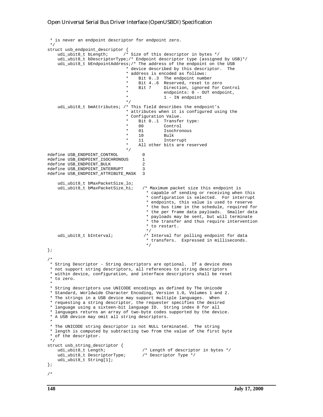```
 * is never an endpoint descriptor for endpoint zero.
  */
struct usb_endpoint_descriptor {
   udi ubit8 t bLength; \overrightarrow{ } /* Size of this descriptor in bytes */
     udi_ubit8_t bDescriptorType;/* Endpoint descriptor type (assigned by USB)*/
     udi_ubit8_t bEndpointAddress;/* The address of the endpoint on the USB
                                 * device described by this descriptor. The
                                  * address is encoded as follows:
                                     Bit 0..3 The endpoint number
                                      Bit 4..6 Reserved, reset to zero<br>Bit 7 Direction, ignored for
                                                Direction, ignored for Control
                                                endpoints: 0 - OUT endpoint,
                                                1 - IN endpoint
                                  */
     udi_ubit8_t bmAttributes; /* This field describes the endpoint's
                                  * attributes when it is configured using the
                                  * Configuration Value.
                                     Bit 0..1 Transfer type:
                                  * 00 Control
                                                Isochronous
                                 \begin{array}{ccc} * & 10 & \text{Bulk} \\ * & 11 & \text{Theta} \end{array}* 11 Interrupt<br>* 11 other hits are:
                                      All other bits are reserved
                                  */
#define USB_ENDPOINT_CONTROL 0
#define USB_ENDPOINT_ISOCHRONOUS 1
#define USB_ENDPOINT_BULK 2
#define USB ENDPOINT INTERRUPT 3
#define USB_ENDPOINT_ATTRIBUTE_MASK 3
     udi_ubit8_t bMaxPacketSize_lo;
     udi_ubit8_t bMaxPacketSize_hi; /* Maximum packet size this endpoint is
                                          * capable of sending or receiving when this
                                          * configuration is selected. For interrupt
                                          * endpoints, this value is used to reserve
                                          * the bus time in the schedule, required for
                                          * the per frame data payloads. Smaller data
                                          * payloads may be sent, but will terminate
                                          * the transfer and thus require intervention
                                          * to restart.
                                          */
    udi_ubit8_t bInterval; \overline{\phantom{a}} /* Interval for polling endpoint for data
                                          * transfers. Expressed in milliseconds.
                                          */
};
/*
 * String Descriptor - String descriptors are optional. If a device does
 * not support string descriptors, all references to string descriptors
 * within device, configuration, and interface descriptors shall be reset
 * to zero.
 *
  * String descriptors use UNICODE encodings as defined by The Unicode
  * Standard, Worldwide Character Encoding, Version 1.0, Volumes 1 and 2.
  * The strings in a USB device may support multiple languages. When
  * requesting a string descriptor, the requester specifies the desired
  * language using a sixteen-bit language ID. String index 0 for all
  * languages returns an array of two-byte codes supported by the device.
  * A USB device may omit all string descriptors.
 *
 * The UNICODE string descriptor is not NULL terminated. The string
  * length is computed by subtracting two from the value of the first byte
  * of the descriptor.
 */
struct usb_string_descriptor {
                                       /* Length of descriptor in bytes */
     udi_ubit8_t DescriptorType; /* Descriptor Type */
     udi_ubit8_t String[1];
};
/*
```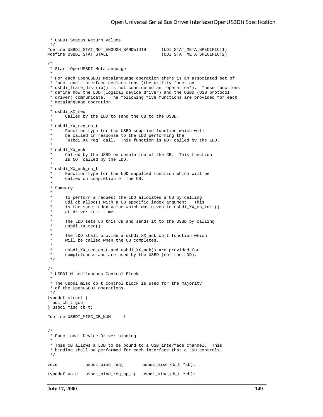```
 * USBDI Status Return Values
  */
#define USBDI_STAT_NOT_ENOUGH_BANDWIDTH (UDI_STAT_META_SPECIFIC|1)
                                            (UDI STAT META SPECIFIC|2)/*
 * Start OpenUSBDI Metalanguage
 *
 * For each OpenUSBDI Metalanguage operation there is an associated set of
 * functional interface declarations (the utility function
  * usbdi_frame_distrib() is not considered an 'operation'). These functions
  * define how the LDD (logical device driver) and the USBD (USB protocol
  * driver) communicate. The following five functions are provided for each
  * metalanguage operation:
 *
 * usbdi_XX_req
      Called by the LDD to send the CB to the USBD.
 *
  * usbdi_XX_req_op_t
      Function type for the USBD supplied function which will
      be called in response to the LDD performing the
       "usbdi_XX_req" call. This function is NOT called by the LDD.
 *
  * usbdi_XX_ack
      Called by the USBD on completion of the CB. This function
       is NOT called by the LDD.
 *
  * usbdi_XX_ack_op_t
      Function type for the LDD supplied function which will be
      called on completion of the CB.
  *
  * Summary:
 *
      To perform a request the LDD allocates a CB by calling
      udi_cb_alloc() with a CB specific index argument. This
      is the same index value which was given to usbdi_XX_cb_init()
      at driver init time.
 *
 * The LDD sets up this CB and sends it to the USBD by calling *
      usbdi_XX_req().
 *
  * The LDD shall provide a usbdi_XX_ack_op_t function which
      will be called when the CB completes.
  *
  * usbdi_XX_req_op_t and usbdi_XX_ack() are provided for
      completeness and are used by the USBD (not the LDD).
  */
/*
 * USBDI Miscellaneous Control Block
 *
 * The usbdi_misc_cb_t control block is used for the majority
  * of the OpenUSBDI operations.
 */
typedef struct {
  udi_cb_t gcb;
} usbdi_misc_cb_t;
#define USBDI_MISC_CB_NUM 1
/*
 * Functional Device Driver binding
 *
 * This CB allows a LDD to be bound to a USB interface channel. This
 * binding shall be performed for each interface that a LDD controls.
  */
void usbdi_bind_req( usbdi_misc_cb_t *cb);
typedef void usbdi_bind_req_op_t( usbdi_misc_cb_t *cb);
```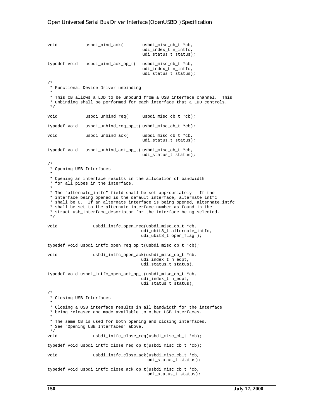```
void usbdi_bind_ack( usbdi_misc_cb_t *cb,
                                    udi_index_t n_intfc,
                                    udi status t status);
typedef void usbdi_bind_ack_op_t( usbdi_misc_cb_t *cb,
                                    udi_index_t n_intfc,
                                    udi_status_t status);
/*
 * Functional Device Driver unbinding
 *
 * This CB allows a LDD to be unbound from a USB interface channel. This
  * unbinding shall be performed for each interface that a LDD controls.
  */
void usbdi_unbind_req( usbdi_misc_cb_t *cb);
typedef void usbdi_unbind_req_op_t( usbdi_misc_cb_t *cb);
void usbdi_unbind_ack( usbdi_misc_cb_t *cb,
                                    udi_status_t status);
typedef void usbdi_unbind_ack_op_t( usbdi_misc_cb_t *cb,
                                    udi_status_t status);
/*
 * Opening USB Interfaces
 *
 * Opening an interface results in the allocation of bandwidth
 * for all pipes in the interface.
 *
 * The "alternate_intfc" field shall be set appropriately. If the
  * interface being opened is the default interface, alternate_intfc
  * shall be 0. If an alternate interface is being opened, alternate_intfc
  * shall be set to the alternate interface number as found in the
  * struct usb_interface_descriptor for the interface being selected.
  */
void usbdi_intfc_open_req(usbdi_misc_cb_t *cb,
                                    udi ubit8 t alternate intfc,
                                     udi_ubit8_t open_flag );
typedef void usbdi_intfc_open_req_op_t(usbdi_misc_cb_t *cb);
void usbdi_intfc_open_ack(usbdi_misc_cb_t *cb,
                                    udi_index_t n_edpt,
                                    udi_status_t status);
typedef void usbdi_intfc_open_ack_op_t(usbdi_misc_cb_t *cb,
                                     udi_index_t n_edpt,
                                     udi_status_t status);
/*
 * Closing USB Interfaces
 *
  * Closing a USB interface results in all bandwidth for the interface
 * being released and made available to other USB interfaces.
 *
  * The same CB is used for both opening and closing interfaces.
  * See "Opening USB Interfaces" above.
  */
void usbdi_intfc_close_req(usbdi_misc_cb_t *cb);
typedef void usbdi_intfc_close_req_op_t(usbdi_misc_cb_t *cb);
void usbdi_intfc_close_ack(usbdi_misc_cb_t *cb,
                                       udi_status_t status);
typedef void usbdi_intfc_close_ack_op_t(usbdi_misc_cb_t *cb,
                                      udi status t status);
```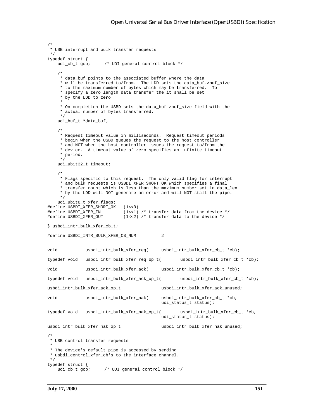```
/*
 * USB interrupt and bulk transfer requests
 */
typedef struct {
   udi_cb_t gcb; /* UDI general control block */
 /*
     * data_buf points to the associated buffer where the data
     * will be transferred to/from. The LDD sets the data_buf->buf_size
     * to the maximum number of bytes which may be transferred. To
     * specify a zero length data transfer the it shall be set
     * by the LDD to zero.
 *
     * On completion the USBD sets the data_buf->buf_size field with the
     * actual number of bytes transferred.
     */
   udi buf t *data buf;
    /*
     * Request timeout value in milliseconds. Request timeout periods
     * begin when the USBD queues the request to the host controller
     * and NOT when the host controller issues the request to/from the
     * device. A timeout value of zero specifies an infinite timeout
     * period.
     */
    udi_ubit32_t timeout;
 /*
     * Flags specific to this request. The only valid flag for interrupt
     * and bulk requests is USBDI_XFER_SHORT_OK which specifies a final
     * transfer count which is less than the maximum number set in data_len
     * by the LDD will NOT generate an error and will NOT stall the pipe.
     */
    udi_ubit8_t xfer_flags;
#define USBDI_XFER_SHORT_OK (1<<0)
#define USBDI_XFER_IN (1<<1) /* transfer data from the device */
                            (1<<2) /* transfer data to the device */
} usbdi_intr_bulk_xfer_cb_t;
#define USBDI_INTR_BULK_XFER_CB_NUM 2
void usbdi_intr_bulk_xfer_req( usbdi_intr_bulk_xfer_cb_t *cb);
typedef void usbdi_intr_bulk_xfer_req_op_t( usbdi_intr_bulk_xfer_cb_t *cb);
void usbdi_intr_bulk_xfer_ack( usbdi_intr_bulk_xfer_cb_t *cb);
typedef void usbdi_intr_bulk_xfer_ack_op_t( usbdi_intr_bulk_xfer_cb_t *cb);
usbdi_intr_bulk_xfer_ack_op_t usbdi_intr_bulk_xfer_ack_unused;
void usbdi_intr_bulk_xfer_nak( usbdi_intr_bulk_xfer_cb_t *cb,
                                           udi_status_t status);
typedef void usbdi_intr_bulk_xfer_nak_op_t( usbdi_intr_bulk_xfer_cb_t *cb,
                                          udi_status_t status);
usbdi_intr_bulk_xfer_nak_op_t usbdi_intr_bulk_xfer_nak_unused;
/*
 * USB control transfer requests
 *
 * The device's default pipe is accessed by sending
  * usbdi_control_xfer_cb's to the interface channel.
 */
typedef struct {
    udi_cb_t gcb; /* UDI general control block */
```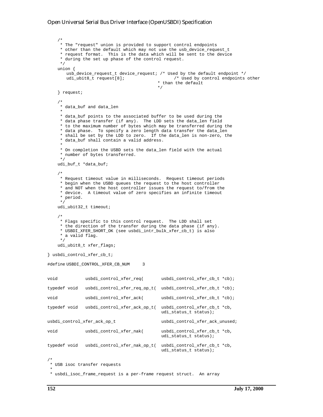```
 /*
     * The "request" union is provided to support control endpoints
      * other than the default which may not use the usb_device_request_t
      * request format. This is the data which will be sent to the device
      * during the set up phase of the control request.
     */
     union {
       usb_device_request_t device_request; /* Used by the default endpoint */
       udi_ubit8_t request[8]; \overline{\phantom{a}} /* Used by control endpoints other
                                            * than the default
                                            */
     } request;
 /*
      * data_buf and data_len
 *
      * data_buf points to the associated buffer to be used during the
      * data phase transfer (if any). The LDD sets the data_len field
      * to the maximum number of bytes which may be transferred during the
      * data phase. To specify a zero length data transfer the data_len
      * shall be set by the LDD to zero. If the data_len is non-zero, the
      * data_buf shall contain a valid address.
 *
      * On completion the USBD sets the data_len field with the actual
      * number of bytes transferred.
      */
     udi_buf_t *data_buf;
     /*
     * Request timeout value in milliseconds. Request timeout periods
     * begin when the USBD queues the request to the host controller
      * and NOT when the host controller issues the request to/from the
      * device. A timeout value of zero specifies an infinite timeout
      * period.
     \star /
     udi_ubit32_t timeout;
     /*
     * Flags specific to this control request. The LDD shall set
     * the direction of the transfer during the data phase (if any).
      * USBDI_XFER_SHORT_OK (see usbdi_intr_bulk_xfer_cb_t) is also
      * a valid flag.
      */
     udi_ubit8_t xfer_flags;
} usbdi_control_xfer_cb_t;
#define USBDI_CONTROL_XFER_CB_NUM 3
void usbdi_control_xfer_req( usbdi_control_xfer_cb_t *cb);
typedef void usbdi_control_xfer_req_op_t( usbdi_control_xfer_cb_t *cb);
void usbdi_control_xfer_ack( usbdi_control_xfer_cb_t *cb);
typedef void usbdi_control_xfer_ack_op_t( usbdi_control_xfer_cb_t *cb,
                                            udi_status_t status);
usbdi_control_xfer_ack_op_t usbdi_control_xfer_ack_unused;
void usbdi_control_xfer_nak( usbdi_control_xfer_cb_t *cb,
                                            udi_status_t status);
typedef void usbdi_control_xfer_nak_op_t( usbdi_control_xfer_cb_t *cb,
                                            udi_status_t status);
/*
  * USB isoc transfer requests
 *
  * usbdi_isoc_frame_request is a per-frame request struct. An array
```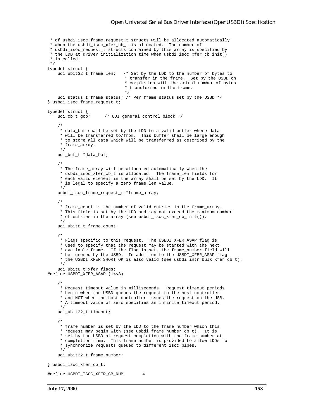```
 * of usbdi_isoc_frame_request_t structs will be allocated automatically
  * when the usbdi_isoc_xfer_cb_t is allocated. The number of
  * usbdi_isoc_request_t structs contained by this array is specified by
  * the LDD at driver initialization time when usbdi_isoc_xfer_cb_init()
 * is called.
 */
typedef struct {
     udi_ubit32_t frame_len; /* Set by the LDD to the number of bytes to
                                * transfer in the frame. Set by the USBD on
                                * completion with the actual number of bytes
                                * transferred in the frame.
                                */
    udi_status_t frame_status; /* Per frame status set by the USBD */
} usbdi_isoc_frame_request_t;
typedef struct {
   udi_cb_t gcb; /* UDI general control block */
     /*
     * data_buf shall be set by the LDD to a valid buffer where data
      * will be transferred to/from. This buffer shall be large enough
      * to store all data which will be transferred as described by the
      * frame_array.
     */
     udi_buf_t *data_buf;
     /*
     * The frame_array will be allocated automatically when the
     * usbdi_isoc_xfer_cb_t is allocated. The frame_len fields for
      * each valid element in the array shall be set by the LDD. It
     * is legal to specify a zero frame_len value.
      */
     usbdi_isoc_frame_request_t *frame_array;
     /*
     * frame_count is the number of valid entries in the frame_array.
     * This field is set by the LDD and may not exceed the maximum number
      * of entries in the array (see usbdi_isoc_xfer_cb_init()).
      */
     udi_ubit8_t frame_count;
     /*
     * Flags specific to this request. The USBDI_XFER_ASAP flag is
     * used to specify that the request may be started with the next
      * available frame. If the flag is set, the frame_number field will
      * be ignored by the USBD. In addition to the USBDI_XFER_ASAP flag
      * the USBDI_XFER_SHORT_OK is also valid (see usbdi_intr_bulk_xfer_cb_t).
      */
     udi_ubit8_t xfer_flags;
#define USBDI_XFER_ASAP (1<<3)
 /*
     * Request timeout value in milliseconds. Request timeout periods
     * begin when the USBD queues the request to the host controller
      * and NOT when the host controller issues the request on the USB.
      * A timeout value of zero specifies an infinite timeout period.
      */
     udi_ubit32_t timeout;
     /*
     * frame_number is set by the LDD to the frame number which this
      * request may begin with (see usbdi_frame_number_cb_t). It is
      * set by the USBD at request completion with the frame number at
      * completion time. This frame number is provided to allow LDDs to
      * synchronize requests queued to different isoc pipes.
      */
     udi_ubit32_t frame_number;
} usbdi_isoc_xfer_cb_t;
#define USBDI_ISOC_XFER_CB_NUM 4
```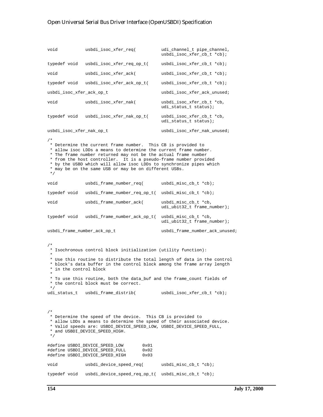```
void usbdi_isoc_xfer_req( udi_channel_t pipe_channel,
                                          usbdi isoc xfer cb t *cb);
typedef void usbdi_isoc_xfer_req_op_t( usbdi_isoc_xfer_cb_t *cb);
void usbdi_isoc_xfer_ack( usbdi_isoc_xfer_cb_t *cb);
typedef void usbdi_isoc_xfer_ack_op_t( usbdi_isoc_xfer_cb_t *cb);
usbdi_isoc_xfer_ack_op_t usbdi_isoc_xfer_ack_unused;
void usbdi_isoc_xfer_nak( usbdi_isoc_xfer_cb_t *cb,
                                          udi_status_t status);
typedef void usbdi_isoc_xfer_nak_op_t( usbdi_isoc_xfer_cb_t *cb,
                                          udi status t status);
usbdi_isoc_xfer_nak_op_t usbdi_isoc_xfer_nak_unused;
/*
 * Determine the current frame number. This CB is provided to
 * allow isoc LDDs a means to determine the current frame number.
  * The frame number returned may not be the actual frame number
  * from the host controller. It is a pseudo-frame number provided
 * by the USBD which will allow isoc LDDs to synchronize pipes which
  * may be on the same USB or may be on different USBs.
  */
void usbdi_frame_number_req( usbdi_misc_cb_t *cb);
typedef void usbdi_frame_number_req_op_t( usbdi_misc_cb_t *cb);
void usbdi_frame_number_ack( usbdi_misc_cb_t *cb,
                                          udi_ubit32_t frame_number);
typedef void usbdi_frame_number_ack_op_t( usbdi_misc_cb_t *cb,
                                          udi_ubit32_t frame_number);
usbdi frame number ack op t vsbdi frame number ack unused;
/*
 * Isochronous control block initialization (utility function):
 *
  * Use this routine to distribute the total length of data in the control
 * block's data buffer in the control block among the frame array length
  * in the control block
 *
  * To use this routine, both the data_buf and the frame_count fields of
 * the control block must be correct.
  */
udi_status_t usbdi_frame_distrib( usbdi_isoc_xfer_cb_t *cb);
/*
 * Determine the speed of the device. This CB is provided to
 * allow LDDs a means to determine the speed of their associated device.
 * Valid speeds are: USBDI_DEVICE_SPEED_LOW, USBDI_DEVICE_SPEED_FULL,
  * and USBDI_DEVICE_SPEED_HIGH.
  */
#define USBDI_DEVICE_SPEED_LOW 0x01<br>#define USBDI DEVICE SPEED FULL 0x02
#define USBDI_DEVICE_SPEED_FULL 0x02
#define USBDI_DEVICE_SPEED_HIGH 0x03
void usbdi_device_speed_req( usbdi_misc_cb_t *cb);
typedef void usbdi_device_speed_req_op_t( usbdi_misc_cb_t *cb);
```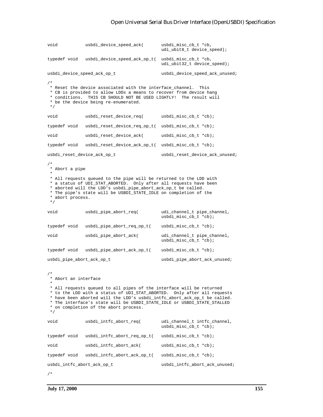```
void usbdi_device_speed_ack( usbdi_misc_cb_t *cb,
                                         udi_ubit8_t device_speed);
typedef void usbdi_device_speed_ack_op_t( usbdi_misc_cb_t *cb,
                                         udi_ubit32_t device_speed);
usbdi_device_speed_ack_op_t usbdi_device_speed_ack_unused;
/*
 * Reset the device associated with the interface_channel. This
 * CB is provided to allow LDDs a means to recover from device hang
 * conditions. THIS CB SHOULD NOT BE USED LIGHTLY! The result will
  * be the device being re-enumerated.
 */
void usbdi_reset_device_req( usbdi_misc_cb_t *cb);
typedef void usbdi_reset_device_req_op_t( usbdi_misc_cb_t *cb);
void usbdi_reset_device_ack( usbdi_misc_cb_t *cb);
typedef void usbdi_reset_device_ack_op_t( usbdi_misc_cb_t *cb);
usbdi_reset_device_ack_op_t usbdi_reset_device_ack_unused;
/*
 * Abort a pipe
 *
 * All requests queued to the pipe will be returned to the LDD with
 * a status of UDI_STAT_ABORTED. Only after all requests have been
  * aborted will the LDD's usbdi_pipe_abort_ack_op_t be called.
 * The pipe's state will be USBDI_STATE_IDLE on completion of the
  * abort process.
  */
void usbdi_pipe_abort_req( udi_channel_t pipe_channel,
                                         usbdi_misc_cb_t *cb);
typedef void usbdi_pipe_abort_req_op_t( usbdi_misc_cb_t *cb);
void usbdi_pipe_abort_ack( udi_channel_t pipe_channel,
                                         usbdi_misc_cb_t *cb);
typedef void usbdi_pipe_abort_ack_op_t( usbdi_misc_cb_t *cb);
usbdi_pipe_abort_ack_op_t usbdi_pipe_abort_ack_unused;
/*
 * Abort an interface
 *
  * All requests queued to all pipes of the interface will be returned
 * to the LDD with a status of UDI_STAT_ABORTED. Only after all requests
  * have been aborted will the LDD's usbdi_intfc_abort_ack_op_t be called.
  * The interface's state will be USBDI_STATE_IDLE or USBDI_STATE_STALLED
  * on completion of the abort process.
  */
void usbdi_intfc_abort_req( udi_channel_t intfc_channel,
                                         usbdi_misc_cb_t *cb);
typedef void usbdi_intfc_abort_req_op_t( usbdi_misc_cb_t *cb);
void usbdi_intfc_abort_ack( usbdi_misc_cb_t *cb);
typedef void usbdi_intfc_abort_ack_op_t( usbdi_misc_cb_t *cb);
usbdi_intfc_abort_ack_op_t usbdi_intfc_abort_ack_unused;
/*
```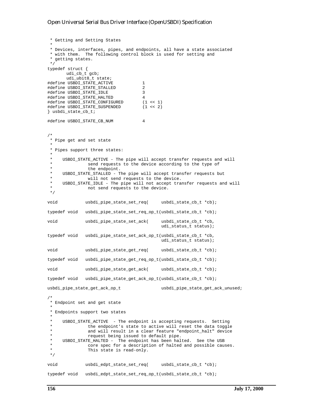```
 * Getting and Setting States
 *
 * Devices, interfaces, pipes, and endpoints, all have a state associated
  * with them. The following control block is used for setting and
  * getting states.
 */
typedef struct {
      udi_cb_t gcb;
      udi_ubit8_t state;
#define USBDI_STATE_ACTIVE 1
#define USBDI_STATE_STALLED 2
#define USBDI_STATE_IDLE 3
#define USBDI_STATE_HALTED 4
#define USBDI_STATE_CONFIGURED (1 << 1)
#define USBDI_STATE_SUSPENDED (1 << 2)
} usbdi_state_cb_t;
#define USBDI_STATE_CB_NUM 4
/*
 * Pipe get and set state
 *
 * Pipes support three states:
 *
  * USBDI_STATE_ACTIVE - The pipe will accept transfer requests and will
               send requests to the device according to the type of
 * the endpoint.
  * USBDI_STATE_STALLED - The pipe will accept transfer requests but
 * will not send requests to the device.<br>* USPDI STATE IDLE - The pipe will not accept train
  * USBDI_STATE_IDLE - The pipe will not accept transfer requests and will
              not send requests to the device.
  */
void usbdi_pipe_state_set_req( usbdi_state_cb_t *cb);
typedef void usbdi_pipe_state_set_req_op_t(usbdi_state_cb_t *cb);
void usbdi_pipe_state_set_ack( usbdi_state_cb_t *cb,
                                           udi_status_t status);
typedef void usbdi_pipe_state_set_ack_op_t(usbdi_state_cb_t *cb,
                                            udi_status_t status);
void usbdi_pipe_state_get_req( usbdi_state_cb_t *cb);
typedef void usbdi_pipe_state_get_req_op_t(usbdi_state_cb_t *cb);
void usbdi_pipe_state_get_ack( usbdi_state_cb_t *cb);
typedef void usbdi_pipe_state_get_ack_op_t(usbdi_state_cb_t *cb);
usbdi_pipe_state_get_ack_op_t usbdi_pipe_state_get_ack_unused;
/*
 * Endpoint set and get state
 *
  * Endpoints support two states
 *
  * USBDI_STATE_ACTIVE - The endpoint is accepting requests. Setting
 * the endpoint's state to active will reset the data toggle<br>* and will result in a glear feature "endpoint balt" device
               and will result in a clear feature "endpoint_halt" device
 * request being issued to default pipe.<br>* USPER STATE HALTED - The endpoint has been hal
  * USBDI_STATE_HALTED - The endpoint has been halted. See the USB
               core spec for a description of halted and possible causes.
  * This state is read-only.
  */
void usbdi_edpt_state_set_req( usbdi_state_cb_t *cb);
typedef void usbdi_edpt_state_set_req_op_t(usbdi_state_cb_t *cb);
```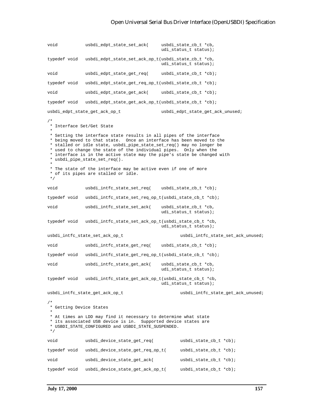```
void usbdi_edpt_state_set_ack( usbdi_state_cb_t *cb,
                                         udi_status_t status);
typedef void usbdi_edpt_state_set_ack_op_t(usbdi_state_cb_t *cb,
                                         udi_status_t status);
void usbdi_edpt_state_get_req( usbdi_state_cb_t *cb);
typedef void usbdi_edpt_state_get_req_op_t(usbdi_state_cb_t *cb);
void usbdi_edpt_state_get_ack( usbdi_state_cb_t *cb);
typedef void usbdi_edpt_state_get_ack_op_t(usbdi_state_cb_t *cb);
usbdi_edpt_state_get_ack_op_t usbdi_edpt_state_get_ack_unused;
/*
 * Interface Set/Get State
 *
  * Setting the interface state results in all pipes of the interface
  * being moved to that state. Once an interface has been moved to the
  * stalled or idle state, usbdi_pipe_state_set_req() may no longer be
  * used to change the state of the individual pipes. Only when the
  * interface is in the active state may the pipe's state be changed with
  * usbdi_pipe_state_set_req().
 *
  * The state of the interface may be active even if one of more
  * of its pipes are stalled or idle.
 */
void usbdi_intfc_state_set_req( usbdi_state_cb_t *cb);
typedef void usbdi_intfc_state_set_req_op_t(usbdi_state_cb_t *cb);
void usbdi_intfc_state_set_ack( usbdi_state_cb_t *cb,
                                         udi_status_t status);
typedef void usbdi_intfc_state_set_ack_op_t(usbdi_state_cb_t *cb,
                                         udi_status_t status);
usbdi_intfc_state_set_ack_op_t usbdi_intfc_state_set_ack_unused;
void usbdi_intfc_state_get_req( usbdi_state_cb_t *cb);
typedef void usbdi_intfc_state_get_req_op_t(usbdi_state_cb_t *cb);
void usbdi_intfc_state_get_ack( usbdi_state_cb_t *cb,
                                         udi_status_t status);
typedef void usbdi_intfc_state_get_ack_op_t(usbdi_state_cb_t *cb,
                                         udi_status_t status);
usbdi_intfc_state_get_ack_op_t usbdi_intfc_state_get_ack_unused;
/*
 * Getting Device States
 *
 * At times an LDD may find it necessary to determine what state
  * its associated USB device is in. Supported device states are
  * USBDI_STATE_CONFIGURED and USBDI_STATE_SUSPENDED.
  */
void usbdi_device_state_qet_req( usbdi_state_cb_t *cb);
typedef void usbdi_device_state_get_req_op_t( usbdi_state_cb_t *cb);
void usbdi_device_state_get_ack( usbdi_state_cb_t *cb);
typedef void usbdi_device_state_get_ack_op_t( usbdi_state_cb_t *cb);
```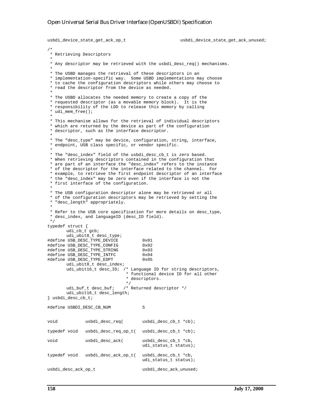```
usbdi_device_state_get_ack_op_t usbdi_device_state_get_ack_unused;
/*
 * Retrieving Descriptors
 *
 * Any descriptor may be retrieved with the usbdi_desc_req() mechanisms.
 *
  * The USBD manages the retrieval of these descriptors in an
  * implementation-specific way. Some USBD implementations may choose
  * to cache the configuration descriptors while others may choose to
  * read the descriptor from the device as needed.
 *
 * The USBD allocates the needed memory to create a copy of the
  * requested descriptor (as a movable memory block). It is the
  * responsibility of the LDD to release this memory by calling
  * udi_mem_free();
 *
  * This mechanism allows for the retrieval of individual descriptors
  * which are returned by the device as part of the configuration
  * descriptor, such as the interface descriptor.
 *
  * The "desc_type" may be device, configuration, string, interface,
  * endpoint, USB class specific, or vendor specific.
 *
  * The "desc_index" field of the usbdi_desc_cb_t is zero based.
  * When retrieving descriptors contained in the configuration that
  * are part of an interface the "desc_index" refers to the instance
  * of the descriptor for the interface related to the channel. For
  * example, to retrieve the first endpoint descriptor of an interface
  * the "desc_index" may be zero even if the interface is not the
  * first interface of the configuration.
 *
  * The USB configuration descriptor alone may be retrieved or all
  * of the configuration descriptors may be retrieved by setting the
  * "desc_length" appropriately.
 *
  * Refer to the USB core specification for more details on desc_type,
  * desc_index, and languageID (desc_ID field).
  */
typedef struct {
       udi cb t qcb;
       udi_ubit8_t desc_type;
#define USB_DESC_TYPE_DEVICE 0x01<br>#define USB DESC TYPE CONFIG 0x02
#define USB_DESC_TYPE_CONFIG 0x02
#define USB_DESC_TYPE_STRING
#define USB_DESC_TYPE_INTFC 0x04
#define USB_DESC_TYPE_EDPT
       udi_ubit8_t desc_index;
       udi_ubit16_t desc_ID; /* Language ID for string descriptors,
                               * functional device ID for all other
                               * descriptors.
                               */
       udi_buf_t desc_buf; /* Returned descriptor */
       udi_ubit16_t desc_length;
} usbdi_desc_cb_t;
#define USBDI_DESC_CB_NUM 5
void usbdi_desc_req( usbdi_desc_cb_t *cb);
typedef void usbdi_desc_req_op_t( usbdi_desc_cb_t *cb);
void usbdi_desc_ack( usbdi_desc_cb_t *cb,
                                     udi_status_t status);
typedef void usbdi_desc_ack_op_t( usbdi_desc_cb_t *cb,
                                     udi_status_t status);
usbdi_desc_ack_op_t usbdi_desc_ack_unused;
```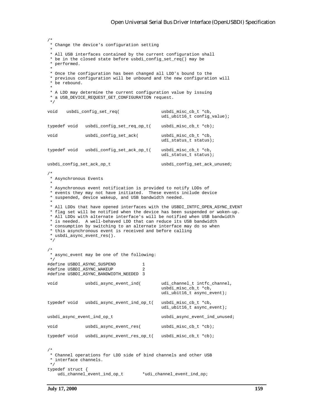```
/*
 * Change the device's configuration setting
 *
  * All USB interfaces contained by the current configuration shall
  * be in the closed state before usbdi_config_set_req() may be
  * performed.
 *
 * Once the configuration has been changed all LDD's bound to the
  * previous configuration will be unbound and the new configuration will
  * be rebound.
 *
 * A LDD may determine the current configuration value by issuing
  * a USB_DEVICE_REQUEST_GET_CONFIGURATION request.
  */
void usbdi_config_set_req( usbdi_misc_cb_t *cb,
                                           udi_ubit16_t config_value);
typedef void usbdi_config_set_req_op_t( usbdi_misc_cb_t *cb);
void usbdi_config_set_ack( usbdi_misc_cb_t *cb,
                                           udi_status_t status);
typedef void usbdi_config_set_ack_op_t( usbdi_misc_cb_t *cb,
                                          udi_status_t status);
usbdi_config_set_ack_op_t usbdi_config_set_ack_unused;
/*
 * Asynchronous Events
 *
  * Asynchronous event notification is provided to notify LDDs of
  * events they may not have initiated. These events include device
  * suspended, device wakeup, and USB bandwidth needed.
 *
  * All LDDs that have opened interfaces with the USBDI_INTFC_OPEN_ASYNC_EVENT
  * flag set will be notified when the device has been suspended or woken-up.
  * All LDDs with alternate interface's will be notified when USB bandwidth
  * is needed. A well-behaved LDD that can reduce its USB bandwidth
  * consumption by switching to an alternate interface may do so when
 * this asynchronous event is received and before calling
  * usbdi_async_event_res().
 */
/*
 * async_event may be one of the following:
 */
#define USBDI_ASYNC_SUSPEND 1
#define USBDI_ASYNC_WAKEUP 2
#define USBDI_ASYNC_BANDWIDTH_NEEDED 3
void usbdi_async_event_ind( udi_channel_t intfc_channel,
                                           usbdi misc cb t *cb,
                                           udi_ubit16_t async_event);
typedef void usbdi_async_event_ind_op_t( usbdi_misc_cb_t *cb,
                                           udi_ubit16_t async_event);
usbdi_async_event_ind_op_t usbdi_async_event_ind_unused;
void usbdi_async_event_res( usbdi_misc_cb_t *cb);
typedef void usbdi_async_event_res_op_t( usbdi_misc_cb_t *cb);
/*
 * Channel operations for LDD side of bind channels and other USB
 * interface channels.
 */
typedef struct {<br>udi_channel_event_ind_op_t
                                  *udi_channel_event_ind_op;
```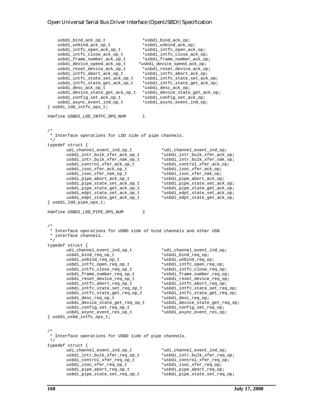```
 usbdi_bind_ack_op_t *usbdi_bind_ack_op;
   usbdi_unbind_ack_op_t
    usbdi_intfc_open_ack_op_t *usbdi_intfc_open_ack_op;
   usbdi intfc close ack op t usbdi_frame_number_ack_op_t *usbdi_frame_number_ack_op;
    usbdi_device_speed_ack_op_t *usbdi_device_speed_ack_op;
   usbdi_reset_device_ack_op_t
    usbdi_intfc_abort_ack_op_t *usbdi_intfc_abort_ack_op;
    usbdi_intfc_state_set_ack_op_t *usbdi_intfc_state_set_ack_op;
    usbdi_intfc_state_get_ack_op_t *usbdi_intfc_state_get_ack_op;
   usbdi_desc_ack_op_t
    usbdi_device_state_get_ack_op_t *usbdi_device_state_get_ack_op;
    {\tt usbdi\_config\_set\_ack\_op\_t} \hspace*{1.5ex} {\tt *usbdi\_config\_set\_ack\_op;} \label{subdi\_async}usbdi\_async\_event\_ind\_op_t} usbdi_ldd_intfc_ops_t;
#define USBDI_LDD_INTFC_OPS_NUM 1
/*
 * Interface operations for LDD side of pipe channels.
 */
typedef struct {
       udi_channel_event_ind_op_t *udi_channel_event_ind_op;
       usbdi_intr_bulk_xfer_ack_op_t
       usbdi_intr_bulk_xfer_nak_op_t *usbdi_intr_bulk_xfer_nak_op;
       usbdi_control_xfer_ack_op_t
       usbdi_isoc_xfer_ack_op_t *usbdi_isoc_xfer_ack_op;<br>usbdi_isoc_xfer_nak_op_t *usbdi_isoc_xfer_nak_op;
       usbdi\_isoc\_xfer\_nak\_op\_tusbdi_pipe_abort_ack_op_t *usbdi_pipe_abort_ack_op;
       usbdi_pipe_state_set_ack_op_t *usbdi_pipe_state_set_ack_op;
       usbdi_pipe_state_get_ack_op_t
       usbdi_edpt_state_set_ack_op_t *usbdi_edpt_state_set_ack_op;
       usbdi_edpt_state_get_ack_op_t *usbdi_edpt_state_get_ack_op;
} usbdi_ldd_pipe_ops_t;
#define USBDI_LDD_PIPE_OPS_NUM 2
/*
 * Interface operations for USBD side of bind channels and other USB
  * interface channels.
 */
typedef struct {
       udi_channel_event_ind_op_t *udi_channel_event_ind_op;
       usbdi_bind_req_op_t *usbdi_bind_req_op;
       usbdi_unbind_req_op_t<br>usbdi_intfc_open_req_op_t
       usbdi_intfc_open_req_op_t *usbdi_intfc_open_req_op;
       usbdi_intfc_close_req_op_t *usbdi_intfc_close_req_op;
       usbdi_frame_number_req_op_t *usbdi_frame_number_req_op;
       usbdi_reset_device_req_op_t *usbdi_reset_device_req_op;
       usbdi_intfc_abort_req_op_t *usbdi_intfc_abort_req_op;<br>usbdi_intfc_state_set_req_op_t *usbdi_intfc_state_set_req_op;
       usbdi\_intfc\_state\_set\_req\_op_tusbdi_intfc_state_get_req_op_t *usbdi_intfc_state_get_req_op;
       usbdi_desc_req_op_t
       usbdi_device_state_get_req_op_t *usbdi_device_state_get_req_op;
       usbdi_config_set_req_op_t
       usbdi_async_event_res_op_t *usbdi_async_event_res_op;
} usbdi_usbd_intfc_ops_t;
/*
 * Interface operations for USBD side of pipe channels.
 */
typedef struct {
       udi_channel_event_ind_op_t *udi_channel_event_ind_op;
       usbdi_intr_bulk_xfer_req_op_t *usbdi_intr_bulk_xfer_req_op;
       usbdi_control_xfer_req_op_t *usbdi_control_xfer_req_op;
                                            *usbdi_isoc_xfer_req_op;
       usbdi_pipe_abort_req_op_t *usbdi_pipe_abort_req_op;
       usbdi_pipe_state_set_req_op_t *usbdi_pipe_state_set_req_op;
```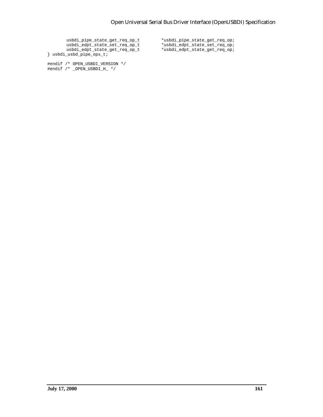| usbdi_pipe_state_get_req_op_t | *usbdi_pipe_state_get_req_op; |
|-------------------------------|-------------------------------|
| usbdi edpt_state_set_req_op_t | *usbdi_edpt_state_set_req_op; |
| usbdi_edpt_state_get_req_op_t | *usbdi_edpt_state_get_req_op; |
| usbdi_usbd_pipe_ops_t;        |                               |
|                               |                               |

#endif /\* OPEN\_USBDI\_VERSION \*/ #endif /\* \_OPEN\_USBDI\_H\_ \*/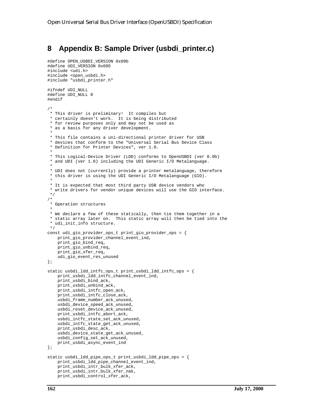# **8 Appendix B: Sample Driver (usbdi\_printer.c)**

#define OPEN\_USBDI\_VERSION 0x09b

```
#define UDI_VERSION 0x095
#include <udi.h>
#include <open_usbdi.h>
#include "usbdi_printer.h"
#ifndef UDI_NULL
#define UDI_NULL 0
#endif
/*
 * This driver is preliminary! It compiles but
  * certainly doesn't work. It is being distributed
 * for review purposes only and may not be used as
  * as a basis for any driver development.
 *
 * This file contains a uni-directional printer driver for USB
  * devices that conform to the "Universal Serial Bus Device Class
  * Definition for Printer Devices", ver 1.0.
 *
 * This Logical-Device Driver (LDD) conforms to OpenUSBDI (ver 0.9b)
  * and UDI (ver 1.0) including the UDI Generic I/O Metalanguage.
 *
 * UDI does not (currently) provide a printer metalanguage, therefore
  * this driver is using the UDI Generic I/O Metalanguage (GIO).
 *
  * It is expected that most third party USB device vendors who
  * write drivers for vendor unique devices will use the GIO interface.
  */
/*
  * Operation structures
 *
 * We declare a few of these statically, then tie them together in a
  * static array later on. This static array will then be tied into the
 * udi_init_info structure.
 */
const udi_gio_provider_ops_t print_gio_provider_ops = {
    print_gio_provider_channel_event_ind,
    print_gio_bind_req,
    print_gio_unbind_req,
     print_gio_xfer_req,
     udi_gio_event_res_unused
};
static usbdi_ldd_intfc_ops_t print_usbdi_ldd_intfc_ops = {
     print_usbdi_ldd_intfc_channel_event_ind,
     print_usbdi_bind_ack,
   print_usbdi_unbind_ack,
    print_usbdi_intfc_open_ack,
     print_usbdi_intfc_close_ack,
     usbdi_frame_number_ack_unused,
    usbdi_device_speed_ack_unused,
     usbdi_reset_device_ack_unused,
     print_usbdi_intfc_abort_ack,
    usbdi_intfc_state_set_ack_unused,
     usbdi_intfc_state_get_ack_unused,
     print_usbdi_desc_ack,
     usbdi_device_state_get_ack_unused,
    usbdi config set ack unused,
     print_usbdi_async_event_ind
};
static usbdi_ldd_pipe_ops_t print_usbdi_ldd_pipe_ops = {
     print_usbdi_ldd_pipe_channel_event_ind,
     print_usbdi_intr_bulk_xfer_ack,
    print_usbdi_intr_bulk_xfer_nak,
     print_usbdi_control_xfer_ack,
```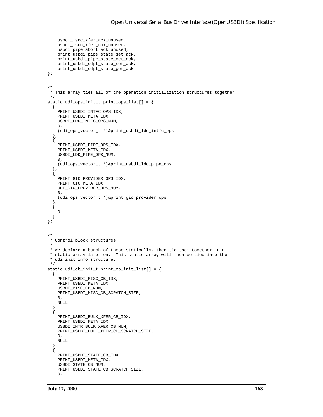```
 usbdi_isoc_xfer_ack_unused,
     usbdi_isoc_xfer_nak_unused,
     usbdi_pipe_abort_ack_unused,
     print_usbdi_pipe_state_set_ack,
     print_usbdi_pipe_state_get_ack,
     print_usbdi_edpt_state_set_ack,
     print_usbdi_edpt_state_get_ack
};
/*
  * This array ties all of the operation initialization structures together
 */
static udi_ops_init_t print_ops_list[] = {
   {
     PRINT_USBDI_INTFC_OPS_IDX,
     PRINT_USBDI_META_IDX,
    USBDI_LDD_INTFC_OPS_NUM,
    0, (udi_ops_vector_t *)&print_usbdi_ldd_intfc_ops
   },
 {
     PRINT_USBDI_PIPE_OPS_IDX,
     PRINT_USBDI_META_IDX,
     USBDI_LDD_PIPE_OPS_NUM,
    \,0 ,
     (udi_ops_vector_t *)&print_usbdi_ldd_pipe_ops
   },
 {
     PRINT_GIO_PROVIDER_OPS_IDX,
     PRINT_GIO_META_IDX,
     UDI_GIO_PROVIDER_OPS_NUM,
    0, (udi_ops_vector_t *)&print_gio_provider_ops
 },
   {
    \Omega }
};
/*
  * Control block structures
 *
 * We declare a bunch of these statically, then tie them together in a
  * static array later on. This static array will then be tied into the
  * udi_init_info structure.
 */
static udi_cb_init_t print_cb_init_list[] = {
   {
     PRINT_USBDI_MISC_CB_IDX,
     PRINT_USBDI_META_IDX,
     USBDI_MISC_CB_NUM,
     PRINT_USBDI_MISC_CB_SCRATCH_SIZE,
    0. NULL
   },
 {
     PRINT_USBDI_BULK_XFER_CB_IDX,
     PRINT_USBDI_META_IDX,
     USBDI_INTR_BULK_XFER_CB_NUM,
     PRINT_USBDI_BULK_XFER_CB_SCRATCH_SIZE,
    0,
     NULL
   },
 {
     PRINT_USBDI_STATE_CB_IDX,
     PRINT_USBDI_META_IDX,
     USBDI_STATE_CB_NUM,
     PRINT_USBDI_STATE_CB_SCRATCH_SIZE,
    0,
```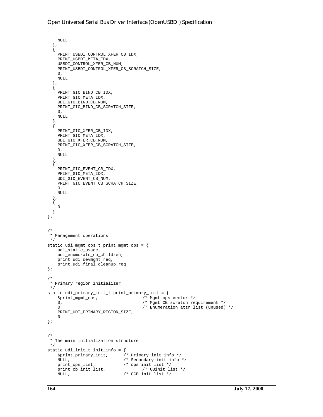```
 NULL
   },
   {
    PRINT_USBDI_CONTROL_XFER_CB_IDX,
     PRINT_USBDI_META_IDX,
     USBDI_CONTROL_XFER_CB_NUM,
     PRINT_USBDI_CONTROL_XFER_CB_SCRATCH_SIZE,
    0 ,
     NULL
   },
 {
     PRINT_GIO_BIND_CB_IDX,
     PRINT_GIO_META_IDX,
     UDI_GIO_BIND_CB_NUM,
     PRINT_GIO_BIND_CB_SCRATCH_SIZE,
    0<sub>1</sub> NULL
   },
   {
     PRINT_GIO_XFER_CB_IDX,
     PRINT_GIO_META_IDX,
     UDI_GIO_XFER_CB_NUM,
     PRINT_GIO_XFER_CB_SCRATCH_SIZE,
    0, NULL
   },
 {
     PRINT_GIO_EVENT_CB_IDX,
     PRINT_GIO_META_IDX,
     UDI_GIO_EVENT_CB_NUM,
     PRINT_GIO_EVENT_CB_SCRATCH_SIZE,
    0, NULL
   },
   {
     0
 }
};
/*
 * Management operations
 */
static udi_mgmt_ops_t print_mgmt_ops = {
     udi_static_usage,
     udi_enumerate_no_children,
     print_udi_devmgmt_req,
     print_udi_final_cleanup_req
};
/*
 * Primary region initializer
  */
static udi_primary_init_t print_primary_init = {
     &print_mgmt_ops, /* Mgmt ops vector */
    0, \frac{1}{\sqrt{2}} /* Mgmt CB scratch requirement */<br>0, \frac{1}{\sqrt{2}} \frac{1}{\sqrt{2}} Enumeration attr list (unused)
                                          /* Enumeration attr list (unused) */
     PRINT_UDI_PRIMARY_REGION_SIZE,
     0
};
/*
 * The main initialization structure
 */
static udi_init_t init_info = {
    &print_primary_init, /* Primary init info */
    \begin{tabular}{ll} NULL, & $\quad$ & $\quad\prime$ * Secondary init info */ \\ print\_ops\_list, & $\quad\prime$ * ops init list */ \\ \end{tabular} print_ops_list, /* ops init list */
 print_cb_init_list, /* CBinit list */
     NULL, /* GCB init list */
```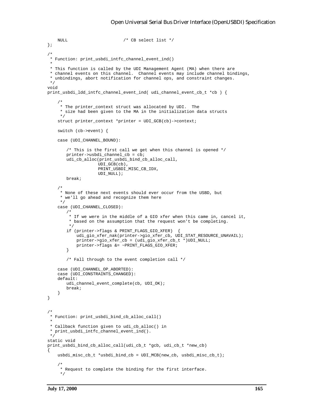```
 NULL /* CB select list */
};
/*
 * Function: print_usbdi_intfc_channel_event_ind()
 *
 * This function is called by the UDI Management Agent (MA) when there are
 * channel events on this channel. Channel events may include channel bindings,
  * unbindings, abort notification for channel ops, and constraint changes.
 */
void
print_usbdi_ldd_intfc_channel_event_ind( udi_channel_event_cb_t *cb ) {
     /*
     * The printer_context struct was allocated by UDI. The
      * size had been given to the MA in the initialization data structs
      */
    struct printer context *printer = UDI GCB(cb)->context;
     switch (cb->event) {
     case (UDI_CHANNEL_BOUND):
       /* This is the first call we get when this channel is opened */
       printer->usbdi_channel_cb = cb;
       udi_cb_alloc(print_usbdi_bind_cb_alloc_call,
                     UDI_GCB(cb),
                     PRINT_USBDI_MISC_CB_IDX,
                     UDI_NULL);
       break;
     /*
      * None of these next events should ever occur from the USBD, but
      * we'll go ahead and recognize them here
      */
     case (UDI_CHANNEL_CLOSED):
       /*
         * If we were in the middle of a GIO xfer when this came in, cancel it,
         * based on the assumption that the request won't be completing.
         */
       if (printer->flags & PRINT_FLAGS_GIO_XFER) {
            udi_gio_xfer_nak(printer->gio_xfer_cb, UDI_STAT_RESOURCE_UNAVAIL);
            printer->gio_xfer_cb = (udi_gio_xfer_cb_t *)UDI_NULL;
            printer->flags &= ~PRINT_FLAGS_GIO_XFER;
       }
       /* Fall through to the event completion call */
     case (UDI_CHANNEL_OP_ABORTED):
     case (UDI_CONSTRAINTS_CHANGED):
     default:
       udi_channel_event_complete(cb, UDI_OK);
       break;
     }
}
/*
 * Function: print_usbdi_bind_cb_alloc_call()
 *
 * Callback function given to udi_cb_alloc() in
  * print_usbdi_intfc_channel_event_ind().
  */
static void
print_usbdi_bind_cb_alloc_call(udi_cb_t *gcb, udi_cb_t *new_cb)
{
     usbdi_misc_cb_t *usbdi_bind_cb = UDI_MCB(new_cb, usbdi_misc_cb_t);
 /*
      * Request to complete the binding for the first interface.
      */
```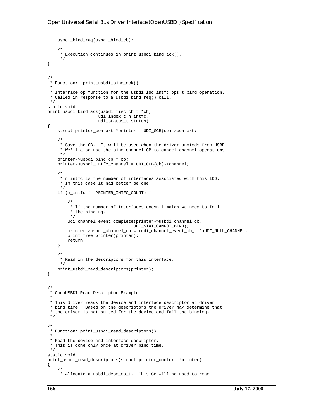```
 usbdi_bind_req(usbdi_bind_cb);
     /*
      * Execution continues in print_usbdi_bind_ack().
 */
}
/*
 * Function: print_usbdi_bind_ack()
 *
 * Interface op function for the usbdi_ldd_intfc_ops_t bind operation.
 * Called in response to a usbdi_bind_req() call.
 */
static void
print_usbdi_bind_ack(usbdi_misc_cb_t *cb,
                     udi_index_t n_intfc,
                    udi status t status)
{
     struct printer_context *printer = UDI_GCB(cb)->context;
 /*
     * Save the CB. It will be used when the driver unbinds from USBD.
     * We'll also use the bind channel CB to cancel channel operations
      */
     printer->usbdi_bind_cb = cb;
     printer->usbdi_intfc_channel = UDI_GCB(cb)->channel;
 /*
     * n_intfc is the number of interfaces associated with this LDD.
     * In this case it had better be one.
      */
     if (n_intfc != PRINTER_INTFC_COUNT) {
 /*
          * If the number of interfaces doesn't match we need to fail
          * the binding.
          */
         udi_channel_event_complete(printer->usbdi_channel_cb,
                                   UDI_STAT_CANNOT_BIND);
        printer->usbdi_channel_cb = (udi_channel_event_cb_t *)UDI_NULL_CHANNEL;
        print_free_printer(printer);
        return;
     }
     /*
      * Read in the descriptors for this interface.
     */
    print_usbdi_read_descriptors(printer);
}
/*
 * OpenUSBDI Read Descriptor Example
 *
 * This driver reads the device and interface descriptor at driver
 * bind time. Based on the descriptors the driver may determine that
  * the driver is not suited for the device and fail the binding.
 */
/*
 * Function: print_usbdi_read_descriptors()
 *
 * Read the device and interface descriptor.
 * This is done only once at driver bind time.
 */
static void
print_usbdi_read_descriptors(struct printer_context *printer)
{
 /*
      * Allocate a usbdi_desc_cb_t. This CB will be used to read
```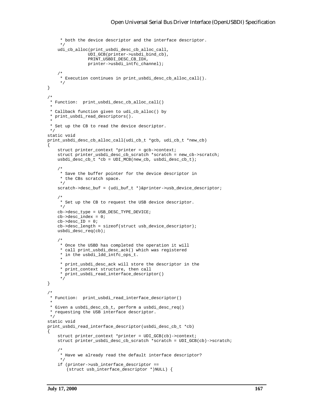```
 * both the device descriptor and the interface descriptor.
 */
     udi_cb_alloc(print_usbdi_desc_cb_alloc_call,
                 UDI_GCB(printer->usbdi_bind_cb),
                 PRINT_USBDI_DESC_CB_IDX,
                 printer->usbdi_intfc_channel);
 /*
      * Execution continues in print_usbdi_desc_cb_alloc_call().
 */
}
/*
 * Function: print_usbdi_desc_cb_alloc_call()
 *
 * Callback function given to udi_cb_alloc() by
 * print_usbdi_read_descriptors().
 *
 * Set up the CB to read the device descriptor.
 */
static void
print_usbdi_desc_cb_alloc_call(udi_cb_t *gcb, udi_cb_t *new_cb)
{
     struct printer_context *printer = gcb->context;
     struct printer_usbdi_desc_cb_scratch *scratch = new_cb->scratch;
    \mathtt{usbdi\_desc\_cb\_t \ *cb = UDI\_MCB(new\_cb, \ usbdi\_desc\_cb\_t \ }; /*
     * Save the buffer pointer for the device descriptor in
     * the CBs scratch space.
     */
     scratch->desc_buf = (udi_buf_t *)&printer->usb_device_descriptor;
     /*
     * Set up the CB to request the USB device descriptor.
     */
     cb->desc_type = USB_DESC_TYPE_DEVICE;
     cb->desc_index = 0;
    cb->desc_ID = 0;
     cb->desc_length = sizeof(struct usb_device_descriptor);
    usbdi desc req(cb);
     /*
     * Once the USBD has completed the operation it will
     * call print_usbdi_desc_ack() which was registered
      * in the usbdi_ldd_intfc_ops_t.
 *
      * print_usbdi_desc_ack will store the descriptor in the
      * print_context structure, then call
      * print_usbdi_read_interface_descriptor()
      */
}
/*
 * Function: print_usbdi_read_interface_descriptor()
 *
  * Given a usbdi_desc_cb_t, perform a usbdi_desc_req()
  * requesting the USB interface descriptor.
 */
static void
print_usbdi_read_interface_descriptor(usbdi_desc_cb_t *cb)
\left\{ \right. struct printer_context *printer = UDI_GCB(cb)->context;
     struct printer_usbdi_desc_cb_scratch *scratch = UDI_GCB(cb)->scratch;
     /*
     * Have we already read the default interface descriptor?
     */
     if (printer->usb_interface_descriptor ==
       (struct usb_interface_descriptor *)NULL) {
```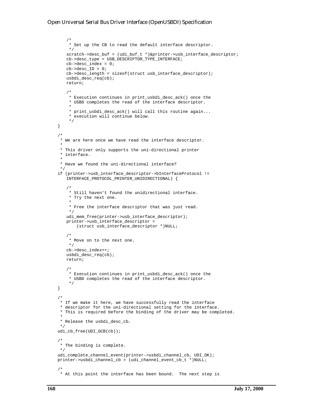```
/*
        * Set up the CB to read the default interface descriptor.
         */
       scratch->desc buf = (udi buf t *)&printer->usb interface descriptor;
       cb->desc_type = USB_DESCRIPTOR_TYPE_INTERFACE;
       cb->desc_index = 0;
       cb->desc<sub>-</sub>ID = 0;cb->desc_length = sizeof(struct usb_interface_descriptor);
       usbdi_desc_req(cb);
       return;
       /*
         * Execution continues in print_usbdi_desc_ack() once the
         * USBD completes the read of the interface descriptor.
        *
         * print_usbdi_desc_ack() will call this routine again...
         * execution will continue below.
         */
    }
     /*
     * We are here once we have read the interface descriptor.
 *
     * This driver only supports the uni-directional printer
     * interface.
 *
     * Have we found the uni-directional interface?
      */
    if (printer->usb_interface_descriptor->bInterfaceProtocol !=
       INTERFACE_PROTOCOL_PRINTER_UNIDIRECTIONAL) {
       /*
         * Still haven't found the unidirectional interface.
         * Try the next one.
        *
         * Free the interface descriptor that was just read.
         */
       udi_mem_free(printer->usb_interface_descriptor);
       printer->usb_interface_descriptor =
            (struct usb_interface_descriptor *)NULL;
       /*
         * Move on to the next one.
         */
       cb->desc_index++;
       usbdi_desc_req(cb);
       return;
       /*
         * Execution continues in print_usbdi_desc_ack() once the
         * USBD completes the read of the interface descriptor.
         */
    }
     /*
     * If we make it here, we have successfully read the interface
     * descriptor for the uni-directional setting for the interface.
     * This is required before the binding of the driver may be completed.
 *
      * Release the usbdi_desc_cb.
     */
    udi_cb_free(UDI_GCB(cb));
     /*
     * The binding is complete.
     */
    udi_complete_channel_event(printer->usbdi_channel_cb, UDI_OK);
    printer->usbdi_channel_cb = (udi_channel_event_cb_t *)NULL;
 /*
     * At this point the interface has been bound. The next step is
```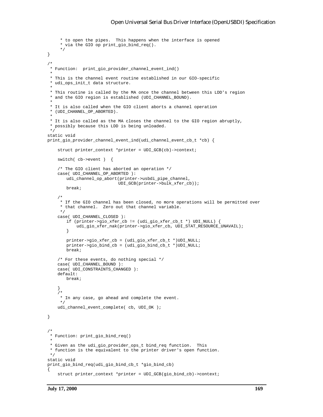```
 * to open the pipes. This happens when the interface is opened
      * via the GIO op print_gio_bind_req().
      */
}
/*
 * Function: print_gio_provider_channel_event_ind()
 *
 * This is the channel event routine established in our GIO-specific
 * udi_ops_init_t data structure.
 *
 * This routine is called by the MA once the channel between this LDD's region
  * and the GIO region is established (UDI_CHANNEL_BOUND).
 *
  * It is also called when the GIO client aborts a channel operation
  * (UDI_CHANNEL_OP_ABORTED).
 *
 * It is also called as the MA closes the channel to the GIO region abruptly,
  * possibly because this LDD is being unloaded.
  */
static void
print_gio_provider_channel_event_ind(udi_channel_event_cb_t *cb) {
     struct printer_context *printer = UDI_GCB(cb)->context;
     switch( cb->event ) {
     /* The GIO client has aborted an operation */
     case( UDI_CHANNEL_OP_ABORTED ):
       udi_channel_op_abort(printer->usbdi_pipe_channel,
                             UDI_GCB(printer->bulk_xfer_cb));
       break;
     /*
     * If the GIO channel has been closed, no more operations will be permitted over
      * that channel. Zero out that channel variable.
      */
     case( UDI_CHANNEL_CLOSED ):
       if (printer->gio_xfer_cb != (udi_gio_xfer_cb_t *) UDI_NULL) {
            udi_gio_xfer_nak(printer->gio_xfer_cb, UDI_STAT_RESOURCE_UNAVAIL);
       }
       printer->gio_xfer_cb = (udi_gio_xfer_cb_t *)UDI_NULL;
       printer->gio_bind_cb = (udi_gio_bind_cb_t *)UDI_NULL;
       break;
     /* For these events, do nothing special */
     case( UDI_CHANNEL_BOUND ):
     case( UDI_CONSTRAINTS_CHANGED ):
     default:
       break;
     }
     /*
      * In any case, go ahead and complete the event.
 */
     udi_channel_event_complete( cb, UDI_OK );
}
/*
 * Function: print_gio_bind_req()
 *
 * Given as the udi_gio_provider_ops_t bind_req function. This
 * function is the equivalent to the printer driver's open function.
 */
static void
print_gio_bind_req(udi_gio_bind_cb_t *gio_bind_cb)
{
     struct printer_context *printer = UDI_GCB(gio_bind_cb)->context;
```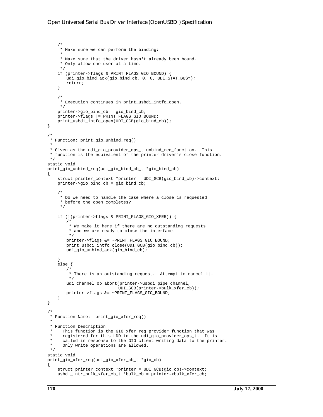```
 /*
     * Make sure we can perform the binding:
 *
      * Make sure that the driver hasn't already been bound.
     * Only allow one user at a time.
      */
     if (printer->flags & PRINT_FLAGS_GIO_BOUND) {
       udi_gio_bind_ack(gio_bind_cb, 0, 0, UDI_STAT_BUSY);
       return;
     }
     /*
     * Execution continues in print_usbdi_intfc_open.
     */
     printer->gio_bind_cb = gio_bind_cb;
     printer->flags |= PRINT_FLAGS_GIO_BOUND;
    print_usbdi_intfc_open(UDI_GCB(gio_bind_cb));
}
/*
 * Function: print_gio_unbind_req()
 *
 * Given as the udi_gio_provider_ops_t unbind_req_function. This
  * function is the equivalent of the printer driver's close function.
 */
static void
print_gio_unbind_req(udi_gio_bind_cb_t *gio_bind_cb)
{
     struct printer_context *printer = UDI_GCB(gio_bind_cb)->context;
     printer->gio_bind_cb = gio_bind_cb;
     /*
     * Do we need to handle the case where a close is requested
      * before the open completes?
      */
     if (!(printer->flags & PRINT_FLAGS_GIO_XFER)) {
       /*
         * We make it here if there are no outstanding requests
         * and we are ready to close the interface.
         */
       printer->flags &= ~PRINT_FLAGS_GIO_BOUND;
       print_usbdi_intfc_close(UDI_GCB(gio_bind_cb));
       udi_gio_unbind_ack(gio_bind_cb);
     }
     else {
        /*
         * There is an outstanding request. Attempt to cancel it.
         */
       udi_channel_op_abort(printer->usbdi_pipe_channel,
                             UDI_GCB(printer->bulk_xfer_cb));
       printer->flags &= ~PRINT_FLAGS_GIO_BOUND;
     }
}
/*
 * Function Name: print_gio_xfer_req()
 *
 * Function Description:
     This function is the GIO xfer req provider function that was
  * registered for this LDD in the udi_gio_provider_ops_t. It is
 * called in response to the GIO client writing data to the printer.<br>* Only write operations are allowed
     Only write operations are allowed.
 */
static void
print_gio_xfer_req(udi_gio_xfer_cb_t *gio_cb)
{
     struct printer_context *printer = UDI_GCB(gio_cb)->context;
     usbdi_intr_bulk_xfer_cb_t *bulk_cb = printer->bulk_xfer_cb;
```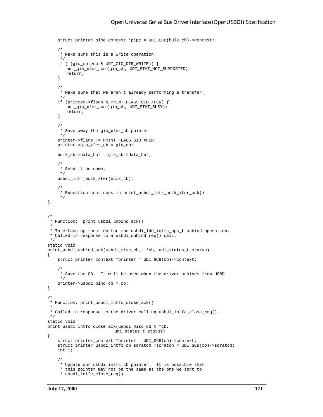```
 struct printer_pipe_context *pipe = UDI_GCB(bulk_cb)->context;
     /*
      * Make sure this is a write operation.
     */
     if (!(gio_cb->op & UDI_GIO_DIR_WRITE)) {
       udi_gio_xfer_nak(gio_cb, UDI_STAT_NOT_SUPPORTED);
       return;
     }
     /*
      * Make sure that we aren't already performing a transfer.
     */
     if (printer->flags & PRINT_FLAGS_GIO_XFER) {
       udi_gio_xfer_nak(gio_cb, UDI_STAT_BUSY);
       return;
     }
     /*
      * Save away the gio_xfer_cb pointer.
     */
     printer->flags |= PRINT_FLAGS_GIO_XFER;
     printer->gio_xfer_cb = gio_cb;
    bulk_c b->data_buf = gio_cb->data_buf;
     /*
     * Send it on down.
     */
     usbdi_intr_bulk_xfer(bulk_cb);
     /*
      * Execution continues in print_usbdi_intr_bulk_xfer_ack()
 */
}
/*
 * Function: print_usbdi_unbind_ack()
 *
 * Interface op function for the usbdi_ldd_intfc_ops_t unbind operation.
 * Called in response to a usbdi_unbind_req() call.
 */
static void
print_usbdi_unbind_ack(usbdi_misc_cb_t *cb, udi_status_t status)
{
     struct printer_context *printer = UDI_GCB(cb)->context;
 /*
     * Save the CB. It will be used when the driver unbinds from USBD.
      */
    printer->usbdi_bind_cb = cb;
}
/*
 * Function: print_usbdi_intfc_close_ack()
 *
 * Called in response to the driver calling usbdi_intfc_close_req().
 */
static void
print_usbdi_intfc_close_ack(usbdi_misc_cb_t *cb,
                            udi_status_t status)
{
    struct printer_context *printer = UDI_GCB(cb)->context;
     struct printer_usbdi_intfc_cb_scratch *scratch = UDI_GCB(cb)->scratch;
     int i;
     /*
     * Update our usbdi_intfc_cb pointer. It is possible that
      * this pointer may not be the same as the one we sent to
      * usbdi_intfc_close_req().
```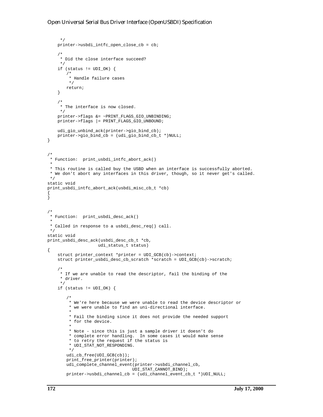```
 */
     printer->usbdi_intfc_open_close_cb = cb;
     /*
      * Did the close interface succeed?
     */
     if (status != UDI_OK) {
       /*
         * Handle failure cases
         */
       return;
     }
     /*
      * The interface is now closed.
      */
     printer->flags &= ~PRINT_FLAGS_GIO_UNBINDING;
     printer->flags |= PRINT_FLAGS_GIO_UNBOUND;
     udi_gio_unbind_ack(printer->gio_bind_cb);
    \verb|printer->gio\_bind\_cb = (udi\_gio\_bind\_cb_t * )NULL;}
/*
 * Function: print_usbdi_intfc_abort_ack()
 *
 * This routine is called buy the USBD when an interface is successfully aborted.
 * We don't abort any interfaces in this driver, though, so it never get's called.
 */
static void
print_usbdi_intfc_abort_ack(usbdi_misc_cb_t *cb)
{
}
/*
 * Function: print_usbdi_desc_ack()
 *
 * Called in response to a usbdi_desc_req() call.
 */
static void
print_usbdi_desc_ack(usbdi_desc_cb_t *cb,
                     udi_status_t status)
{
     struct printer_context *printer = UDI_GCB(cb)->context;
     struct printer_usbdi_desc_cb_scratch *scratch = UDI_GCB(cb)->scratch;
     /*
     * If we are unable to read the descriptor, fail the binding of the
     * driver.
     */
    if (status != UDI OK) {
        /*
         * We're here because we were unable to read the device descriptor or
          * we were unable to find an uni-directional interface.
         *
         * Fail the binding since it does not provide the needed support
          * for the device.
         *
          * Note - since this is just a sample driver it doesn't do
          * complete error handling. In some cases it would make sense
          * to retry the request if the status is
          * UDI_STAT_NOT_RESPONDING.
         */
       udi_cb_free(UDI_GCB(cb));
       print_free_printer(printer);
       udi_complete_channel_event(printer->usbdi_channel_cb,
                                   UDI_STAT_CANNOT_BIND);
       printer->usbdi_channel_cb = (udi_channel_event_cb_t *)UDI_NULL;
```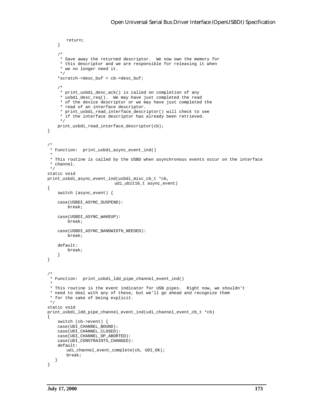```
return;
     }
     /*
     * Save away the returned descriptor. We now own the memory for
     * this descriptor and we are responsible for releasing it when
      * we no longer need it.
     */
     *scratch->desc_buf = cb->desc_buf;
     /*
      * print_usbdi_desc_ack() is called on completion of any
      * usbdi_desc_req(). We may have just completed the read
      * of the device descriptor or we may have just completed the
      * read of an interface descriptor.
      * print_usbdi_read_interface_descriptor() will check to see
      * if the interface descriptor has already been retrieved.
      */
    print_usbdi_read_interface_descriptor(cb);
}
/*
 * Function: print_usbdi_async_event_ind()
 *
 * This routine is called by the USBD when asynchronous events occur on the interface
 * channel.
 */
static void
print_usbdi_async_event_ind(usbdi_misc_cb_t *cb,
                            udi_ubit16_t async_event)
{
     switch (async_event) {
     case(USBDI_ASYNC_SUSPEND):
         break;
     case(USBDI_ASYNC_WAKEUP):
         break;
     case(USBDI_ASYNC_BANDWIDTH_NEEDED):
         break;
     default:
         break;
     }
}
/*
 * Function: print_usbdi_ldd_pipe_channel_event_ind()
 *
  * This routine is the event indicator for USB pipes. Right now, we shouldn't
 * need to deal with any of these, but we'll go ahead and recognize them
  * for the sake of being explicit.
 */
static void
print_usbdi_ldd_pipe_channel_event_ind(udi_channel_event_cb_t *cb)
{
     switch (cb->event) {
    case(UDI_CHANNEL_BOUND):
    case(UDI_CHANNEL_CLOSED):
    case(UDI_CHANNEL_OP_ABORTED):
    case(UDI_CONSTRAINTS_CHANGED):
     default:
       udi_channel_event_complete(cb, UDI_OK);
       break;
    }
}
```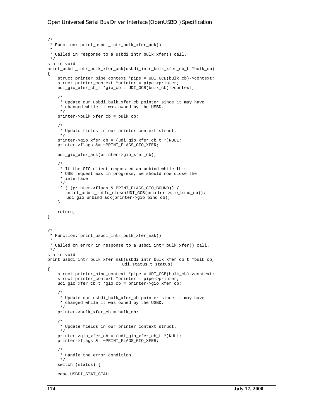```
/*
 * Function: print_usbdi_intr_bulk_xfer_ack()
 *
 * Called in response to a usbdi_intr_bulk_xfer() call.
 */
static void
print_usbdi_intr_bulk_xfer_ack(usbdi_intr_bulk_xfer_cb_t *bulk_cb)
{
     struct printer_pipe_context *pipe = UDI_GCB(bulk_cb)->context;
     struct printer_context *printer = pipe->printer;
     udi_gio_xfer_cb_t *gio_cb = UDI_GCB(bulk_cb)->context;
     /*
     * Update our usbdi_bulk_xfer_cb pointer since it may have
     * changed while it was owned by the USBD.
     */
     printer->bulk_xfer_cb = bulk_cb;
     /*
      * Update fields in our printer context struct.
     */
     printer->gio_xfer_cb = (udi_gio_xfer_cb_t *)NULL;
    printer->flags &= ~PRINT_FLAGS_GIO_XFER;
     udi_gio_xfer_ack(printer->gio_xfer_cb);
     /*
     * If the GIO client requested an unbind while this
     * USB request was in progress, we should now close the
      * interface
     */
     if (!(printer->flags & PRINT_FLAGS_GIO_BOUND)) {
       print_usbdi_intfc_close(UDI_GCB(printer->gio_bind_cb));
       udi_gio_unbind_ack(printer->gio_bind_cb);
     }
    return;
}
/*
 * Function: print_usbdi_intr_bulk_xfer_nak()
 *
 * Called on error in response to a usbdi_intr_bulk_xfer() call.
 */
static void
print_usbdi_intr_bulk_xfer_nak(usbdi_intr_bulk_xfer_cb_t *bulk_cb,
                              udi_status_t status)
{
     struct printer_pipe_context *pipe = UDI_GCB(bulk_cb)->context;
     struct printer_context *printer = pipe->printer;
     udi_gio_xfer_cb_t *gio_cb = printer->gio_xfer_cb;
     /*
     * Update our usbdi_bulk_xfer_cb pointer since it may have
     * changed while it was owned by the USBD.
      */
     printer->bulk_xfer_cb = bulk_cb;
     /*
      * Update fields in our printer context struct.
     */
     printer->gio_xfer_cb = (udi_gio_xfer_cb_t *)NULL;
    printer->flags &= ~PRINT_FLAGS_GIO_XFER;
 /*
     * Handle the error condition.
     */
     switch (status) {
     case USBDI_STAT_STALL:
```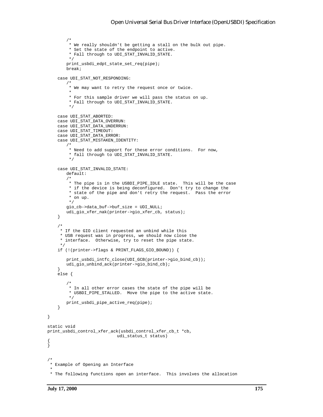```
/*
         * We really shouldn't be getting a stall on the bulk out pipe.
         * Set the state of the endpoint to active.
         * Fall through to UDI_STAT_INVALID_STATE.
         */
       print_usbdi_edpt_state_set_req(pipe);
       break;
     case UDI_STAT_NOT_RESPONDING:
       /*
         * We may want to retry the request once or twice.
         *
         * For this sample driver we will pass the status on up.
         * Fall through to UDI_STAT_INVALID_STATE.
         */
     case UDI_STAT_ABORTED:
     case UDI_STAT_DATA_OVERRUN:
     case UDI_STAT_DATA_UNDERRUN:
     case UDI_STAT_TIMEOUT:
     case UDI_STAT_DATA_ERROR:
     case UDI_STAT_MISTAKEN_IDENTITY:
       /*
         * Need to add support for these error conditions. For now,
         * fall through to UDI_STAT_INVALID_STATE.
         */
     case UDI_STAT_INVALID_STATE:
       default:
       /*
         * The pipe is in the USBDI_PIPE_IDLE state. This will be the case
         * if the device is being deconfigured. Don't try to change the
         * state of the pipe and don't retry the request. Pass the error
         * on up.
         */
       gio_cb->data_buf->buf_size = UDI_NULL;
       udi_gio_xfer_nak(printer->gio_xfer_cb, status);
     }
     /*
     * If the GIO client requested an unbind while this
      * USB request was in progress, we should now close the
      * interface. Otherwise, try to reset the pipe state.
      */
     if (!(printer->flags & PRINT_FLAGS_GIO_BOUND)) {
       print_usbdi_intfc_close(UDI_GCB(printer->gio_bind_cb));
       udi_gio_unbind_ack(printer->gio_bind_cb);
     }
     else {
       /*
         * In all other error cases the state of the pipe will be
         * USBDI_PIPE_STALLED. Move the pipe to the active state.
         */
       print_usbdi_pipe_active_req(pipe);
     }
static void
print_usbdi_control_xfer_ack(usbdi_control_xfer_cb_t *cb,
                             udi_status_t status)
/*
  * Example of Opening an Interface
 *
  * The following functions open an interface. This involves the allocation
```
}

{ }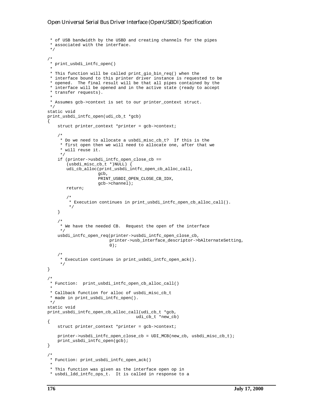```
 * of USB bandwidth by the USBD and creating channels for the pipes
  * associated with the interface.
  */
/*
 * print_usbdi_intfc_open()
 *
 * This function will be called print_gio_bin_req() when the
  * interface bound to this printer driver instance is requested to be
  * opened. The final result will be that all pipes contained by the
  * interface will be opened and in the active state (ready to accept
  * transfer requests).
 *
  * Assumes gcb->context is set to our printer_context struct.
 */
static void
print_usbdi_intfc_open(udi_cb_t *gcb)
{
     struct printer_context *printer = gcb->context;
     /*
      * Do we need to allocate a usbdi_misc_cb_t? If this is the
      * first open then we will need to allocate one, after that we
      * will reuse it.
 */
     if (printer->usbdi_intfc_open_close_cb ==
       (usbdi_misc_cb_t *)NULL) {
       udi_cb_alloc(print_usbdi_intfc_open_cb_alloc_call,
                     gcb,
                     PRINT_USBDI_OPEN_CLOSE_CB_IDX,
                     gcb->channel);
       return;
        /*
         * Execution continues in print_usbdi_intfc_open_cb_alloc_call().
         */
     }
     /*
      * We have the needed CB. Request the open of the interface
      */
     usbdi_intfc_open_req(printer->usbdi_intfc_open_close_cb,
                          printer->usb_interface_descriptor->bAlternateSetting,
                          0);
 /*
      * Execution continues in print_usbdi_intfc_open_ack().
 */
}
/*
 * Function: print_usbdi_intfc_open_cb_alloc_call()
 *
 * Callback function for alloc of usbdi_misc_cb_t
  * made in print_usbdi_intfc_open().
 */
static void
print_usbdi_intfc_open_cb_alloc_call(udi_cb_t *gcb,
                                     udi_cb_t *new_cb)
{
     struct printer_context *printer = gcb->context;
     printer->usbdi_intfc_open_close_cb = UDI_MCB(new_cb, usbdi_misc_cb_t);
    print_usbdi_intfc_open(gcb);
}
/*
 * Function: print_usbdi_intfc_open_ack()
 *
  * This function was given as the interface open op in
  * usbdi_ldd_intfc_ops_t. It is called in response to a
```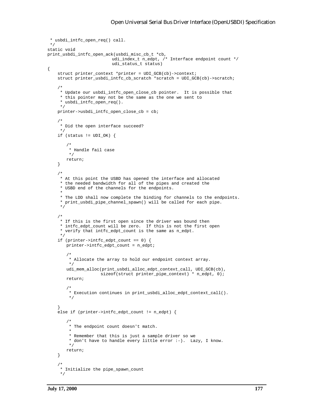```
 * usbdi_intfc_open_req() call.
 */
static void
print_usbdi_intfc_open_ack(usbdi_misc_cb_t *cb,
                           udi_index_t n_edpt, /* Interface endpoint count */
                           udi_status_t status)
{
     struct printer_context *printer = UDI_GCB(cb)->context;
     struct printer_usbdi_intfc_cb_scratch *scratch = UDI_GCB(cb)->scratch;
     /*
     * Update our usbdi_intfc_open_close_cb pointer. It is possible that
     * this pointer may not be the same as the one we sent to
      * usbdi_intfc_open_req().
     */
     printer->usbdi_intfc_open_close_cb = cb;
     /*
     * Did the open interface succeed?
     */
     if (status != UDI_OK) {
        /*
         * Handle fail case
         */
       return;
     }
     /*
     * At this point the USBD has opened the interface and allocated
      * the needed bandwidth for all of the pipes and created the
      * USBD end of the channels for the endpoints.
 *
      * The LDD shall now complete the binding for channels to the endpoints.
      * print_usbdi_pipe_channel_spawn() will be called for each pipe.
      */
     /*
      * If this is the first open since the driver was bound then
      * intfc_edpt_count will be zero. If this is not the first open
      * verify that intfc_edpt_count is the same as n_edpt.
      */
     if (printer->intfc_edpt_count == 0) {
       printer->intfc_edpt_count = n_edpt;
        /*
         * Allocate the array to hold our endpoint context array.
         */
       udi_mem_alloc(print_usbdi_alloc_edpt_context_call, UDI_GCB(cb),
                      sizeof(struct printer_pipe_context) * n_edpt, 0);
       return;
        /*
         * Execution continues in print_usbdi_alloc_edpt_context_call().
         */
 }
     else if (printer->intfc_edpt_count != n_edpt) {
        /*
         * The endpoint count doesn't match.
         *
         * Remember that this is just a sample driver so we
         * don't have to handle every little error :-). Lazy, I know.
         */
       return;
     }
 /*
      * Initialize the pipe_spawn_count
      */
```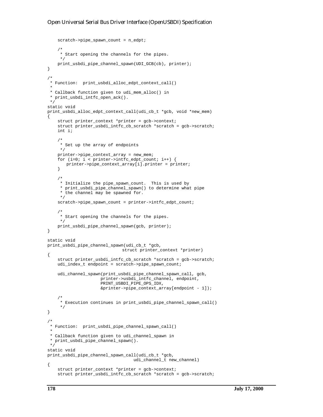```
 scratch->pipe_spawn_count = n_edpt;
 /*
      * Start opening the channels for the pipes.
 */
    print_usbdi_pipe_channel_spawn(UDI_GCB(cb), printer);
}
/*
 * Function: print_usbdi_alloc_edpt_context_call()
 *
 * Callback function given to udi_mem_alloc() in
  * print_usbdi_intfc_open_ack().
  */
static void
print_usbdi_alloc_edpt_context_call(udi_cb_t *gcb, void *new_mem)
{
    struct printer context *printer = qcb->context;
     struct printer_usbdi_intfc_cb_scratch *scratch = gcb->scratch;
     int i;
     /*
     * Set up the array of endpoints
     */
     printer->pipe_context_array = new_mem;
    for (i=0; i < printer->intfc_edpt_count; i++) {
       printer->pipe_context_array[i].printer = printer;
     }
     /*
     * Initialize the pipe_spawn_count. This is used by
      * print_usbdi_pipe_channel_spawn() to determine what pipe
      * the channel may be spawned for.
      */
     scratch->pipe_spawn_count = printer->intfc_edpt_count;
 /*
     * Start opening the channels for the pipes.
 */
    print_usbdi_pipe_channel_spawn(gcb, printer);
}
static void
print_usbdi_pipe_channel_spawn(udi_cb_t *gcb,
                               struct printer_context *printer)
{
     struct printer_usbdi_intfc_cb_scratch *scratch = gcb->scratch;
     udi_index_t endpoint = scratch->pipe_spawn_count;
     udi_channel_spawn(print_usbdi_pipe_channel_spawn_call, gcb,
                       printer->usbdi_intfc_channel, endpoint,
                       PRINT_USBDI_PIPE_OPS_IDX,
                       &printer->pipe_context_array[endpoint - 1]);
 /*
      * Execution continues in print_usbdi_pipe_channel_spawn_call()
 */
}
/*
 * Function: print_usbdi_pipe_channel_spawn_call()
 *
 * Callback function given to udi_channel_spawn in
 * print_usbdi_pipe_channel_spawn().
 */
static void
print_usbdi_pipe_channel_spawn_call(udi_cb_t *gcb,
                                    udi_channel_t new_channel)
\mathcal{L}_{\mathcal{L}_{\mathcal{L}}} struct printer_context *printer = gcb->context;
     struct printer_usbdi_intfc_cb_scratch *scratch = gcb->scratch;
```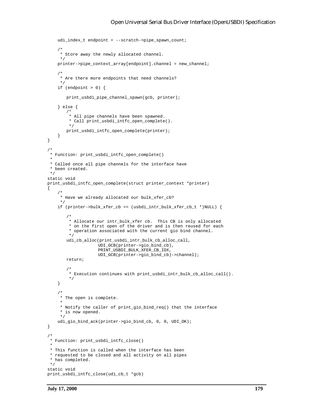```
 udi_index_t endpoint = --scratch->pipe_spawn_count;
     /*
      * Store away the newly allocated channel.
 */
     printer->pipe_context_array[endpoint].channel = new_channel;
 /*
      * Are there more endpoints that need channels?
 */
     if (endpoint > 0) {
       print_usbdi_pipe_channel_spawn(gcb, printer);
     } else {
       /*
         * All pipe channels have been spawned.
          * Call print_usbdi_intfc_open_complete().
         */
       print_usbdi_intfc_open_complete(printer);
     }
}
/*
  * Function: print_usbdi_intfc_open_complete()
 *
 * Called once all pipe channels for the interface have
  * been created.
 */
static void
print_usbdi_intfc_open_complete(struct printer_context *printer)
\left\{ \right. /*
      * Have we already allocated our bulk_xfer_cb?
      */
    if (printer->bulk_xfer_cb == (usbdi_intr_bulk_xfer_cb_t *)NULL) {
        /*
         * Allocate our intr_bulk_xfer cb. This CB is only allocated
          * on the first open of the driver and is then reused for each
          * operation associated with the current gio bind channel.
          */
       udi_cb_alloc(print_usbdi_intr_bulk_cb_alloc_call,
                     UDI_GCB(printer->gio_bind_cb),
                      PRINT_USBDI_BULK_XFER_CB_IDX,
                     UDI_GCB(printer->gio_bind_cb)->channel);
       return;
        /*
          * Execution continues with print_usbdi_intr_bulk_cb_alloc_call().
          */
     }
     /*
      * The open is complete.
 *
      * Notify the caller of print_gio_bind_req() that the interface
      * is now opened.
      */
     udi_gio_bind_ack(printer->gio_bind_cb, 0, 0, UDI_OK);
}
/*
  * Function: print_usbdi_intfc_close()
 *
 * This function is called when the interface has been
  * requested to be closed and all activity on all pipes
  * has completed.
  */
static void
print_usbdi_intfc_close(udi_cb_t *gcb)
```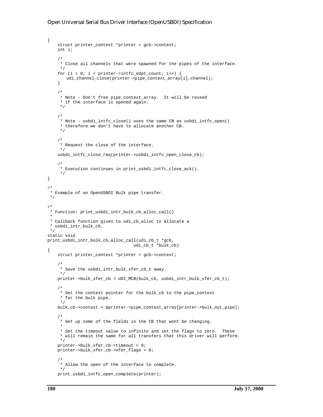```
{
     struct printer_context *printer = gcb->context;
     int i;
     /*
     * Close all channels that were spawned for the pipes of the interface.
     */
    for (i = 0; i < printer->intfc_edpt_count; i++) {
       udi_channel_close(printer->pipe_context_array[i].channel);
     }
     /*
     * Note - Don't free pipe_context_array. It will be reused
      * if the interface is opened again.
      */
     /*
     * Note - usbdi_intfc_close() uses the same CB as usbdi_intfc_open()
      * therefore we don't have to allocate another CB.
      */
     /*
     * Request the close of the interface.
     */
     usbdi_intfc_close_req(printer->usbdi_intfc_open_close_cb);
     /*
     * Execution continues in print_usbdi_intfc_close_ack().
      */
}
/*
 * Example of an OpenUSBDI Bulk pipe transfer.
  */
/*
 * Function: print_usbdi_intr_bulk_cb_alloc_call()
 *
 * Callback function given to udi_cb_alloc to allocate a
 * usbdi_intr_bulk_cb.
 */
static void
print_usbdi_intr_bulk_cb_alloc_call(udi_cb_t *gcb,
                                   udi_cb_t *bulk_cb)
{
     struct printer_context *printer = gcb->context;
     /*
     * Save the usbdi_intr_bulk_xfer_cb_t away.
     */
     printer->bulk_xfer_cb = UDI_MCB(bulk_cb, usbdi_intr_bulk_xfer_cb_t);
     /*
     * Set the context pointer for the bulk_cb to the pipe_context
     * for the bulk pipe.
      */
     bulk_cb->context = &printer->pipe_context_array[printer->bulk_out_pipe];
     /*
    * Set up some of the fields in the CB that wont be changing.
 *
      * Set the timeout value to infinite and set the flags to zero. These
      * will remain the same for all transfers that this driver will perform.
      */
     printer->bulk_xfer_cb->timeout = 0;
     printer->bulk_xfer_cb->xfer_flags = 0;
 /*
      * Allow the open of the interface to complete.
     */
     print_usbdi_intfc_open_complete(printer);
```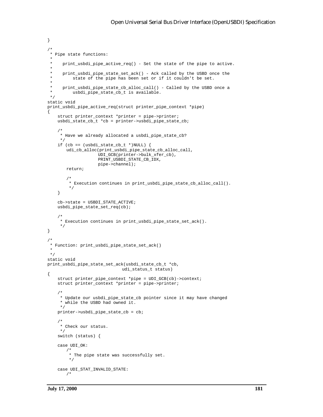```
}
/*
  * Pipe state functions:
 *
  * print_usbdi_pipe_active_req() - Set the state of the pipe to active.
 *
 * print_usbdi_pipe_state_set_ack() - Ack called by the USBD once the<br>* atate of the pipe best peep set or if it souldn't be set
          state of the pipe has been set or if it couldn't be set.
  *
  * print_usbdi_pipe_state_cb_alloc_call() - Called by the USBD once a
          usbdi_pipe_state_cb_t is available.
  */
static void
print_usbdi_pipe_active_req(struct printer_pipe_context *pipe)
{
     struct printer_context *printer = pipe->printer;
    usbdi_state_cb_t *cb = \frac{1}{2} rinter->usbdi_pipe_state_cb;
     /*
     * Have we already allocated a usbdi_pipe_state_cb?
     */
    if (cb == (usbdi\_state\_cb_t * )NULL) \{udi_cb_alloc(print_usbdi_pipe_state_cb_alloc_call,
                      UDI_GCB(printer->bulk_xfer_cb),
                      PRINT_USBDI_STATE_CB_IDX,
                      pipe->channel);
       return;
        /*
          * Execution continues in print_usbdi_pipe_state_cb_alloc_call().
          */
     }
     cb->state = USBDI_STATE_ACTIVE;
     usbdi_pipe_state_set_req(cb);
     /*
      * Execution continues in print_usbdi_pipe_state_set_ack().
 */
}
/*
 * Function: print_usbdi_pipe_state_set_ack()
  *
 */
static void
print_usbdi_pipe_state_set_ack(usbdi_state_cb_t *cb,
                                udi_status_t status)
{
     struct printer_pipe_context *pipe = UDI_GCB(cb)->context;
     struct printer_context *printer = pipe->printer;
     /*
     * Update our usbdi_pipe_state_cb pointer since it may have changed
     * while the USBD had owned it.
      */
     printer->usbdi_pipe_state_cb = cb;
 /*
      * Check our status.
     */
     switch (status) {
     case UDI_OK:
       /*
         * The pipe state was successfully set.
         */
     case UDI_STAT_INVALID_STATE:
       /*
```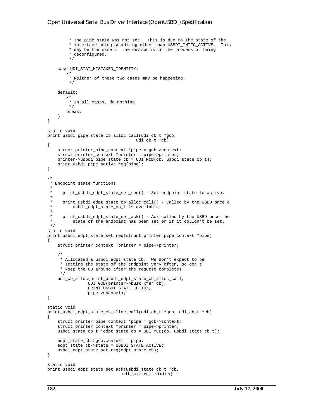```
 * The pipe state was not set. This is due to the state of the
          * interface being something other than USBDI_INTFC_ACTIVE. This
          * may be the case if the device is in the process of being
          * deconfigured.
          */
     case UDI_STAT_MISTAKEN_IDENTITY:
        /*
          * Neither of these two cases may be happening.
          */
     default:
        /*
         * In all cases, do nothing.
          */
       break;
     }
}
static void
print_usbdi_pipe_state_cb_alloc_call(udi_cb_t *gcb,
                                      udi_cb_t *cb)
{
     struct printer_pipe_context *pipe = gcb->context;
     struct printer_context *printer = pipe->printer;
     printer->usbdi_pipe_state_cb = UDI_MCB(cb, usbdi_state_cb_t);
     print_usbdi_pipe_active_req(pipe);
}
/*
 * Endpoint state functions:
 *
  * print_usbdi_edpt_state_set_req() - Set endpoint state to active.
 *
      print_usbdi_edpt_state_cb_alloc_call() - Called by the USBD once a
          usbdi_edpt_state_cb_t is available.
 *
 * print_usbdi_edpt_state_set_ack() - Ack called by the USBD once the<br>* state of the endpoint has been set or if it couldn't be set
         state of the endpoint has been set or if it couldn't be set.
  */
static void
print_usbdi_edpt_state_set_req(struct printer_pipe_context *pipe)
{
     struct printer_context *printer = pipe->printer;
     /*
      * Allocated a usbdi_edpt_state_cb. We don't expect to be
      * setting the state of the endpoint very often, so don't
      * keep the CB around after the request completes.
      */
     udi_cb_alloc(print_usbdi_edpt_state_cb_alloc_call,
                 UDI_GCB(printer->bulk_xfer_cb),
                PRINT_USBDI_STATE_CB_IDX,
                 pipe->channel);
}
static void
print_usbdi_edpt_state_cb_alloc_call(udi_cb_t *gcb, udi_cb_t *cb)
{
     struct printer_pipe_context *pipe = gcb->context;
     struct printer_context *printer = pipe->printer;
     usbdi_state_cb_t *edpt_state_cb = UDI_MCB(cb, usbdi_state_cb_t);
     edpt_state_cb->gcb.context = pipe;
     edpt_state_cb->state = USBDI_STATE_ACTIVE;
     usbdi_edpt_state_set_req(edpt_state_cb);
}
static void
print_usbdi_edpt_state_set_ack(usbdi_state_cb_t *cb,
                               udi status t status)
```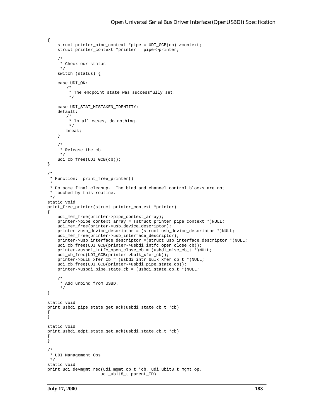```
{
     struct printer_pipe_context *pipe = UDI_GCB(cb)->context;
     struct printer_context *printer = pipe->printer;
     /*
     * Check our status.
     */
     switch (status) {
     case UDI_OK:
       /*
         * The endpoint state was successfully set.
         */
     case UDI_STAT_MISTAKEN_IDENTITY:
     default:
       /*
         * In all cases, do nothing.
         */
       break;
     }
     /*
     * Release the cb.
      */
    udi_cb_free(UDI_GCB(cb));
}
/*
 * Function: print_free_printer()
 *
 * Do some final cleanup. The bind and channel control blocks are not
 * touched by this routine.
 */
static void
print_free_printer(struct printer_context *printer)
{
     udi_mem_free(printer->pipe_context_array);
    printer->pipe_context_array = (struct printer_pipe_context *)NULL;
     udi_mem_free(printer->usb_device_descriptor);
     printer->usb_device_descriptor = (struct usb_device_descriptor *)NULL;
    udi_mem_free(printer->usb_interface_descriptor);
    printer->usb_interface_descriptor =(struct usb_interface_descriptor *)NULL;
    udi_cb_free(UDI_GCB(printer->usbdi_intfc_open_close_cb));
     printer->usbdi_intfc_open_close_cb = (usbdi_misc_cb_t *)NULL;
    udi_cb_free(UDI_GCB(printer->bulk_xfer_cb));
    printer->bulk_xfer_cb = (usbdi_intr_bulk_xfer_cb_t *)NULL;
     udi_cb_free(UDI_GCB(printer->usbdi_pipe_state_cb));
     printer->usbdi_pipe_state_cb = (usbdi_state_cb_t *)NULL;
 /*
      * Add unbind from USBD.
      */
}
static void
print_usbdi_pipe_state_get_ack(usbdi_state_cb_t *cb)
{
}
static void
print_usbdi_edpt_state_get_ack(usbdi_state_cb_t *cb)
{
}
/*
 * UDI Management Ops
 */
static void
print_udi_devmgmt_req(udi_mgmt_cb_t *cb, udi_ubit8_t mgmt_op,
                      udi_ubit8_t parent_ID)
```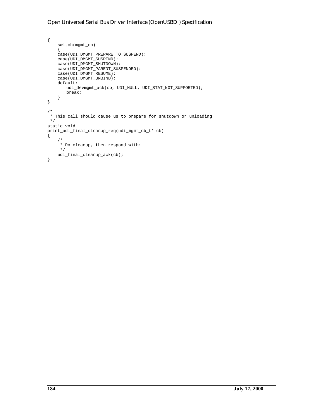```
{
     switch(mgmt_op)
     {
     case(UDI_DMGMT_PREPARE_TO_SUSPEND):
     case(UDI_DMGMT_SUSPEND):
    case(UDI_DMGMT_SHUTDOWN):
     case(UDI_DMGMT_PARENT_SUSPENDED):
     case(UDI_DMGMT_RESUME):
     case(UDI_DMGMT_UNBIND):
     default:
       udi_devmgmt_ack(cb, UDI_NULL, UDI_STAT_NOT_SUPPORTED);
       break;
     }
}
/*
 * This call should cause us to prepare for shutdown or unloading
 */
static void
print_udi_final_cleanup_req(udi_mgmt_cb_t* cb)
{
     /*
     * Do cleanup, then respond with:
     */
     udi_final_cleanup_ack(cb);
}
```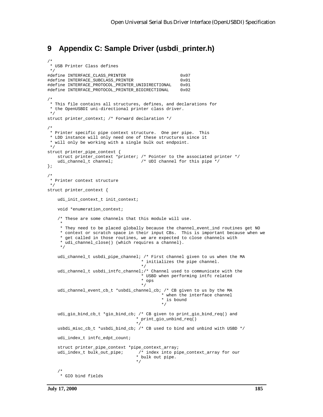## **9 Appendix C: Sample Driver (usbdi\_printer.h)**

```
/*
 * USB Printer Class defines
 */
#define INTERFACE_CLASS_PRINTER 0x07
#define INTERFACE_SUBCLASS_PRINTER
#define INTERFACE_PROTOCOL_PRINTER_UNIDIRECTIONAL 0x01
#define INTERFACE_PROTOCOL_PRINTER_BIDIRECTIONAL 0x02
/*
 * This file contains all structures, defines, and declarations for
 * the OpenUSBDI uni-directional printer class driver.
 */
struct printer_context; /* Forward declaration */
/*
 * Printer specific pipe context structure. One per pipe. This
 * LDD instance will only need one of these structures since it
  * will only be working with a single bulk out endpoint.
 */
struct printer_pipe_context {
   struct printer_context *printer; /* Pointer to the associated printer */
   udi_channel_t channel; \overline{\hspace{1cm}} /* UDI channel for this pipe */
};
/*
 * Printer context structure
 */
struct printer_context {
    udi_init_context_t init_context;
    void *enumeration_context;
     /* These are some channels that this module will use.
 *
     * They need to be placed globally because the channel_event_ind routines get NO
      * context or scratch space in their input CBs. This is important because when we
      * get called in those routines, we are expected to close channels with
      * udi_channel_close() (which requires a channel).
     */
    udi_channel_t usbdi_pipe_channel; /* First channel given to us when the MA
                                      * initializes the pipe channel.
                                      */
    udi_channel_t usbdi_intfc_channel;/* Channel used to communicate with the
                                      * USBD when performing intfc related
                                      * ops
                                      */
    udi_channel_event_cb_t *usbdi_channel_cb; /* CB given to us by the MA
                                              * when the interface channel
                                              * is bound
                                              */
    udi_gio_bind_cb_t *gio_bind_cb; /* CB given to print_gio_bind_req() and
                                    * print_gio_unbind_req()
                                    */
    usbdi_misc_cb_t *usbdi_bind_cb; /* CB used to bind and unbind with USBD */
   udi index t intfc edpt count;
    struct printer_pipe_context *pipe_context_array;
    udi_index_t bulk_out_pipe; /* index into pipe_context_array for our
                                    * bulk out pipe.
                                    */
 /*
      * GIO bind fields
```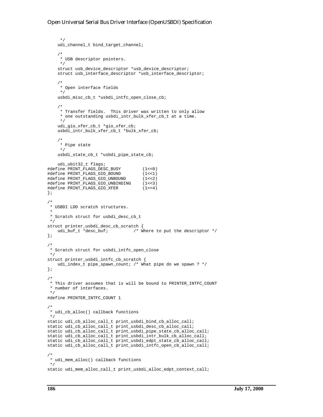```
 */
     udi_channel_t bind_target_channel;
     /*
     * USB descriptor pointers.
     */
     struct usb_device_descriptor *usb_device_descriptor;
     struct usb_interface_descriptor *usb_interface_descriptor;
 /*
     * Open interface fields
     */
     usbdi_misc_cb_t *usbdi_intfc_open_close_cb;
 /*
     * Transfer fields. This driver was written to only allow
     * one outstanding usbdi_intr_bulk_xfer_cb_t at a time.
     */
     udi_gio_xfer_cb_t *gio_xfer_cb;
     usbdi_intr_bulk_xfer_cb_t *bulk_xfer_cb;
 /*
     * Pipe state
     */
    usbdi_state_cb_t *usbdi_pipe_state_cb;
    udi_ubit32_t flags;
#define PRINT_FLAGS_DESC_BUSY (1<<0)
#define PRINT_FLAGS_GIO_BOUND<br>#define PRINT_FLAGS_GIO_UNBOUND
#define PRINT_FLAGS_GIO_UNBOUND (1<<2)
#define PRINT_FLAGS_GIO_UNBINDING (1<<3)
#define PRINT_FLAGS_GIO_XFER (1<<4)
};
/*
 * USBDI LDD scratch structures.
 *
 * Scratch struct for usbdi_desc_cb_t
 */
struct printer_usbdi_desc_cb_scratch {<br>udi_buf_t *desc_buf; /* W
                            y^* Where to put the descriptor */
};
/*
 * Scratch struct for usbdi_intfc_open_close
 */
struct printer_usbdi_intfc_cb_scratch {
    udi_index_t pipe_spawn_count; /* What pipe do we spawn ? */
};
/*
 * This driver assumes that is will be bound to PRINTER_INTFC_COUNT
 * number of interfaces.
 */
#define PRINTER_INTFC_COUNT 1
/*
 * udi_cb_alloc() callback functions
 */
static udi_cb_alloc_call_t print_usbdi_bind_cb_alloc_call;
static udi_cb_alloc_call_t print_usbdi_desc_cb_alloc_call;
static udi_cb_alloc_call_t print_usbdi_pipe_state_cb_alloc_call;
static udi_cb_alloc_call_t print_usbdi_intr_bulk_cb_alloc_call;
static udi_cb_alloc_call_t print_usbdi_edpt_state_cb_alloc_call;
static udi_cb_alloc_call_t print_usbdi_intfc_open_cb_alloc_call;
/*
 * udi_mem_alloc() callback functions
 */
static udi_mem_alloc_call_t print_usbdi_alloc_edpt_context_call;
```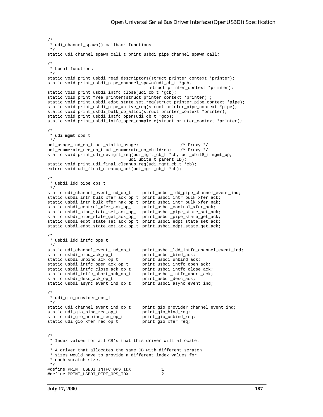```
/*
 * udi_channel_spawn() callback functions
 */
static udi channel spawn call t print usbdi pipe channel spawn call;
/*
 * Local functions
 */
static void print_usbdi_read_descriptors(struct printer_context *printer);
static void print_usbdi_pipe_channel_spawn(udi_cb_t *gcb,
                                             struct printer context *printer);
static void print_usbdi_intfc_close(udi_cb_t *gcb);
static void print_free_printer(struct printer_context *printer) ;
static void print_usbdi_edpt_state_set_req(struct printer_pipe_context *pipe);
static void print_usbdi_pipe_active_req(struct printer_pipe_context *pipe);
static void print_usbdi_bulk_cb_alloc(struct printer_context *printer);
static void print_usbdi_intfc_open(udi_cb_t *gcb);
static void print usbdi_intfc_open_complete(struct printer context *printer);
/*
 * udi_mgmt_ops_t
 */
udi_usage_ind_op_t udi_static_usage; /* Proxy */
udi_enumerate_req_op_t udi_enumerate_no_children;
static void print_udi_devmgmt_req(udi_mgmt_cb_t *cb, udi_ubit8_t mgmt_op,
                                     udi_ubit8_t parent_ID);
static void print_udi_final_cleanup_req(udi_mgmt_cb_t *cb);
extern void udi_final_cleanup_ack(udi_mgmt_cb_t *cb);
/*
 * usbdi_ldd_pipe_ops_t
 */
static udi_channel_event_ind_op_t print_usbdi_ldd_pipe_channel_event_ind;
static usbdi_intr_bulk_xfer_ack_op_t print_usbdi_intr_bulk_xfer_ack;
static usbdi_intr_bulk_xfer_nak_op_t print_usbdi_intr_bulk_xfer_nak;
static usbdi_control_xfer_ack_op_t print_usbdi_control_xfer_ack;
static usbdi_pipe_state_set_ack_op_t print_usbdi_pipe_state_set_ack;
static usbdi_pipe_state_get_ack_op_t print_usbdi_pipe_state_get_ack;
static usbdi_edpt_state_set_ack_op_t print_usbdi_edpt_state_set_ack;
static usbdi_edpt_state_get_ack_op_t print_usbdi_edpt_state_get_ack;
/*
 * usbdi_ldd_intfc_ops_t
 */
static udi_channel_event_ind_op_t print_usbdi_ldd_intfc_channel_event_ind;<br>static usbdi_bind_ack_op_t print_usbdi_bind_ack;
\begin{tabular}{lcl} static usbdi\_bind\_ack\_op_t & \multicolumn{3}{l}{ { print\_usbdi\_bind\_ack;}} \\ static usbdi\_unbind\_ack\_op_t & \multicolumn{3}{l}{ { print\_usbdi\_unbind\_ack;}} \end{tabular}static usbdi_unbind_ack_op_t print_usbdi_unbind_ack;<br>static usbdi_intfc_open_ack_op_t print_usbdi_intfc_open_ack;<br>static usbdi_intfs_slip
static usbdi_intfc_open_ack_op_t
{\tt static~usbdi\_intfc\_close\_ack\_op\_t}~~ print\_usbdi\_intfc\_close\_ack;} {\tt static~usbdi\_intfc\_abort\_ack\_op\_t}~~print\_usbdi\_intfc\_abort\_ack;}static usbdi_intfc_abort_ack_op_t
static usbdi_desc_ack_op_t print_usbdi_desc_ack;
static usbdi_async_event_ind_op_t
/*
 * udi_gio_provider_ops_t
*/<br>static udi_channel_event_ind_op_t
                                        print_gio_provider_channel_event_ind;
static udi_gio_bind_req_op_t print_gio_bind_req;
static udi_gio_unbind_req_op_t print_gio_unbind_req;
static udi_gio_unbind_req_op_t print_gio_unbind_req;<br>static udi_gio_xfer_req_op_t print_gio_xfer_req;
/*
 * Index values for all CB's that this driver will allocate.
 *
 * A driver that allocates the same CB with different scratch
  * sizes would have to provide a different index values for
  * each scratch size.
  */
#define PRINT_USBDI_INTFC_OPS_IDX 1
#define PRINT_USBDI_PIPE_OPS_IDX 2
```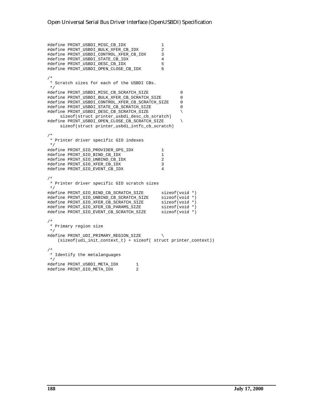```
#define PRINT_USBDI_MISC_CB_IDX 1
#define PRINT_USBDI_BULK_XFER_CB_IDX 2
#define PRINT_USBDI_CONTROL_XFER_CB_IDX 3
#define PRINT_USBDI_STATE_CB_IDX 4
#define PRINT_USBDI_DESC_CB_IDX 5
#define PRINT_USBDI_OPEN_CLOSE_CB_IDX 6
/*
 * Scratch sizes for each of the USBDI CBs.
 */
#define PRINT_USBDI_MISC_CB_SCRATCH_SIZE 0
#define PRINT_USBDI_BULK_XFER_CB_SCRATCH_SIZE 0
#define PRINT_USBDI_CONTROL_XFER_CB_SCRATCH_SIZE 0
#define PRINT_USBDI_STATE_CB_SCRATCH_SIZE 0<br>#define PRINT USBDI_DESC_CB_SCRATCH_SIZE
#define PRINT_USBDI_DESC_CB_SCRATCH_SIZE \
    sizeof(struct printer_usbdi_desc_cb_scratch)
#define PRINT USBDI OPEN CLOSE CB SCRATCH SIZE \\
    sizeof(struct printer_usbdi_intfc_cb_scratch)
/*
 * Printer driver specific GIO indexes
 */
#define PRINT_GIO_PROVIDER_OPS_IDX 1
#define PRINT_GIO_BIND_CB_IDX 1
#define PRINT_GIO_UNBIND_CB_IDX 2
#define PRINT_GIO_XFER_CB_IDX 3
#define PRINT GIO EVENT CB_IDX 4
/*
\star Printer driver specific GIO scratch sizes \star/ */
#define PRINT_GIO_BIND_CB_SCRATCH_SIZE sizeof(void *)
#define PRINT_GIO_UNBIND_CB_SCRATCH_SIZE sizeof(void *)
#define PRINT_GIO_XFER_CB_SCRATCH_SIZE sizeof(void *)
#define PRINT_GIO_XFER_CB_PARAMS_SIZE sizeof(void *)
#define PRINT_GIO_EVENT_CB_SCRATCH_SIZE sizeof(void *)
/*
 * Primary region size
 */
#define PRINT_UDI_PRIMARY_REGION_SIZE \
    (sizeof(udi_init_context_t) + sizeof( struct printer_context))
/*
 * Identify the metalanguages
 */
#define PRINT_USBDI_META_IDX 1
#define PRINT_GIO_META_IDX 2
```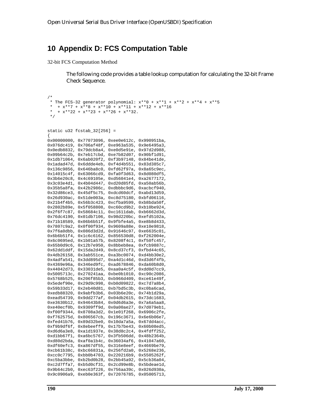# **10 Appendix D: FCS Computation Table**

32-bit FCS Computation Method

The following code provides a table lookup computation for calculating the 32-bit Frame Check Sequence.

```
/*
* The FCS-32 generator polynomial: x^{**0} + x^{**1} + x^{**2} + x^{**4} + x^{**5}* + x^{**}7 + x^{**}8 + x^{**}10 + x^{**}11 + x^{**}12 + x^{**}16 * + x**22 + x**23 + x**26 + x**32.
 */
static u32 fcstab_32[256] =
{
0x00000000, 0x77073096, 0xee0e612c, 0x990951ba,
0x076dc419, 0x706af48f, 0xe963a535, 0x9e6495a3,
0x0edb8832, 0x79dcb8a4, 0xe0d5e91e, 0x97d2d988,
0x09b64c2b, 0x7eb17cbd, 0xe7b82d07, 0x90bf1d91,
0x1db71064, 0x6ab020f2, 0xf3b97148, 0x84be41de,
0x1adad47d, 0x6ddde4eb, 0xf4d4b551, 0x83d385c7,
0x136c9856, 0x646ba8c0, 0xfd62f97a, 0x8a65c9ec,
0x14015c4f, 0x63066cd9, 0xfa0f3d63, 0x8d080df5,
0x3b6e20c8, 0x4c69105e, 0xd56041e4, 0xa2677172,
0x3c03e4d1, 0x4b04d447, 0xd20d85fd, 0xa50ab56b,
0x35b5a8fa, 0x42b2986c, 0xdbbbc9d6, 0xacbcf940,
0x32d86ce3, 0x45df5c75, 0xdcd60dcf, 0xabd13d59,
0x26d930ac, 0x51de003a, 0xc8d75180, 0xbfd06116,
0x21b4f4b5, 0x56b3c423, 0xcfba9599, 0xb8bda50f,
0x2802b89e, 0x5f058808, 0xc60cd9b2, 0xb10be924,
0x2f6f7c87, 0x58684c11, 0xc1611dab, 0xb6662d3d,
0x76dc4190, 0x01db7106, 0x98d220bc, 0xefd5102a,
0x71b18589, 0x06b6b51f, 0x9fbfe4a5, 0xe8b8d433,
0x7807c9a2, 0x0f00f934, 0x9609a88e, 0xe10e9818,
0x7f6a0dbb, 0x086d3d2d, 0x91646c97, 0xe6635c01,
0x6b6b51f4, 0x1c6c6162, 0x856530d8, 0xf262004e,
0x6c0695ed, 0x1b01a57b, 0x8208f4c1, 0xf50fc457,
0x65b0d9c6, 0x12b7e950, 0x8bbeb8ea, 0xfcb9887c,
0x62dd1ddf, 0x15da2d49, 0x8cd37cf3, 0xfbd44c65,
0x4db26158, 0x3ab551ce, 0xa3bc0074, 0xd4bb30e2,
0x4adfa541, 0x3dd895d7, 0xa4d1c46d, 0xd3d6f4fb,
0x4369e96a, 0x346ed9fc, 0xad678846, 0xda60b8d0,
0x44042d73, 0x33031de5, 0xaa0a4c5f, 0xdd0d7cc9,
0x5005713c, 0x270241aa, 0xbe0b1010, 0xc90c2086,
0x5768b525, 0x206f85b3, 0xb966d409, 0xce61e49f,
0x5edef90e, 0x29d9c998, 0xb0d09822, 0xc7d7a8b4,
0x59b33d17, 0x2eb40d81, 0xb7bd5c3b, 0xc0ba6cad,
0xedb88320, 0x9abfb3b6, 0x03b6e20c, 0x74b1d29a,
0xead54739, 0x9dd277af, 0x04db2615, 0x73dc1683,
0xe3630b12, 0x94643b84, 0x0d6d6a3e, 0x7a6a5aa8,
0xe40ecf0b, 0x9309ff9d, 0x0a00ae27, 0x7d079eb1,
0xf00f9344, 0x8708a3d2, 0x1e01f268, 0x6906c2fe,
0xf762575d, 0x806567cb, 0x196c3671, 0x6e6b06e7,
0xfed41b76, 0x89d32be0, 0x10da7a5a, 0x67dd4acc,
0xf9b9df6f, 0x8ebeeff9, 0x17b7be43, 0x60b08ed5,
0xd6d6a3e8, 0xa1d1937e, 0x38d8c2c4, 0x4fdff252,
0xd1bb67f1, 0xa6bc5767, 0x3fb506dd, 0x48b2364b,
0xd80d2bda, 0xaf0a1b4c, 0x36034af6, 0x41047a60,
0xdf60efc3, 0xa867df55, 0x316e8eef, 0x4669be79,
0xcb61b38c, 0xbc66831a, 0x256fd2a0, 0x5268e236,
0xcc0c7795, 0xbb0b4703, 0x220216b9, 0x5505262f,
0xc5ba3bbe, 0xb2bd0b28, 0x2bb45a92, 0x5cb36a04,
0xc2d7ffa7, 0xb5d0cf31, 0x2cd99e8b, 0x5bdeae1d,
0x9b64c2b0, 0xec63f226, 0x756aa39c, 0x026d930a,
0x9c0906a9, 0xeb0e363f, 0x72076785, 0x05005713,
```